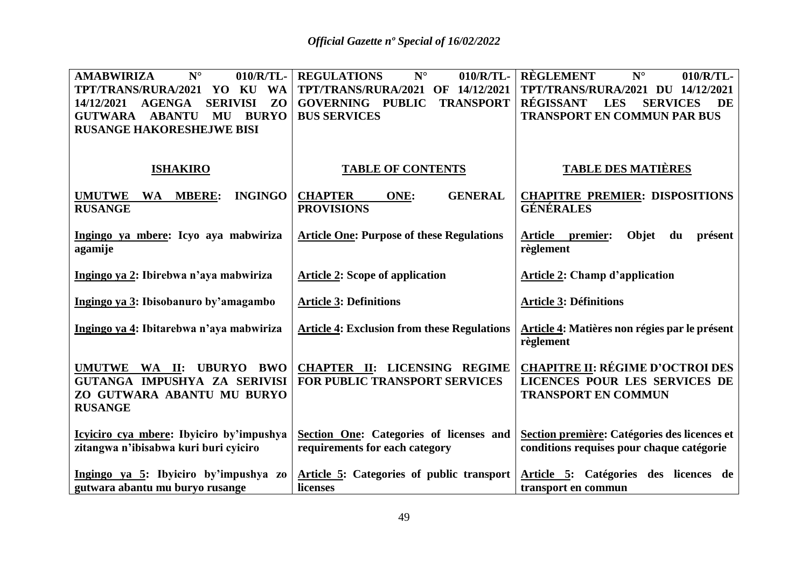| <b>AMABWIRIZA</b><br>$N^{\circ}$<br>010/R/TL-<br>TPT/TRANS/RURA/2021<br><b>WA</b><br>YO<br>KU<br>Z <sub>O</sub><br><b>AGENGA</b><br><b>SERIVISI</b><br>14/12/2021<br><b>ABANTU</b><br><b>BURYO</b><br><b>GUTWARA</b><br>MU<br><b>RUSANGE HAKORESHEJWE BISI</b> | <b>REGULATIONS</b><br>$N^{\circ}$<br>010/R/TL-<br>TPT/TRANS/RURA/2021 OF 14/12/2021<br><b>GOVERNING PUBLIC</b><br><b>TRANSPORT</b><br><b>BUS SERVICES</b> | <b>RÈGLEMENT</b><br>$N^{\circ}$<br>010/R/TL-<br>TPT/TRANS/RURA/2021 DU 14/12/2021<br><b>RÉGISSANT</b><br><b>LES</b><br>DE<br><b>SERVICES</b><br><b>TRANSPORT EN COMMUN PAR BUS</b> |
|----------------------------------------------------------------------------------------------------------------------------------------------------------------------------------------------------------------------------------------------------------------|-----------------------------------------------------------------------------------------------------------------------------------------------------------|------------------------------------------------------------------------------------------------------------------------------------------------------------------------------------|
| <b>ISHAKIRO</b>                                                                                                                                                                                                                                                | <b>TABLE OF CONTENTS</b>                                                                                                                                  | <b>TABLE DES MATIÈRES</b>                                                                                                                                                          |
| <b>MBERE:</b><br><b>INGINGO</b><br><b>UMUTWE</b><br><b>WA</b><br><b>RUSANGE</b>                                                                                                                                                                                | <b>GENERAL</b><br><b>CHAPTER</b><br>ONE:<br><b>PROVISIONS</b>                                                                                             | <b>CHAPITRE PREMIER: DISPOSITIONS</b><br><b>GÉNÉRALES</b>                                                                                                                          |
| Ingingo ya mbere: Icyo aya mabwiriza<br>agamije                                                                                                                                                                                                                | <b>Article One: Purpose of these Regulations</b>                                                                                                          | Objet<br>Article premier:<br>présent<br>du<br>règlement                                                                                                                            |
| Ingingo ya 2: Ibirebwa n'aya mabwiriza                                                                                                                                                                                                                         | <b>Article 2: Scope of application</b>                                                                                                                    | <b>Article 2: Champ d'application</b>                                                                                                                                              |
| Ingingo ya 3: Ibisobanuro by'amagambo                                                                                                                                                                                                                          | <b>Article 3: Definitions</b>                                                                                                                             | <b>Article 3: Définitions</b>                                                                                                                                                      |
| Ingingo ya 4: Ibitarebwa n'aya mabwiriza                                                                                                                                                                                                                       | <b>Article 4: Exclusion from these Regulations</b>                                                                                                        | Article 4: Matières non régies par le présent<br>règlement                                                                                                                         |
| UMUTWE WA II:<br><b>BWO</b><br><b>UBURYO</b><br>GUTANGA IMPUSHYA ZA SERIVISI<br>ZO GUTWARA ABANTU MU BURYO<br><b>RUSANGE</b>                                                                                                                                   | <b>CHAPTER II: LICENSING REGIME</b><br><b>FOR PUBLIC TRANSPORT SERVICES</b>                                                                               | <b>CHAPITRE II: RÉGIME D'OCTROI DES</b><br>LICENCES POUR LES SERVICES DE<br><b>TRANSPORT EN COMMUN</b>                                                                             |
| Icyiciro cya mbere: Ibyiciro by'impushya<br>zitangwa n'ibisabwa kuri buri cyiciro                                                                                                                                                                              | Section One: Categories of licenses and<br>requirements for each category                                                                                 | Section première: Catégories des licences et<br>conditions requises pour chaque catégorie                                                                                          |
| Ingingo ya 5: Ibyiciro by'impushya zo<br>gutwara abantu mu buryo rusange                                                                                                                                                                                       | Article 5: Categories of public transport<br>licenses                                                                                                     | Article 5: Catégories des licences de<br>transport en commun                                                                                                                       |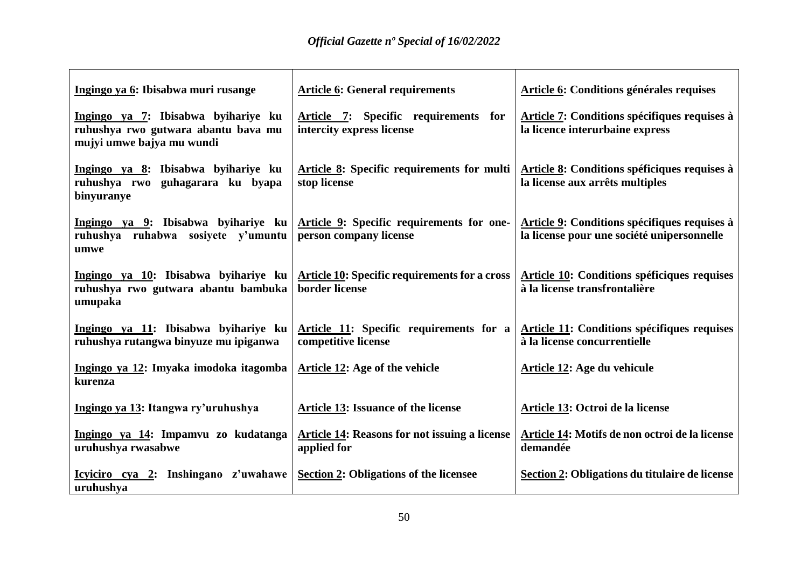| Ingingo ya 6: Ibisabwa muri rusange                                                                     | <b>Article 6: General requirements</b>                                 | Article 6: Conditions générales requises                                                   |
|---------------------------------------------------------------------------------------------------------|------------------------------------------------------------------------|--------------------------------------------------------------------------------------------|
| Ingingo ya 7: Ibisabwa byihariye ku<br>ruhushya rwo gutwara abantu bava mu<br>mujyi umwe bajya mu wundi | Article 7: Specific requirements for<br>intercity express license      | Article 7: Conditions spécifiques requises à<br>la licence interurbaine express            |
| Ingingo ya 8: Ibisabwa byihariye ku<br>ruhushya rwo guhagarara ku byapa<br>binyuranye                   | <b>Article 8:</b> Specific requirements for multi<br>stop license      | Article 8: Conditions spéficiques requises à<br>la license aux arrêts multiples            |
| Ingingo ya 9: Ibisabwa byihariye ku<br>ruhushya ruhabwa sosiyete y'umuntu<br>umwe                       | Article 9: Specific requirements for one-<br>person company license    | Article 9: Conditions spécifiques requises à<br>la license pour une société unipersonnelle |
| Ingingo ya 10: Ibisabwa byihariye ku<br>ruhushya rwo gutwara abantu bambuka<br>umupaka                  | <b>Article 10: Specific requirements for a cross</b><br>border license | <b>Article 10: Conditions spéficiques requises</b><br>à la license transfrontalière        |
| Ingingo ya 11: Ibisabwa byihariye ku<br>ruhushya rutangwa binyuze mu ipiganwa                           | Article 11: Specific requirements for a<br>competitive license         | Article 11: Conditions spécifiques requises<br>à la license concurrentielle                |
| Ingingo ya 12: Imyaka imodoka itagomba<br>kurenza                                                       | Article 12: Age of the vehicle                                         | Article 12: Age du vehicule                                                                |
| Ingingo ya 13: Itangwa ry'uruhushya                                                                     | <b>Article 13: Issuance of the license</b>                             | Article 13: Octroi de la license                                                           |
| Ingingo ya 14: Impamvu zo kudatanga<br>uruhushya rwasabwe                                               | <b>Article 14: Reasons for not issuing a license</b><br>applied for    | Article 14: Motifs de non octroi de la license<br>demandée                                 |
| <u>Icyiciro cya 2:</u> Inshingano z'uwahawe<br>uruhushya                                                | Section 2: Obligations of the licensee                                 | Section 2: Obligations du titulaire de license                                             |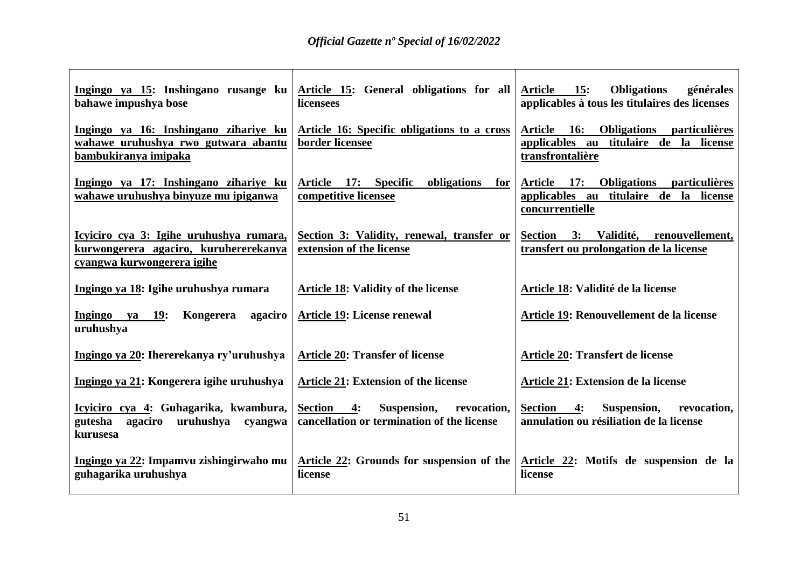| Ingingo ya 15: Inshingano rusange ku<br>bahawe impushya bose                                                   | Article 15: General obligations for all<br>licensees                                | Article 15:<br><b>Obligations</b><br>générales<br>applicables à tous les titulaires des licenses                          |
|----------------------------------------------------------------------------------------------------------------|-------------------------------------------------------------------------------------|---------------------------------------------------------------------------------------------------------------------------|
| Ingingo ya 16: Inshingano zihariye ku<br>wahawe uruhushya rwo gutwara abantu<br>bambukiranya imipaka           | Article 16: Specific obligations to a cross<br>border licensee                      | Article 16: Obligations particulières<br>applicables au titulaire de la license<br>transfrontalière                       |
| Ingingo ya 17: Inshingano zihariye ku<br>wahawe uruhushya binyuze mu ipiganwa                                  | Article 17: Specific<br>obligations<br>for<br>competitive licensee                  | Article<br><b>17:</b><br><b>Obligations</b><br>particulières<br>applicables au titulaire de la license<br>concurrentielle |
| Icyiciro cya 3: Igihe uruhushya rumara,<br>kurwongerera agaciro, kuruhererekanya<br>cyangwa kurwongerera igihe | Section 3: Validity, renewal, transfer or<br>extension of the license               | Section 3: Validité, renouvellement,<br>transfert ou prolongation de la license                                           |
| Ingingo ya 18: Igihe uruhushya rumara                                                                          | <b>Article 18: Validity of the license</b>                                          | Article 18: Validité de la license                                                                                        |
| Ingingo ya 19:<br>Kongerera<br>agaciro<br>uruhushya                                                            | <b>Article 19: License renewal</b>                                                  | Article 19: Renouvellement de la license                                                                                  |
| Ingingo ya 20: Ihererekanya ry'uruhushya                                                                       | <b>Article 20: Transfer of license</b>                                              | Article 20: Transfert de license                                                                                          |
| Ingingo ya 21: Kongerera igihe uruhushya                                                                       | <b>Article 21: Extension of the license</b>                                         | Article 21: Extension de la license                                                                                       |
| Icyiciro cya 4: Guhagarika, kwambura,<br>uruhushya cyangwa<br>gutesha<br>agaciro<br>kurusesa                   | Section 4:<br>Suspension, revocation,<br>cancellation or termination of the license | <b>Section</b><br>Suspension, revocation,<br>4:<br>annulation ou résiliation de la license                                |
| Ingingo ya 22: Impamvu zishingirwaho mu<br>guhagarika uruhushya                                                | Article 22: Grounds for suspension of the<br>license                                | Article 22: Motifs de suspension de la<br>license                                                                         |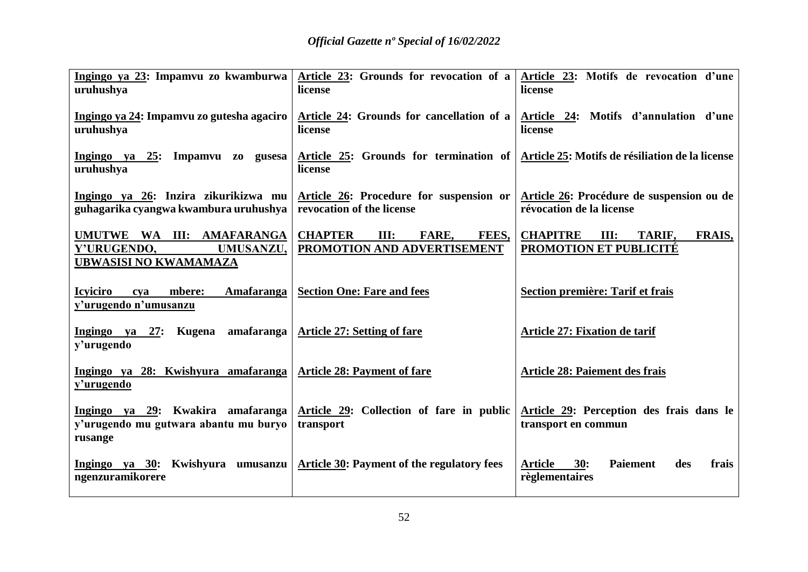| Ingingo ya 23: Impamvu zo kwamburwa<br>uruhushya                                      | Article 23: Grounds for revocation of a<br>license                      | Article 23: Motifs de revocation d'une<br>license                            |
|---------------------------------------------------------------------------------------|-------------------------------------------------------------------------|------------------------------------------------------------------------------|
| <u>Ingingo ya 24: Impamvu zo gutesha agaciro</u><br>uruhushya                         | Article 24: Grounds for cancellation of a<br>license                    | Article 24: Motifs d'annulation d'une<br>license                             |
| Ingingo ya 25: Impamvu zo gusesa<br>uruhushya                                         | Article 25: Grounds for termination of<br>license                       | Article 25: Motifs de résiliation de la license                              |
| Ingingo ya 26: Inzira zikurikizwa mu<br>guhagarika cyangwa kwambura uruhushya         | Article 26: Procedure for suspension or<br>revocation of the license    | Article 26: Procédure de suspension ou de<br>révocation de la license        |
| UMUTWE WA III: AMAFARANGA<br>Y'URUGENDO,<br>UMUSANZU,<br><b>UBWASISI NO KWAMAMAZA</b> | <b>CHAPTER</b><br>FARE,<br>III:<br>FEES,<br>PROMOTION AND ADVERTISEMENT | <b>CHAPITRE</b><br>III:<br>TARIF,<br><b>FRAIS,</b><br>PROMOTION ET PUBLICITÉ |
| <b>Icyiciro</b><br><b>Amafaranga</b><br>mbere:<br>cya<br>y'urugendo n'umusanzu        | <b>Section One: Fare and fees</b>                                       | Section première: Tarif et frais                                             |
| 27: Kugena amafaranga<br>Ingingo ya<br>y'urugendo                                     | <b>Article 27: Setting of fare</b>                                      | Article 27: Fixation de tarif                                                |
| Ingingo ya 28: Kwishyura amafaranga<br>y'urugendo                                     | <b>Article 28: Payment of fare</b>                                      | <b>Article 28: Paiement des frais</b>                                        |
| Ingingo ya 29: Kwakira amafaranga<br>y'urugendo mu gutwara abantu mu buryo<br>rusange | Article 29: Collection of fare in public<br>transport                   | Article 29: Perception des frais dans le<br>transport en commun              |
| Ingingo ya 30: Kwishyura umusanzu<br>ngenzuramikorere                                 | Article 30: Payment of the regulatory fees                              | <b>Article</b><br>30:<br><b>Paiement</b><br>frais<br>des<br>règlementaires   |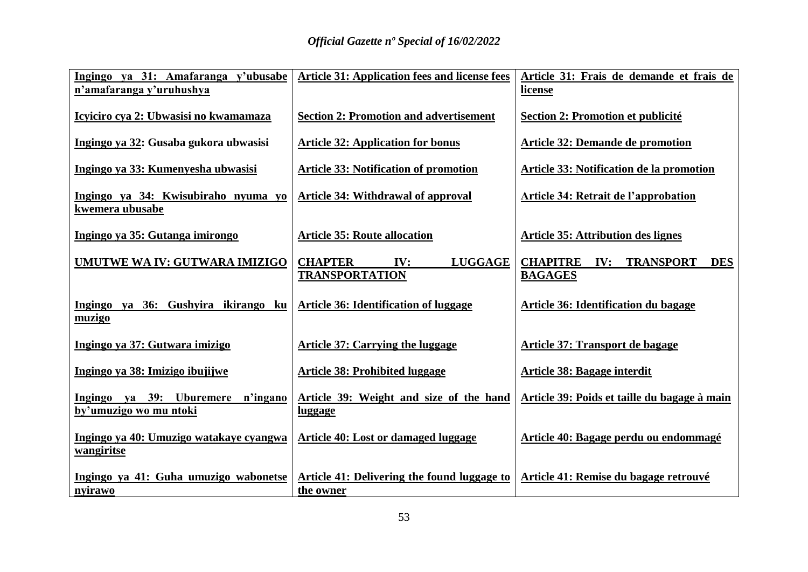| Ingingo ya 31: Amafaranga y'ubusabe<br>n'amafaranga y'uruhushya | <b>Article 31: Application fees and license fees</b>             | Article 31: Frais de demande et frais de<br><u>license</u>              |
|-----------------------------------------------------------------|------------------------------------------------------------------|-------------------------------------------------------------------------|
| Icyiciro cya 2: Ubwasisi no kwamamaza                           | <b>Section 2: Promotion and advertisement</b>                    | Section 2: Promotion et publicité                                       |
| Ingingo ya 32: Gusaba gukora ubwasisi                           | <b>Article 32: Application for bonus</b>                         | <b>Article 32: Demande de promotion</b>                                 |
| Ingingo ya 33: Kumenyesha ubwasisi                              | <b>Article 33: Notification of promotion</b>                     | <b>Article 33: Notification de la promotion</b>                         |
| Ingingo ya 34: Kwisubiraho nyuma yo<br>kwemera ubusabe          | <b>Article 34: Withdrawal of approval</b>                        | Article 34: Retrait de l'approbation                                    |
| Ingingo ya 35: Gutanga imirongo                                 | <b>Article 35: Route allocation</b>                              | <b>Article 35: Attribution des lignes</b>                               |
| UMUTWE WA IV: GUTWARA IMIZIGO                                   | <b>CHAPTER</b><br><b>LUGGAGE</b><br>IV:<br><b>TRANSPORTATION</b> | <b>CHAPITRE</b><br><b>IV: TRANSPORT</b><br><b>DES</b><br><b>BAGAGES</b> |
| Ingingo ya 36: Gushyira ikirango<br>ku<br>muzigo                | <b>Article 36: Identification of luggage</b>                     | Article 36: Identification du bagage                                    |
| Ingingo ya 37: Gutwara imizigo                                  | <b>Article 37: Carrying the luggage</b>                          | Article 37: Transport de bagage                                         |
| Ingingo ya 38: Imizigo ibujijwe                                 | <b>Article 38: Prohibited luggage</b>                            | <b>Article 38: Bagage interdit</b>                                      |
| Ingingo ya 39: Uburemere<br>n'ingano<br>by'umuzigo wo mu ntoki  | Article 39: Weight and size of the hand<br><u>luggage</u>        | Article 39: Poids et taille du bagage à main                            |
| Ingingo ya 40: Umuzigo watakaye cyangwa<br>wangiritse           | Article 40: Lost or damaged luggage                              | Article 40: Bagage perdu ou endommagé                                   |
| Ingingo ya 41: Guha umuzigo wabonetse<br><u>nyirawo</u>         | Article 41: Delivering the found luggage to<br>the owner         | Article 41: Remise du bagage retrouvé                                   |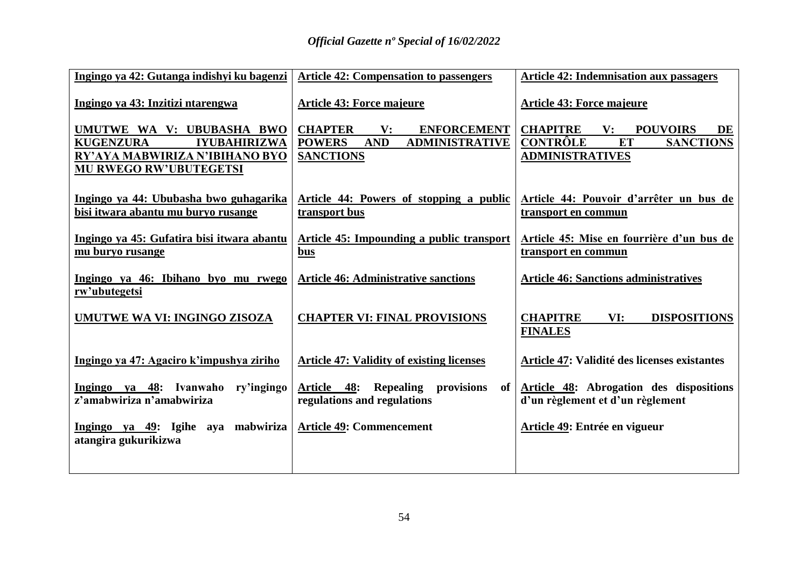| Ingingo ya 42: Gutanga indishyi ku bagenzi                                    | <b>Article 42: Compensation to passengers</b>                                      | <b>Article 42: Indemnisation aux passagers</b>                              |
|-------------------------------------------------------------------------------|------------------------------------------------------------------------------------|-----------------------------------------------------------------------------|
| Ingingo ya 43: Inzitizi ntarengwa                                             | <b>Article 43: Force majeure</b>                                                   | <b>Article 43: Force majeure</b>                                            |
| UMUTWE WA V: UBUBASHA BWO                                                     | <b>CHAPTER</b><br>$\mathbf{V}$ :<br><b>ENFORCEMENT</b>                             | <b>CHAPITRE</b><br>$\mathbf{V}$ :<br><b>POUVOIRS</b><br>DE                  |
| <b>KUGENZURA</b><br><b>IYUBAHIRIZWA</b>                                       | <b>POWERS</b><br><b>AND</b><br><b>ADMINISTRATIVE</b>                               | <b>CONTRÔLE</b><br>ET<br><b>SANCTIONS</b>                                   |
| RY'AYA MABWIRIZA N'IBIHANO BYO                                                | <b>SANCTIONS</b>                                                                   | <b>ADMINISTRATIVES</b>                                                      |
| <b>MU RWEGO RW'UBUTEGETSI</b>                                                 |                                                                                    |                                                                             |
| Ingingo ya 44: Ububasha bwo guhagarika<br>bisi itwara abantu mu buryo rusange | Article 44: Powers of stopping a public<br>transport bus                           | Article 44: Pouvoir d'arrêter un bus de<br>transport en commun              |
| Ingingo ya 45: Gufatira bisi itwara abantu                                    | Article 45: Impounding a public transport                                          | Article 45: Mise en fourrière d'un bus de                                   |
| mu buryo rusange                                                              | <u>bus</u>                                                                         | transport en commun                                                         |
| Ingingo ya 46: Ibihano byo mu rwego<br>rw'ubutegetsi                          | <b>Article 46: Administrative sanctions</b>                                        | <b>Article 46: Sanctions administratives</b>                                |
| <b>UMUTWE WA VI: INGINGO ZISOZA</b>                                           | <b>CHAPTER VI: FINAL PROVISIONS</b>                                                | <b>CHAPITRE</b><br>VI:<br><b>DISPOSITIONS</b>                               |
|                                                                               |                                                                                    | <b>FINALES</b>                                                              |
| Ingingo ya 47: Agaciro k'impushya ziriho                                      | <b>Article 47: Validity of existing licenses</b>                                   | Article 47: Validité des licenses existantes                                |
| Ingingo ya 48: Ivanwaho<br>ry'ingingo<br>z'amabwiriza n'amabwiriza            | Article 48: Repealing provisions<br>of <sub>1</sub><br>regulations and regulations | Article 48: Abrogation des dispositions<br>d'un règlement et d'un règlement |
| Ingingo ya 49: Igihe aya mabwiriza<br>atangira gukurikizwa                    | <b>Article 49: Commencement</b>                                                    | Article 49: Entrée en vigueur                                               |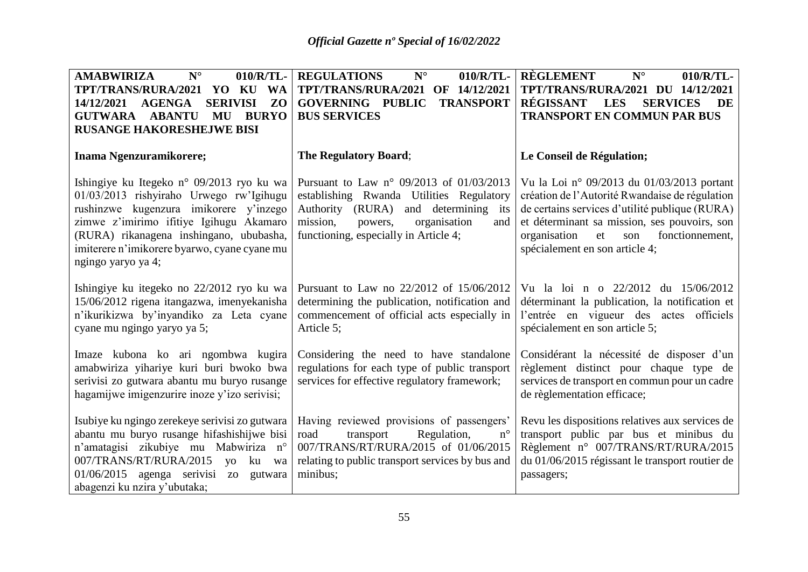| ${\bf N}^{\circ}$<br><b>AMABWIRIZA</b><br>010/R/TL-<br><b>TPT/TRANS/RURA/2021</b><br>YO KU WA<br><b>SERIVISI</b><br>ZO<br>14/12/2021<br>AGENGA<br><b>BURYO</b><br><b>GUTWARA</b><br><b>ABANTU</b><br>MU<br><b>RUSANGE HAKORESHEJWE BISI</b>                                                | <b>REGULATIONS</b><br>010/R/TL-<br>$N^{\circ}$<br>OF 14/12/2021<br><b>TPT/TRANS/RURA/2021</b><br><b>TRANSPORT</b><br><b>GOVERNING PUBLIC</b><br><b>BUS SERVICES</b>                                                             | <b>RÈGLEMENT</b><br>$N^{\circ}$<br>010/R/TL-<br>TPT/TRANS/RURA/2021 DU 14/12/2021<br>RÉGISSANT<br><b>LES</b><br><b>SERVICES</b><br><b>DE</b><br><b>TRANSPORT EN COMMUN PAR BUS</b>                                                                                               |
|--------------------------------------------------------------------------------------------------------------------------------------------------------------------------------------------------------------------------------------------------------------------------------------------|---------------------------------------------------------------------------------------------------------------------------------------------------------------------------------------------------------------------------------|----------------------------------------------------------------------------------------------------------------------------------------------------------------------------------------------------------------------------------------------------------------------------------|
| Inama Ngenzuramikorere;                                                                                                                                                                                                                                                                    | <b>The Regulatory Board;</b>                                                                                                                                                                                                    | Le Conseil de Régulation;                                                                                                                                                                                                                                                        |
| Ishingiye ku Itegeko n° 09/2013 ryo ku wa<br>01/03/2013 rishyiraho Urwego rw'Igihugu<br>rushinzwe kugenzura imikorere y'inzego<br>zimwe z'imirimo ifitiye Igihugu Akamaro<br>(RURA) rikanagena inshingano, ububasha,<br>imiterere n'imikorere byarwo, cyane cyane mu<br>ngingo yaryo ya 4; | Pursuant to Law $n^{\circ}$ 09/2013 of 01/03/2013<br>establishing Rwanda Utilities Regulatory<br>Authority (RURA)<br>and determining its<br>mission,<br>organisation<br>powers,<br>and<br>functioning, especially in Article 4; | Vu la Loi nº 09/2013 du 01/03/2013 portant<br>création de l'Autorité Rwandaise de régulation<br>de certains services d'utilité publique (RURA)<br>et déterminant sa mission, ses pouvoirs, son<br>fonctionnement,<br>organisation<br>et<br>son<br>spécialement en son article 4; |
| Ishingiye ku itegeko no 22/2012 ryo ku wa<br>15/06/2012 rigena itangazwa, imenyekanisha<br>n'ikurikizwa by'inyandiko za Leta cyane<br>cyane mu ngingo yaryo ya 5;                                                                                                                          | Pursuant to Law no 22/2012 of 15/06/2012<br>determining the publication, notification and<br>commencement of official acts especially in<br>Article 5;                                                                          | Vu la loi n o 22/2012 du 15/06/2012<br>déterminant la publication, la notification et<br>l'entrée en vigueur des actes officiels<br>spécialement en son article 5;                                                                                                               |
| Imaze kubona ko ari ngombwa kugira<br>amabwiriza yihariye kuri buri bwoko bwa<br>serivisi zo gutwara abantu mu buryo rusange<br>hagamijwe imigenzurire inoze y'izo serivisi;                                                                                                               | Considering the need to have standalone<br>regulations for each type of public transport<br>services for effective regulatory framework;                                                                                        | Considérant la nécessité de disposer d'un<br>règlement distinct pour chaque type de<br>services de transport en commun pour un cadre<br>de règlementation efficace;                                                                                                              |
| Isubiye ku ngingo zerekeye serivisi zo gutwara<br>abantu mu buryo rusange hifashishijwe bisi<br>n'amatagisi zikubiye mu Mabwiriza n°<br>007/TRANS/RT/RURA/2015<br><b>VO</b><br>ku<br>wa<br>$01/06/2015$ agenga serivisi zo<br>gutwara<br>abagenzi ku nzira y'ubutaka;                      | Having reviewed provisions of passengers'<br>Regulation,<br>$n^{\circ}$<br>road<br>transport<br>007/TRANS/RT/RURA/2015 of 01/06/2015<br>relating to public transport services by bus and<br>minibus;                            | Revu les dispositions relatives aux services de<br>transport public par bus et minibus du<br>Règlement n° 007/TRANS/RT/RURA/2015<br>du 01/06/2015 régissant le transport routier de<br>passagers;                                                                                |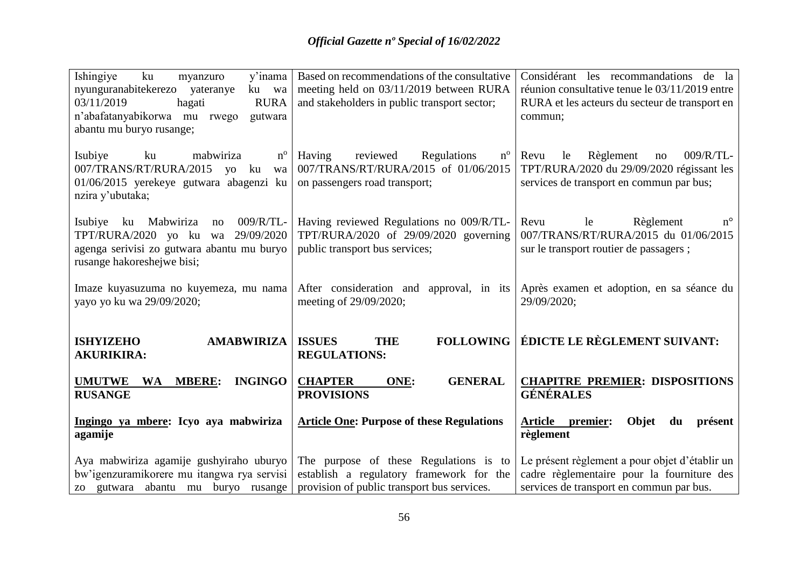| Ishingiye<br>v'inama<br>ku<br>myanzuro<br>nyunguranabitekerezo yateranye<br>ku wa<br>03/11/2019<br><b>RURA</b><br>hagati<br>n'abafatanyabikorwa mu<br>gutwara<br>rwego<br>abantu mu buryo rusange; | Based on recommendations of the consultative<br>meeting held on 03/11/2019 between RURA<br>and stakeholders in public transport sector; | Considérant les recommandations de la<br>réunion consultative tenue le 03/11/2019 entre<br>RURA et les acteurs du secteur de transport en<br>commun; |
|----------------------------------------------------------------------------------------------------------------------------------------------------------------------------------------------------|-----------------------------------------------------------------------------------------------------------------------------------------|------------------------------------------------------------------------------------------------------------------------------------------------------|
| Isubiye<br>ku<br>mabwiriza<br>$n^{\rm o}$<br>007/TRANS/RT/RURA/2015<br>yo ku<br>wa<br>01/06/2015 yerekeye gutwara abagenzi ku<br>nzira y'ubutaka;                                                  | Having<br>reviewed<br>Regulations<br>$n^{\rm o}$<br>007/TRANS/RT/RURA/2015 of 01/06/2015<br>on passengers road transport;               | 009/R/TL-<br>Revu<br>Règlement<br>le<br>no<br>TPT/RURA/2020 du 29/09/2020 régissant les<br>services de transport en commun par bus;                  |
| 009/R/TL-<br>Isubiye<br>Mabwiriza<br>ku<br>no<br>TPT/RURA/2020 yo ku wa 29/09/2020<br>agenga serivisi zo gutwara abantu mu buryo<br>rusange hakoreshejwe bisi;                                     | Having reviewed Regulations no 009/R/TL-<br>TPT/RURA/2020 of 29/09/2020 governing<br>public transport bus services;                     | $n^{\circ}$<br>le<br>Règlement<br>Revu<br>007/TRANS/RT/RURA/2015 du 01/06/2015<br>sur le transport routier de passagers;                             |
| Imaze kuyasuzuma no kuyemeza, mu nama<br>yayo yo ku wa 29/09/2020;                                                                                                                                 | After consideration and approval, in its<br>meeting of 29/09/2020;                                                                      | Après examen et adoption, en sa séance du<br>29/09/2020;                                                                                             |
| <b>ISHYIZEHO</b><br><b>AMABWIRIZA</b><br><b>AKURIKIRA:</b>                                                                                                                                         | <b>ISSUES</b><br><b>THE</b><br><b>REGULATIONS:</b>                                                                                      | <b>FOLLOWING   ÉDICTE LE RÈGLEMENT SUIVANT:</b>                                                                                                      |
| <b>INGINGO</b><br><b>UMUTWE</b><br>WA<br><b>MBERE:</b><br><b>RUSANGE</b>                                                                                                                           | <b>CHAPTER</b><br><b>GENERAL</b><br>ONE:<br><b>PROVISIONS</b>                                                                           | <b>CHAPITRE PREMIER: DISPOSITIONS</b><br><b>GÉNÉRALES</b>                                                                                            |
| Ingingo ya mbere: Icyo aya mabwiriza<br>agamije                                                                                                                                                    | <b>Article One: Purpose of these Regulations</b>                                                                                        | <b>Article</b><br>Objet<br>premier:<br>présent<br>du<br>règlement                                                                                    |
| Aya mabwiriza agamije gushyiraho uburyo                                                                                                                                                            | The purpose of these Regulations is to                                                                                                  | Le présent règlement a pour objet d'établir un                                                                                                       |
| bw'igenzuramikorere mu itangwa rya servisi                                                                                                                                                         | establish a regulatory framework for the                                                                                                | cadre règlementaire pour la fourniture des                                                                                                           |
| zo gutwara abantu mu buryo rusange                                                                                                                                                                 | provision of public transport bus services.                                                                                             | services de transport en commun par bus.                                                                                                             |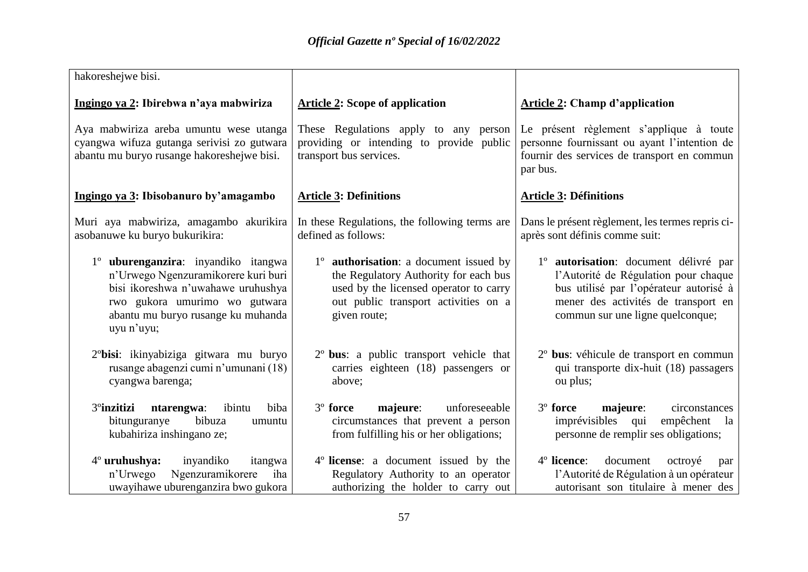| hakoreshejwe bisi.                                                                                                                                                                                    |                                                                                                                                                                                           |                                                                                                                                                                                                                |
|-------------------------------------------------------------------------------------------------------------------------------------------------------------------------------------------------------|-------------------------------------------------------------------------------------------------------------------------------------------------------------------------------------------|----------------------------------------------------------------------------------------------------------------------------------------------------------------------------------------------------------------|
| Ingingo ya 2: Ibirebwa n'aya mabwiriza                                                                                                                                                                | <b>Article 2: Scope of application</b>                                                                                                                                                    | <b>Article 2: Champ d'application</b>                                                                                                                                                                          |
| Aya mabwiriza areba umuntu wese utanga<br>cyangwa wifuza gutanga serivisi zo gutwara<br>abantu mu buryo rusange hakoreshejwe bisi.                                                                    | These Regulations apply to any person<br>providing or intending to provide public<br>transport bus services.                                                                              | Le présent règlement s'applique à toute<br>personne fournissant ou ayant l'intention de<br>fournir des services de transport en commun<br>par bus.                                                             |
| Ingingo ya 3: Ibisobanuro by'amagambo                                                                                                                                                                 | <b>Article 3: Definitions</b>                                                                                                                                                             | <b>Article 3: Définitions</b>                                                                                                                                                                                  |
| Muri aya mabwiriza, amagambo akurikira<br>asobanuwe ku buryo bukurikira:                                                                                                                              | In these Regulations, the following terms are<br>defined as follows:                                                                                                                      | Dans le présent règlement, les termes repris ci-<br>après sont définis comme suit:                                                                                                                             |
| 1° uburenganzira: inyandiko itangwa<br>n'Urwego Ngenzuramikorere kuri buri<br>bisi ikoreshwa n'uwahawe uruhushya<br>rwo gukora umurimo wo gutwara<br>abantu mu buryo rusange ku muhanda<br>uyu n'uyu; | 1° <b>authorisation</b> : a document issued by<br>the Regulatory Authority for each bus<br>used by the licensed operator to carry<br>out public transport activities on a<br>given route; | 1 <sup>°</sup> autorisation: document délivré par<br>l'Autorité de Régulation pour chaque<br>bus utilisé par l'opérateur autorisé à<br>mener des activités de transport en<br>commun sur une ligne quelconque; |
| 2 <sup>o</sup> bisi: ikinyabiziga gitwara mu buryo<br>rusange abagenzi cumi n'umunani (18)<br>cyangwa barenga;                                                                                        | 2 <sup>°</sup> bus: a public transport vehicle that<br>carries eighteen (18) passengers or<br>above;                                                                                      | 2 <sup>°</sup> bus: véhicule de transport en commun<br>qui transporte dix-huit (18) passagers<br>ou plus;                                                                                                      |
| 3 <sup>°</sup> inzitizi<br>biba<br>ntarengwa:<br>ibintu<br>bitunguranye<br>bibuza<br>umuntu<br>kubahiriza inshingano ze;                                                                              | majeure:<br>unforeseeable<br>3 <sup>°</sup> force<br>circumstances that prevent a person<br>from fulfilling his or her obligations;                                                       | 3 <sup>°</sup> force<br>majeure:<br>circonstances<br>imprévisibles qui<br>empêchent<br>la<br>personne de remplir ses obligations;                                                                              |
| $4^\circ$ uruhushya:<br>inyandiko<br>itangwa<br>Ngenzuramikorere<br>n'Urwego<br>iha<br>uwayihawe uburenganzira bwo gukora                                                                             | 4 <sup>°</sup> license: a document issued by the<br>Regulatory Authority to an operator<br>authorizing the holder to carry out                                                            | 4° licence:<br>document<br>octroyé<br>par<br>l'Autorité de Régulation à un opérateur<br>autorisant son titulaire à mener des                                                                                   |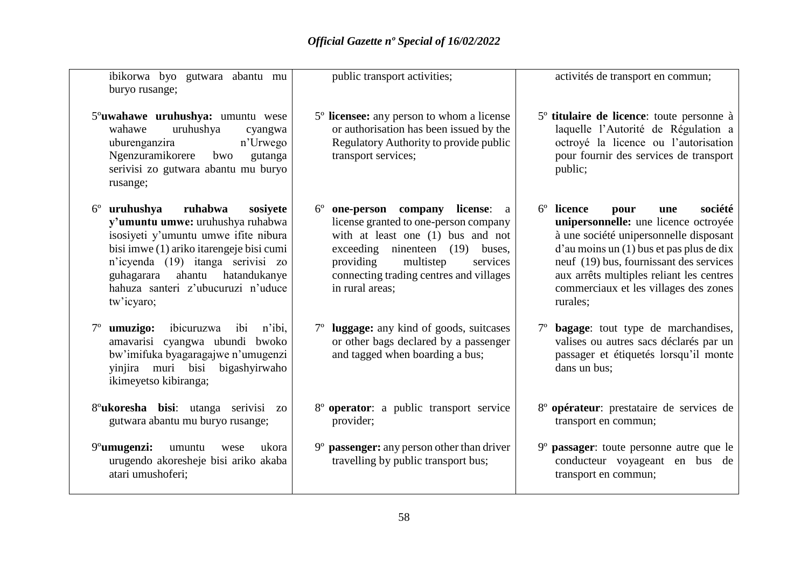ibikorwa byo gutwara abantu mu buryo rusange;

5º**uwahawe uruhushya:** umuntu wese wahawe uruhushya cyangwa uburenganzira n'Urwego Ngenzuramikorere bwo gutanga serivisi zo gutwara abantu mu buryo rusange;

6º **uruhushya ruhabwa sosiyete y'umuntu umwe:** uruhushya ruhabwa isosiyeti y'umuntu umwe ifite nibura bisi imwe (1) ariko itarengeje bisi cumi n'icyenda (19) itanga serivisi zo guhagarara ahantu hatandukanye hahuza santeri z'ubucuruzi n'uduce tw'icyaro;

- 7º **umuzigo:** ibicuruzwa ibi n'ibi, amavarisi cyangwa ubundi bwoko bw'imifuka byagaragajwe n'umugenzi yinjira muri bisi bigashyirwaho ikimeyetso kibiranga;
- 8º**ukoresha bisi**: utanga serivisi zo gutwara abantu mu buryo rusange;

9º**umugenzi:** umuntu wese ukora urugendo akoresheje bisi ariko akaba atari umushoferi;

public transport activities;

- 5º **licensee:** any person to whom a license or authorisation has been issued by the Regulatory Authority to provide public transport services;
- 6º **one-person company license**: a license granted to one-person company with at least one (1) bus and not exceeding ninenteen (19) buses, providing multistep services connecting trading centres and villages in rural areas;
- 7º **luggage:** any kind of goods, suitcases or other bags declared by a passenger and tagged when boarding a bus;
- 8º **operator**: a public transport service provider;
- 9º **passenger:** any person other than driver travelling by public transport bus;

activités de transport en commun;

- 5º **titulaire de licence**: toute personne à laquelle l'Autorité de Régulation a octroyé la licence ou l'autorisation pour fournir des services de transport public;
- 6º **licence pour une société unipersonnelle:** une licence octroyée à une société unipersonnelle disposant d'au moins un (1) bus et pas plus de dix neuf (19) bus, fournissant des services aux arrêts multiples reliant les centres commerciaux et les villages des zones rurales;
- 7º **bagage**: tout type de marchandises, valises ou autres sacs déclarés par un passager et étiquetés lorsqu'il monte dans un bus;
- 8º **opérateur**: prestataire de services de transport en commun;
- 9º **passager**: toute personne autre que le conducteur voyageant en bus de transport en commun;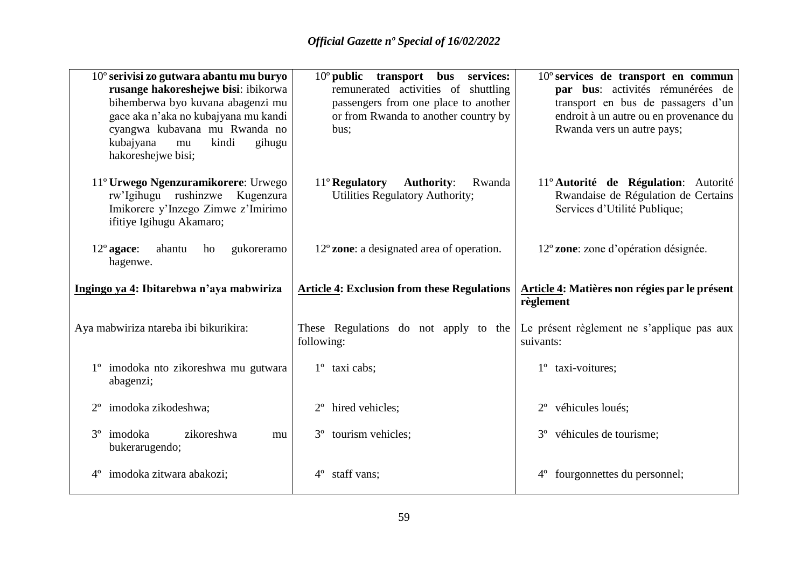| $10^{\circ}$ serivisi zo gutwara abantu mu buryo<br>rusange hakoreshejwe bisi: ibikorwa<br>bihemberwa byo kuvana abagenzi mu<br>gace aka n'aka no kubajyana mu kandi<br>cyangwa kubavana mu Rwanda no<br>kubajyana<br>kindi<br>gihugu<br>mu<br>hakoreshejwe bisi; | $10^{\circ}$ public<br>transport<br>services:<br><b>bus</b><br>remunerated activities of shuttling<br>passengers from one place to another<br>or from Rwanda to another country by<br>bus; | $10^{\circ}$ services de transport en commun<br>par bus: activités rémunérées de<br>transport en bus de passagers d'un<br>endroit à un autre ou en provenance du<br>Rwanda vers un autre pays; |
|-------------------------------------------------------------------------------------------------------------------------------------------------------------------------------------------------------------------------------------------------------------------|--------------------------------------------------------------------------------------------------------------------------------------------------------------------------------------------|------------------------------------------------------------------------------------------------------------------------------------------------------------------------------------------------|
| 11° Urwego Ngenzuramikorere: Urwego<br>rw'Igihugu rushinzwe<br>Kugenzura<br>Imikorere y'Inzego Zimwe z'Imirimo<br>ifitiye Igihugu Akamaro;                                                                                                                        | 11° Regulatory Authority:<br>Rwanda<br>Utilities Regulatory Authority;                                                                                                                     | 11º Autorité de Régulation: Autorité<br>Rwandaise de Régulation de Certains<br>Services d'Utilité Publique;                                                                                    |
| $12^{\circ}$ agace:<br>ahantu<br>gukoreramo<br>ho<br>hagenwe.                                                                                                                                                                                                     | $12^{\circ}$ zone: a designated area of operation.                                                                                                                                         | 12° zone: zone d'opération désignée.                                                                                                                                                           |
| Ingingo ya 4: Ibitarebwa n'aya mabwiriza                                                                                                                                                                                                                          | <b>Article 4: Exclusion from these Regulations</b>                                                                                                                                         | Article 4: Matières non régies par le présent<br>règlement                                                                                                                                     |
| Aya mabwiriza ntareba ibi bikurikira:                                                                                                                                                                                                                             | These Regulations do not apply to the<br>following:                                                                                                                                        | Le présent règlement ne s'applique pas aux<br>suivants:                                                                                                                                        |
| 1° imodoka nto zikoreshwa mu gutwara<br>abagenzi;                                                                                                                                                                                                                 | 1° taxi cabs;                                                                                                                                                                              | taxi-voitures;                                                                                                                                                                                 |
| imodoka zikodeshwa;<br>$2^{\circ}$                                                                                                                                                                                                                                | hired vehicles;<br>$2^{\circ}$                                                                                                                                                             | véhicules loués;                                                                                                                                                                               |
| 3 <sup>°</sup> imodoka<br>zikoreshwa<br>mu<br>bukerarugendo;                                                                                                                                                                                                      | tourism vehicles;<br>$3^{\circ}$                                                                                                                                                           | 3° véhicules de tourisme;                                                                                                                                                                      |
| imodoka zitwara abakozi;<br>$4^{\circ}$                                                                                                                                                                                                                           | staff vans;<br>$4^{\circ}$                                                                                                                                                                 | fourgonnettes du personnel;                                                                                                                                                                    |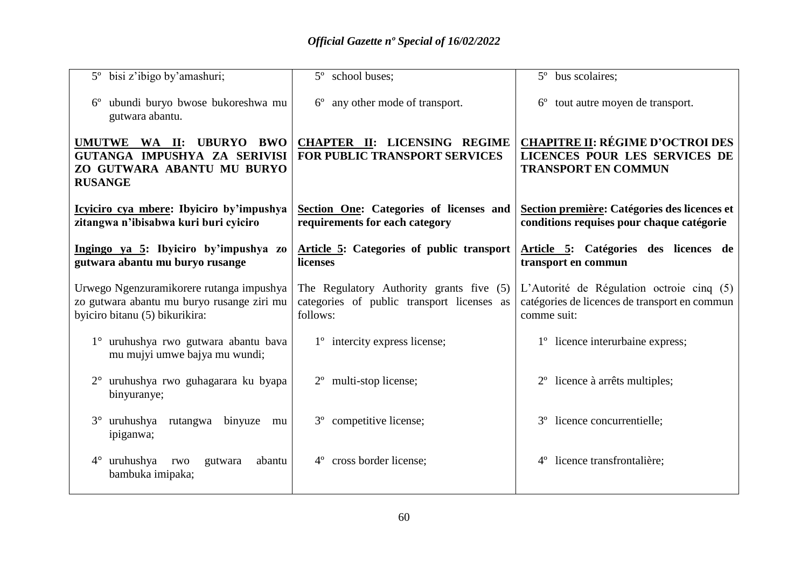| 5° bisi z'ibigo by'amashuri;                                                                                             | 5° school buses;                                                                                   | 5° bus scolaires;                                                                                         |
|--------------------------------------------------------------------------------------------------------------------------|----------------------------------------------------------------------------------------------------|-----------------------------------------------------------------------------------------------------------|
| ubundi buryo bwose bukoreshwa mu<br>gutwara abantu.                                                                      | any other mode of transport.<br>$6^{\circ}$                                                        | 6° tout autre moyen de transport.                                                                         |
| UMUTWE WA II:<br>UBURYO BWO<br>GUTANGA IMPUSHYA ZA SERIVISI<br>ZO GUTWARA ABANTU MU BURYO<br><b>RUSANGE</b>              | <b>CHAPTER II: LICENSING REGIME</b><br><b>FOR PUBLIC TRANSPORT SERVICES</b>                        | <b>CHAPITRE II: RÉGIME D'OCTROI DES</b><br>LICENCES POUR LES SERVICES DE<br><b>TRANSPORT EN COMMUN</b>    |
| Icyiciro cya mbere: Ibyiciro by'impushya<br>zitangwa n'ibisabwa kuri buri cyiciro                                        | Section One: Categories of licenses and<br>requirements for each category                          | Section première: Catégories des licences et<br>conditions requises pour chaque catégorie                 |
| Ingingo ya 5: Ibyiciro by'impushya zo<br>gutwara abantu mu buryo rusange                                                 | Article 5: Categories of public transport<br>licenses                                              | Article 5: Catégories des licences de<br>transport en commun                                              |
| Urwego Ngenzuramikorere rutanga impushya<br>zo gutwara abantu mu buryo rusange ziri mu<br>byiciro bitanu (5) bikurikira: | The Regulatory Authority grants five (5)<br>categories of public transport licenses as<br>follows: | L'Autorité de Régulation octroie cinq (5)<br>catégories de licences de transport en commun<br>comme suit: |
| 1° uruhushya rwo gutwara abantu bava<br>mu mujyi umwe bajya mu wundi;                                                    | 1 <sup>°</sup> intercity express license;                                                          | 1 <sup>°</sup> licence interurbaine express;                                                              |
| uruhushya rwo guhagarara ku byapa<br>binyuranye;                                                                         | multi-stop license;                                                                                | licence à arrêts multiples;                                                                               |
| uruhushya rutangwa binyuze<br>$3^\circ$<br>mu<br>ipiganwa;                                                               | 3° competitive license;                                                                            | 3° licence concurrentielle;                                                                               |
| uruhushya<br>$4^{\circ}$<br>rwo<br>abantu<br>gutwara<br>bambuka imipaka;                                                 | cross border license;<br>$4^{\circ}$                                                               | licence transfrontalière;<br>$4^{\circ}$                                                                  |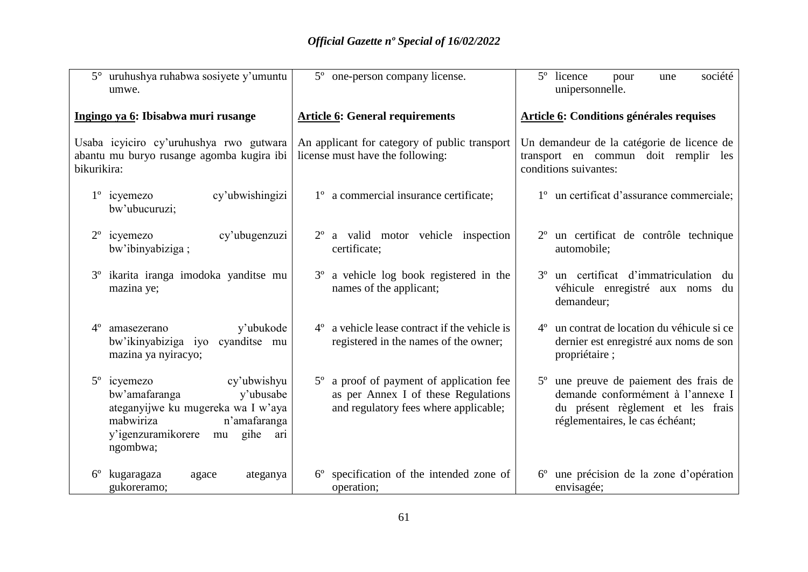|             | 5° uruhushya ruhabwa sosiyete y'umuntu<br>umwe.                                                                                                                                    | 5° one-person company license.                                                                                           | 5° licence<br>société<br>pour<br>une<br>unipersonnelle.                                                                                                         |
|-------------|------------------------------------------------------------------------------------------------------------------------------------------------------------------------------------|--------------------------------------------------------------------------------------------------------------------------|-----------------------------------------------------------------------------------------------------------------------------------------------------------------|
|             | Ingingo ya 6: Ibisabwa muri rusange                                                                                                                                                | <b>Article 6: General requirements</b>                                                                                   | <b>Article 6: Conditions générales requises</b>                                                                                                                 |
| bikurikira: | Usaba icyiciro cy'uruhushya rwo gutwara<br>abantu mu buryo rusange agomba kugira ibi                                                                                               | An applicant for category of public transport<br>license must have the following:                                        | Un demandeur de la catégorie de licence de<br>transport en commun doit remplir les<br>conditions suivantes:                                                     |
|             | cy'ubwishingizi<br>$1^{\circ}$ icyemezo<br>bw'ubucuruzi;                                                                                                                           | 1° a commercial insurance certificate;                                                                                   | 1° un certificat d'assurance commerciale;                                                                                                                       |
| $2^{\circ}$ | cy'ubugenzuzi<br>icyemezo<br>bw'ibinyabiziga;                                                                                                                                      | $2^{\circ}$ a valid motor vehicle inspection<br>certificate;                                                             | 2 <sup>°</sup> un certificat de contrôle technique<br>automobile;                                                                                               |
| $3^{\circ}$ | ikarita iranga imodoka yanditse mu<br>mazina ye;                                                                                                                                   | 3° a vehicle log book registered in the<br>names of the applicant;                                                       | 3 <sup>°</sup> un certificat d'immatriculation du<br>véhicule enregistré aux noms<br>du<br>demandeur;                                                           |
| $4^{\circ}$ | y'ubukode<br>amasezerano<br>bw'ikinyabiziga iyo cyanditse mu<br>mazina ya nyiracyo;                                                                                                | $4^{\circ}$ a vehicle lease contract if the vehicle is<br>registered in the names of the owner;                          | 4 <sup>°</sup> un contrat de location du véhicule si ce<br>dernier est enregistré aux noms de son<br>propriétaire;                                              |
|             | 5° icyemezo<br>cy'ubwishyu<br>y'ubusabe<br>bw'amafaranga<br>ateganyijwe ku mugereka wa I w'aya<br>n'amafaranga<br>mabwiriza<br>y'igenzuramikorere<br>gihe<br>mu<br>ari<br>ngombwa; | 5° a proof of payment of application fee<br>as per Annex I of these Regulations<br>and regulatory fees where applicable; | 5 <sup>°</sup> une preuve de paiement des frais de<br>demande conformément à l'annexe I<br>du présent règlement et les frais<br>réglementaires, le cas échéant; |
| $6^{\circ}$ | kugaragaza<br>ateganya<br>agace<br>gukoreramo;                                                                                                                                     | specification of the intended zone of<br>$6^{\circ}$<br>operation;                                                       | 6° une précision de la zone d'opération<br>envisagée;                                                                                                           |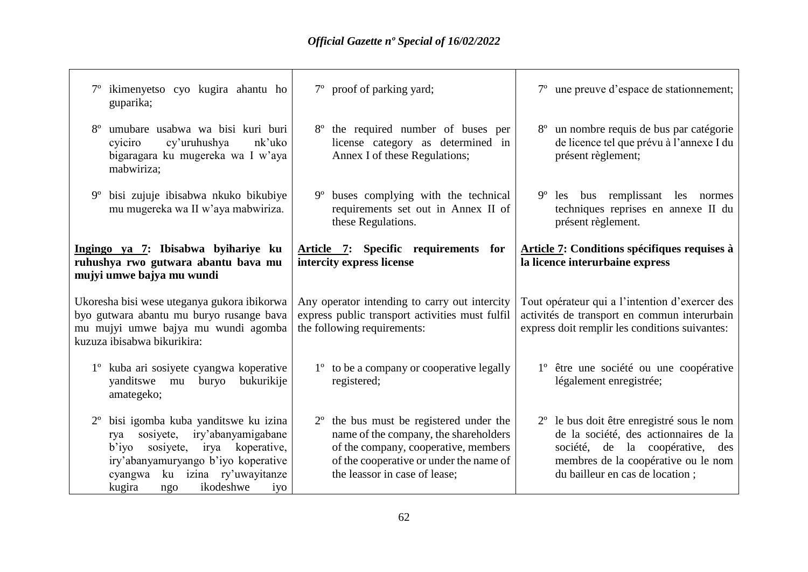$\overline{\phantom{0}}$ 

| guparika;                                                                                                                                                     | ikimenyetso cyo kugira ahantu ho                                                                                                                                                                 |             | 7° proof of parking yard;                                                                                                                                                                              | 7° une preuve d'espace de stationnement;                                                                                                                                                                        |
|---------------------------------------------------------------------------------------------------------------------------------------------------------------|--------------------------------------------------------------------------------------------------------------------------------------------------------------------------------------------------|-------------|--------------------------------------------------------------------------------------------------------------------------------------------------------------------------------------------------------|-----------------------------------------------------------------------------------------------------------------------------------------------------------------------------------------------------------------|
| $8^{\circ}$<br>cyiciro                                                                                                                                        | umubare usabwa wa bisi kuri buri<br>cy'uruhushya<br>nk'uko<br>bigaragara ku mugereka wa I w'aya<br>mabwiriza;                                                                                    |             | 8° the required number of buses per<br>license category as determined in<br>Annex I of these Regulations;                                                                                              | un nombre requis de bus par catégorie<br>de licence tel que prévu à l'annexe I du<br>présent règlement;                                                                                                         |
| $9^{\circ}$                                                                                                                                                   | bisi zujuje ibisabwa nkuko bikubiye<br>mu mugereka wa II w'aya mabwiriza.                                                                                                                        | $9^{\circ}$ | buses complying with the technical<br>requirements set out in Annex II of<br>these Regulations.                                                                                                        | 9 <sup>°</sup> les bus remplissant les normes<br>techniques reprises en annexe II du<br>présent règlement.                                                                                                      |
|                                                                                                                                                               | Ingingo ya 7: Ibisabwa byihariye ku<br>ruhushya rwo gutwara abantu bava mu<br>mujyi umwe bajya mu wundi                                                                                          |             | Article 7: Specific requirements for<br>intercity express license                                                                                                                                      | Article 7: Conditions spécifiques requises à<br>la licence interurbaine express                                                                                                                                 |
| Ukoresha bisi wese uteganya gukora ibikorwa<br>byo gutwara abantu mu buryo rusange bava<br>mu mujyi umwe bajya mu wundi agomba<br>kuzuza ibisabwa bikurikira: |                                                                                                                                                                                                  |             | Any operator intending to carry out intercity<br>express public transport activities must fulfil<br>the following requirements:                                                                        | Tout opérateur qui a l'intention d'exercer des<br>activités de transport en commun interurbain<br>express doit remplir les conditions suivantes:                                                                |
|                                                                                                                                                               | 1 <sup>°</sup> kuba ari sosiyete cyangwa koperative<br>yanditswe mu<br>buryo<br>bukurikije<br>amategeko;                                                                                         |             | 1° to be a company or cooperative legally<br>registered;                                                                                                                                               | 1° être une société ou une coopérative<br>légalement enregistrée;                                                                                                                                               |
| rya<br>$b'$ iyo<br>cyangwa<br>kugira                                                                                                                          | bisi igomba kuba yanditswe ku izina<br>iry'abanyamigabane<br>sosiyete,<br>sosiyete, irya koperative,<br>iry'abanyamuryango b'iyo koperative<br>ku izina ry'uwayitanze<br>ikodeshwe<br>iyo<br>ngo |             | $2o$ the bus must be registered under the<br>name of the company, the shareholders<br>of the company, cooperative, members<br>of the cooperative or under the name of<br>the leassor in case of lease; | 2 <sup>°</sup> le bus doit être enregistré sous le nom<br>de la société, des actionnaires de la<br>société, de la coopérative,<br>des<br>membres de la coopérative ou le nom<br>du bailleur en cas de location; |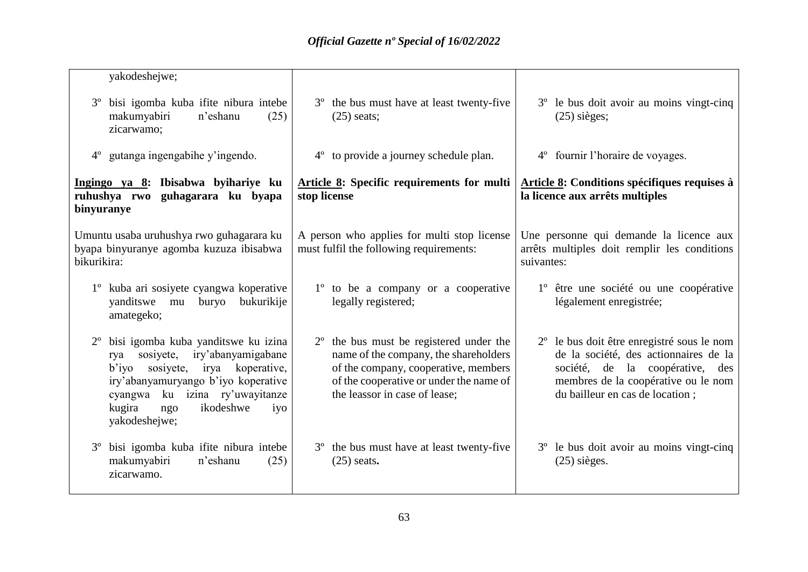| yakodeshejwe;                                                                                                                                                                                                                                             |                                                                                                                                                                                                               |                                                                                                                                                                                                                 |
|-----------------------------------------------------------------------------------------------------------------------------------------------------------------------------------------------------------------------------------------------------------|---------------------------------------------------------------------------------------------------------------------------------------------------------------------------------------------------------------|-----------------------------------------------------------------------------------------------------------------------------------------------------------------------------------------------------------------|
| bisi igomba kuba ifite nibura intebe<br>$3^{\circ}$<br>makumyabiri<br>n'eshanu<br>(25)<br>zicarwamo;                                                                                                                                                      | 3 <sup>°</sup> the bus must have at least twenty-five<br>$(25)$ seats;                                                                                                                                        | 3° le bus doit avoir au moins vingt-cinq<br>$(25)$ sièges;                                                                                                                                                      |
| $4^{\circ}$ gutanga ingengabihe y'ingendo.                                                                                                                                                                                                                | 4 <sup>°</sup> to provide a journey schedule plan.                                                                                                                                                            | 4° fournir l'horaire de voyages.                                                                                                                                                                                |
| Ingingo ya 8: Ibisabwa byihariye ku<br>ruhushya rwo guhagarara ku byapa<br>binyuranye                                                                                                                                                                     | Article 8: Specific requirements for multi<br>stop license                                                                                                                                                    | Article 8: Conditions spécifiques requises à<br>la licence aux arrêts multiples                                                                                                                                 |
| Umuntu usaba uruhushya rwo guhagarara ku<br>byapa binyuranye agomba kuzuza ibisabwa<br>bikurikira:                                                                                                                                                        | A person who applies for multi stop license<br>must fulfil the following requirements:                                                                                                                        | Une personne qui demande la licence aux<br>arrêts multiples doit remplir les conditions<br>suivantes:                                                                                                           |
| 1 <sup>°</sup> kuba ari sosiyete cyangwa koperative<br>vanditswe mu<br>bukurikije<br>buryo<br>amategeko;                                                                                                                                                  | 1 <sup>°</sup> to be a company or a cooperative<br>legally registered;                                                                                                                                        | 1° être une société ou une coopérative<br>légalement enregistrée;                                                                                                                                               |
| bisi igomba kuba yanditswe ku izina<br>iry'abanyamigabane<br>sosiyete,<br>rya<br>sosiyete,<br>irya koperative,<br>$b'$ iyo<br>iry'abanyamuryango b'iyo koperative<br>cyangwa ku izina ry'uwayitanze<br>ikodeshwe<br>kugira<br>iyo<br>ngo<br>yakodeshejwe; | $2^{\circ}$ the bus must be registered under the<br>name of the company, the shareholders<br>of the company, cooperative, members<br>of the cooperative or under the name of<br>the leassor in case of lease; | 2 <sup>°</sup> le bus doit être enregistré sous le nom<br>de la société, des actionnaires de la<br>société, de la coopérative,<br>des<br>membres de la coopérative ou le nom<br>du bailleur en cas de location; |
| bisi igomba kuba ifite nibura intebe<br>$3^{\circ}$<br>makumyabiri<br>n'eshanu<br>(25)<br>zicarwamo.                                                                                                                                                      | 3 <sup>°</sup> the bus must have at least twenty-five<br>$(25)$ seats.                                                                                                                                        | 3 <sup>°</sup> le bus doit avoir au moins vingt-cinq<br>$(25)$ sièges.                                                                                                                                          |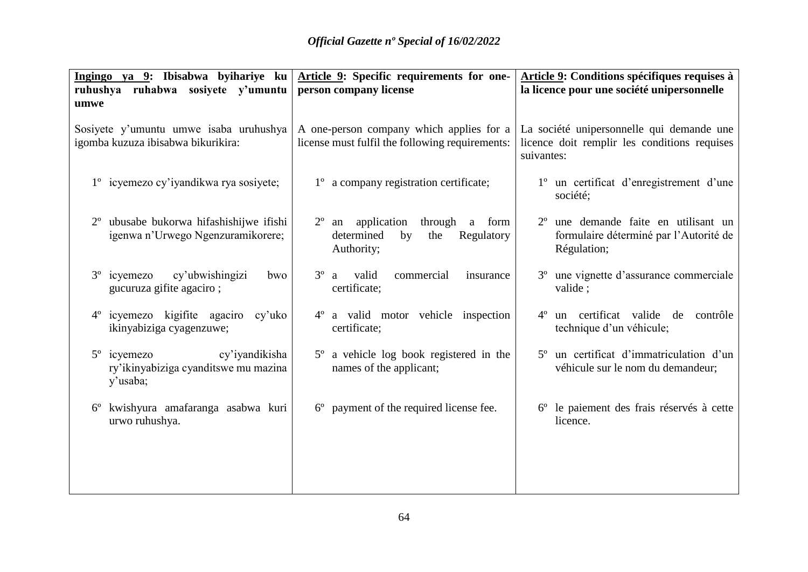|                                                                       | Ingingo ya 9: Ibisabwa byihariye ku $\Delta$ rticle 9: Specific requirements for one- | Article 9: Conditions spécifiques requises à                                 |
|-----------------------------------------------------------------------|---------------------------------------------------------------------------------------|------------------------------------------------------------------------------|
| ruhushya ruhabwa sosiyete y'umuntu                                    | person company license                                                                | la licence pour une société unipersonnelle                                   |
| umwe                                                                  |                                                                                       |                                                                              |
| Sosiyete y'umuntu umwe isaba uruhushya                                | A one-person company which applies for a                                              | La société unipersonnelle qui demande une                                    |
| igomba kuzuza ibisabwa bikurikira:                                    | license must fulfil the following requirements:                                       | licence doit remplir les conditions requises                                 |
|                                                                       |                                                                                       | suivantes:                                                                   |
| 1° icyemezo cy'iyandikwa rya sosiyete;                                | 1 <sup>°</sup> a company registration certificate;                                    | 1° un certificat d'enregistrement d'une<br>société;                          |
| ubusabe bukorwa hifashishijwe ifishi<br>$2^{\circ}$                   | $2^{\circ}$ an application through a form                                             | 2 <sup>°</sup> une demande faite en utilisant un                             |
| igenwa n'Urwego Ngenzuramikorere;                                     | determined<br>by<br>Regulatory<br>the                                                 | formulaire déterminé par l'Autorité de                                       |
|                                                                       | Authority;                                                                            | Régulation;                                                                  |
| cy'ubwishingizi<br>3 <sup>°</sup> icyemezo<br>bwo                     | valid<br>$3^{\circ}$<br>commercial<br>insurance<br>a                                  | 3 <sup>°</sup> une vignette d'assurance commerciale                          |
| gucuruza gifite agaciro;                                              | certificate;                                                                          | valide;                                                                      |
| 4 <sup>°</sup> icyemezo kigifite agaciro cy'uko                       | 4° a valid motor vehicle inspection                                                   | un certificat valide de<br>contrôle<br>$4^{\circ}$                           |
| ikinyabiziga cyagenzuwe;                                              | certificate;                                                                          | technique d'un véhicule;                                                     |
|                                                                       |                                                                                       |                                                                              |
| 5° icyemezo<br>cy'iyandikisha<br>ry'ikinyabiziga cyanditswe mu mazina | 5° a vehicle log book registered in the<br>names of the applicant;                    | 5° un certificat d'immatriculation d'un<br>véhicule sur le nom du demandeur; |
| y'usaba;                                                              |                                                                                       |                                                                              |
| 6° kwishyura amafaranga asabwa kuri                                   | 6° payment of the required license fee.                                               | 6° le paiement des frais réservés à cette                                    |
| urwo ruhushya.                                                        |                                                                                       | licence.                                                                     |
|                                                                       |                                                                                       |                                                                              |
|                                                                       |                                                                                       |                                                                              |
|                                                                       |                                                                                       |                                                                              |
|                                                                       |                                                                                       |                                                                              |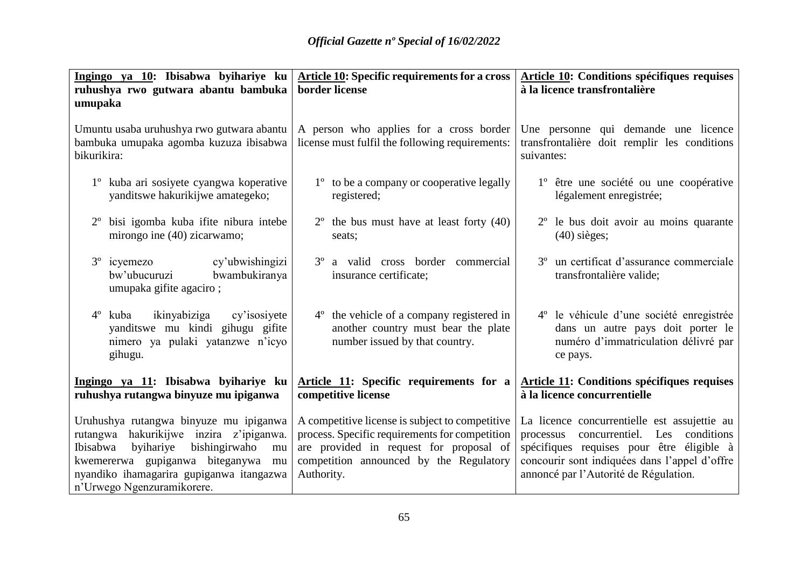| Ingingo ya 10: Ibisabwa byihariye ku                                                                                                   | <b>Article 10: Specific requirements for a cross</b>                                                                           | <b>Article 10: Conditions spécifiques requises</b>                                                                                            |
|----------------------------------------------------------------------------------------------------------------------------------------|--------------------------------------------------------------------------------------------------------------------------------|-----------------------------------------------------------------------------------------------------------------------------------------------|
| ruhushya rwo gutwara abantu bambuka<br>umupaka                                                                                         | border license                                                                                                                 | à la licence transfrontalière                                                                                                                 |
|                                                                                                                                        |                                                                                                                                |                                                                                                                                               |
| Umuntu usaba uruhushya rwo gutwara abantu                                                                                              | A person who applies for a cross border                                                                                        | Une personne qui demande une licence                                                                                                          |
| bambuka umupaka agomba kuzuza ibisabwa<br>bikurikira:                                                                                  | license must fulfil the following requirements:                                                                                | transfrontalière doit remplir les conditions<br>suivantes:                                                                                    |
| 1° kuba ari sosiyete cyangwa koperative<br>yanditswe hakurikijwe amategeko;                                                            | 1 <sup>°</sup> to be a company or cooperative legally<br>registered;                                                           | 1° être une société ou une coopérative<br>légalement enregistrée;                                                                             |
| bisi igomba kuba ifite nibura intebe<br>mirongo ine (40) zicarwamo;                                                                    | $2^{\circ}$ the bus must have at least forty (40)<br>seats;                                                                    | 2 <sup>°</sup> le bus doit avoir au moins quarante<br>$(40)$ sièges;                                                                          |
| cy'ubwishingizi<br>$3^{\circ}$ icyemezo<br>bw'ubucuruzi<br>bwambukiranya<br>umupaka gifite agaciro;                                    | 3° a valid cross border commercial<br>insurance certificate;                                                                   | 3 <sup>°</sup> un certificat d'assurance commerciale<br>transfrontalière valide;                                                              |
| ikinyabiziga<br>$4^{\circ}$<br>kuba<br>cy'isosiyete<br>yanditswe mu kindi gihugu gifite<br>nimero ya pulaki yatanzwe n'icyo<br>gihugu. | 4 <sup>°</sup> the vehicle of a company registered in<br>another country must bear the plate<br>number issued by that country. | 4 <sup>°</sup> le véhicule d'une société enregistrée<br>dans un autre pays doit porter le<br>numéro d'immatriculation délivré par<br>ce pays. |
| Ingingo ya 11: Ibisabwa byihariye ku<br>ruhushya rutangwa binyuze mu ipiganwa                                                          | Article 11: Specific requirements for a<br>competitive license                                                                 | <b>Article 11: Conditions spécifiques requises</b><br>à la licence concurrentielle                                                            |
| Uruhushya rutangwa binyuze mu ipiganwa                                                                                                 | A competitive license is subject to competitive                                                                                | La licence concurrentielle est assujettie au                                                                                                  |
| rutangwa hakurikijwe inzira z'ipiganwa.                                                                                                | process. Specific requirements for competition                                                                                 | concurrentiel. Les<br>conditions<br>processus                                                                                                 |
| Ibisabwa<br>byihariye<br>bishingirwaho<br>mu<br>kwemererwa gupiganwa biteganywa mu                                                     | are provided in request for proposal of<br>competition announced by the Regulatory                                             | spécifiques requises pour être éligible à<br>concourir sont indiquées dans l'appel d'offre                                                    |
| nyandiko ihamagarira gupiganwa itangazwa                                                                                               | Authority.                                                                                                                     | annoncé par l'Autorité de Régulation.                                                                                                         |
| n'Urwego Ngenzuramikorere.                                                                                                             |                                                                                                                                |                                                                                                                                               |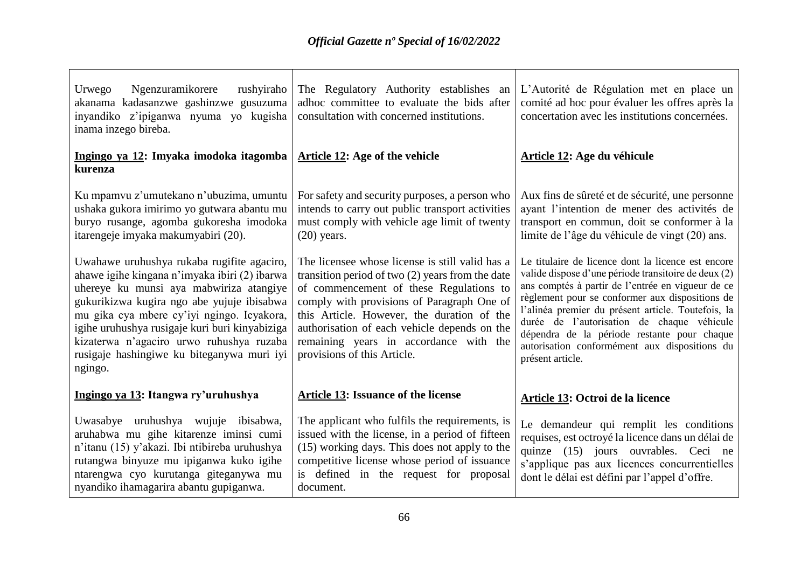| Ngenzuramikorere<br>Urwego<br>rushyiraho<br>akanama kadasanzwe gashinzwe gusuzuma<br>inyandiko z'ipiganwa nyuma yo kugisha<br>inama inzego bireba.                                                                                                                                                                                                                                        | The Regulatory Authority establishes an<br>adhoc committee to evaluate the bids after<br>consultation with concerned institutions.                                                                                                                                                                                                                                    | L'Autorité de Régulation met en place un<br>comité ad hoc pour évaluer les offres après la<br>concertation avec les institutions concernées.                                                                                                                                                                                                                                                                                               |
|-------------------------------------------------------------------------------------------------------------------------------------------------------------------------------------------------------------------------------------------------------------------------------------------------------------------------------------------------------------------------------------------|-----------------------------------------------------------------------------------------------------------------------------------------------------------------------------------------------------------------------------------------------------------------------------------------------------------------------------------------------------------------------|--------------------------------------------------------------------------------------------------------------------------------------------------------------------------------------------------------------------------------------------------------------------------------------------------------------------------------------------------------------------------------------------------------------------------------------------|
| Ingingo ya 12: Imyaka imodoka itagomba<br>kurenza                                                                                                                                                                                                                                                                                                                                         | <b>Article 12: Age of the vehicle</b>                                                                                                                                                                                                                                                                                                                                 | Article 12: Age du véhicule                                                                                                                                                                                                                                                                                                                                                                                                                |
| Ku mpamvu z'umutekano n'ubuzima, umuntu<br>ushaka gukora imirimo yo gutwara abantu mu<br>buryo rusange, agomba gukoresha imodoka<br>itarengeje imyaka makumyabiri (20).                                                                                                                                                                                                                   | For safety and security purposes, a person who<br>intends to carry out public transport activities<br>must comply with vehicle age limit of twenty<br>$(20)$ years.                                                                                                                                                                                                   | Aux fins de sûreté et de sécurité, une personne<br>ayant l'intention de mener des activités de<br>transport en commun, doit se conformer à la<br>limite de l'âge du véhicule de vingt (20) ans.                                                                                                                                                                                                                                            |
| Uwahawe uruhushya rukaba rugifite agaciro,<br>ahawe igihe kingana n'imyaka ibiri (2) ibarwa<br>uhereye ku munsi aya mabwiriza atangiye<br>gukurikizwa kugira ngo abe yujuje ibisabwa<br>mu gika cya mbere cy'iyi ngingo. Icyakora,<br>igihe uruhushya rusigaje kuri buri kinyabiziga<br>kizaterwa n'agaciro urwo ruhushya ruzaba<br>rusigaje hashingiwe ku biteganywa muri iyi<br>ngingo. | The licensee whose license is still valid has a<br>transition period of two $(2)$ years from the date<br>of commencement of these Regulations to<br>comply with provisions of Paragraph One of<br>this Article. However, the duration of the<br>authorisation of each vehicle depends on the<br>remaining years in accordance with the<br>provisions of this Article. | Le titulaire de licence dont la licence est encore<br>valide dispose d'une période transitoire de deux (2)<br>ans comptés à partir de l'entrée en vigueur de ce<br>règlement pour se conformer aux dispositions de<br>l'alinéa premier du présent article. Toutefois, la<br>durée de l'autorisation de chaque véhicule<br>dépendra de la période restante pour chaque<br>autorisation conformément aux dispositions du<br>présent article. |
| Ingingo ya 13: Itangwa ry'uruhushya                                                                                                                                                                                                                                                                                                                                                       | Article 13: Issuance of the license                                                                                                                                                                                                                                                                                                                                   | Article 13: Octroi de la licence                                                                                                                                                                                                                                                                                                                                                                                                           |
| Uwasabye uruhushya wujuje ibisabwa,<br>aruhabwa mu gihe kitarenze iminsi cumi<br>n'itanu (15) y'akazi. Ibi ntibireba uruhushya<br>rutangwa binyuze mu ipiganwa kuko igihe<br>ntarengwa cyo kurutanga giteganywa mu<br>nyandiko ihamagarira abantu gupiganwa.                                                                                                                              | The applicant who fulfils the requirements, is<br>issued with the license, in a period of fifteen<br>(15) working days. This does not apply to the<br>competitive license whose period of issuance<br>is defined in the request for proposal<br>document.                                                                                                             | Le demandeur qui remplit les conditions<br>requises, est octroyé la licence dans un délai de<br>quinze (15) jours ouvrables. Ceci ne<br>s'applique pas aux licences concurrentielles<br>dont le délai est défini par l'appel d'offre.                                                                                                                                                                                                      |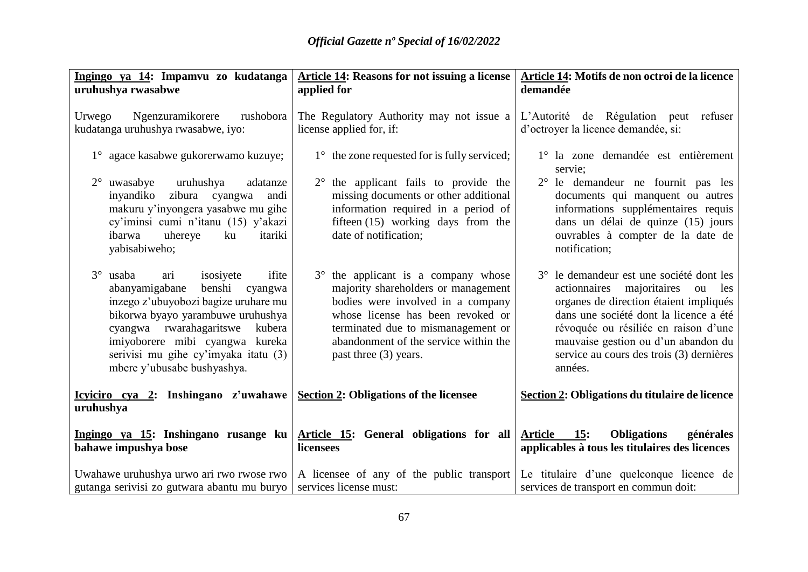| Ingingo ya 14: Impamvu zo kudatanga<br>uruhushya rwasabwe                                                                                                                                                                                                                                                          | Article 14: Reasons for not issuing a license<br>applied for                                                                                                                                                                                                 | Article 14: Motifs de non octroi de la licence<br>demandée                                                                                                                                                                                                                                                      |
|--------------------------------------------------------------------------------------------------------------------------------------------------------------------------------------------------------------------------------------------------------------------------------------------------------------------|--------------------------------------------------------------------------------------------------------------------------------------------------------------------------------------------------------------------------------------------------------------|-----------------------------------------------------------------------------------------------------------------------------------------------------------------------------------------------------------------------------------------------------------------------------------------------------------------|
| Ngenzuramikorere<br>rushobora<br>Urwego<br>kudatanga uruhushya rwasabwe, iyo:                                                                                                                                                                                                                                      | The Regulatory Authority may not issue a<br>license applied for, if:                                                                                                                                                                                         | L'Autorité de Régulation peut refuser<br>d'octroyer la licence demandée, si:                                                                                                                                                                                                                                    |
| 1° agace kasabwe gukorerwamo kuzuye;<br>$2^{\circ}$ uwasabye<br>uruhushya<br>adatanze<br>inyandiko zibura<br>cyangwa<br>andi<br>makuru y'inyongera yasabwe mu gihe<br>cy'iminsi cumi n'itanu (15) y'akazi<br>itariki<br>ibarwa<br>uhereye<br>ku<br>yabisabiweho;                                                   | $1^{\circ}$ the zone requested for is fully serviced;<br>$2^{\circ}$ the applicant fails to provide the<br>missing documents or other additional<br>information required in a period of<br>fifteen $(15)$ working days from the<br>date of notification;     | 1° la zone demandée est entièrement<br>servie;<br>2° le demandeur ne fournit pas les<br>documents qui manquent ou autres<br>informations supplémentaires requis<br>dans un délai de quinze (15) jours<br>ouvrables à compter de la date de<br>notification;                                                     |
| $3^\circ$<br>usaba<br>isosiyete<br>ifite<br>ari<br>benshi<br>abanyamigabane<br>cyangwa<br>inzego z'ubuyobozi bagize uruhare mu<br>bikorwa byayo yarambuwe uruhushya<br>cyangwa rwarahagaritswe<br>kubera<br>imiyoborere mibi cyangwa kureka<br>serivisi mu gihe cy'imyaka itatu (3)<br>mbere y'ubusabe bushyashya. | 3° the applicant is a company whose<br>majority shareholders or management<br>bodies were involved in a company<br>whose license has been revoked or<br>terminated due to mismanagement or<br>abandonment of the service within the<br>past three (3) years. | 3° le demandeur est une société dont les<br>actionnaires<br>majoritaires<br>ou<br>les<br>organes de direction étaient impliqués<br>dans une société dont la licence a été<br>révoquée ou résiliée en raison d'une<br>mauvaise gestion ou d'un abandon du<br>service au cours des trois (3) dernières<br>années. |
| Icyiciro cya 2: Inshingano z'uwahawe<br>uruhushya                                                                                                                                                                                                                                                                  | Section 2: Obligations of the licensee                                                                                                                                                                                                                       | Section 2: Obligations du titulaire de licence                                                                                                                                                                                                                                                                  |
| Ingingo ya 15: Inshingano rusange ku<br>bahawe impushya bose                                                                                                                                                                                                                                                       | Article 15: General obligations for all<br>licensees                                                                                                                                                                                                         | 15:<br><b>Obligations</b><br>générales<br><b>Article</b><br>applicables à tous les titulaires des licences                                                                                                                                                                                                      |
| Uwahawe uruhushya urwo ari rwo rwose rwo  <br>gutanga serivisi zo gutwara abantu mu buryo                                                                                                                                                                                                                          | A licensee of any of the public transport<br>services license must:                                                                                                                                                                                          | Le titulaire d'une quelconque licence de<br>services de transport en commun doit:                                                                                                                                                                                                                               |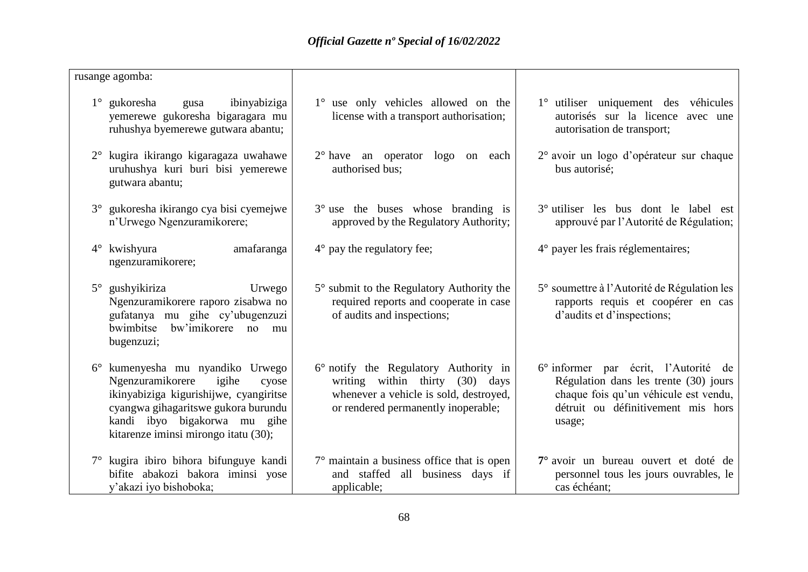| rusange agomba:                                                                                                                                                                                                              |                                                                                                                                                           |                                                                                                                                                                        |
|------------------------------------------------------------------------------------------------------------------------------------------------------------------------------------------------------------------------------|-----------------------------------------------------------------------------------------------------------------------------------------------------------|------------------------------------------------------------------------------------------------------------------------------------------------------------------------|
| $1^\circ$ gukoresha<br>ibinyabiziga<br>gusa<br>yemerewe gukoresha bigaragara mu<br>ruhushya byemerewe gutwara abantu;                                                                                                        | 1° use only vehicles allowed on the<br>license with a transport authorisation;                                                                            | 1° utiliser uniquement des véhicules<br>autorisés sur la licence avec une<br>autorisation de transport;                                                                |
| kugira ikirango kigaragaza uwahawe<br>$2^{\circ}$<br>uruhushya kuri buri bisi yemerewe<br>gutwara abantu;                                                                                                                    | $2^{\circ}$ have an operator logo on each<br>authorised bus;                                                                                              | 2° avoir un logo d'opérateur sur chaque<br>bus autorisé;                                                                                                               |
| 3° gukoresha ikirango cya bisi cyemejwe<br>n'Urwego Ngenzuramikorere;                                                                                                                                                        | $3^\circ$ use the buses whose branding is<br>approved by the Regulatory Authority;                                                                        | 3° utiliser les bus dont le label est<br>approuvé par l'Autorité de Régulation;                                                                                        |
| $4^\circ$ kwishyura<br>amafaranga<br>ngenzuramikorere;                                                                                                                                                                       | $4^{\circ}$ pay the regulatory fee;                                                                                                                       | $4^{\circ}$ payer les frais réglementaires;                                                                                                                            |
| gushyikiriza<br>$5^\circ$<br>Urwego<br>Ngenzuramikorere raporo zisabwa no<br>gufatanya mu gihe cy'ubugenzuzi<br>bwimbitse bw'imikorere no<br>mu<br>bugenzuzi;                                                                | 5° submit to the Regulatory Authority the<br>required reports and cooperate in case<br>of audits and inspections;                                         | 5° soumettre à l'Autorité de Régulation les<br>rapports requis et coopérer en cas<br>d'audits et d'inspections;                                                        |
| kumenyesha mu nyandiko Urwego<br>Ngenzuramikorere<br>igihe<br>cyose<br>ikinyabiziga kigurishijwe, cyangiritse<br>cyangwa gihagaritswe gukora burundu<br>kandi ibyo bigakorwa mu gihe<br>kitarenze iminsi mirongo itatu (30); | 6° notify the Regulatory Authority in<br>writing within thirty (30) days<br>whenever a vehicle is sold, destroyed,<br>or rendered permanently inoperable; | 6° informer par écrit, l'Autorité de<br>Régulation dans les trente (30) jours<br>chaque fois qu'un véhicule est vendu,<br>détruit ou définitivement mis hors<br>usage; |
| 7° kugira ibiro bihora bifunguye kandi<br>bifite abakozi bakora iminsi yose<br>y'akazi iyo bishoboka;                                                                                                                        | $7^\circ$ maintain a business office that is open<br>and staffed all business days if<br>applicable;                                                      | 7 <sup>°</sup> avoir un bureau ouvert et doté de<br>personnel tous les jours ouvrables, le<br>cas échéant;                                                             |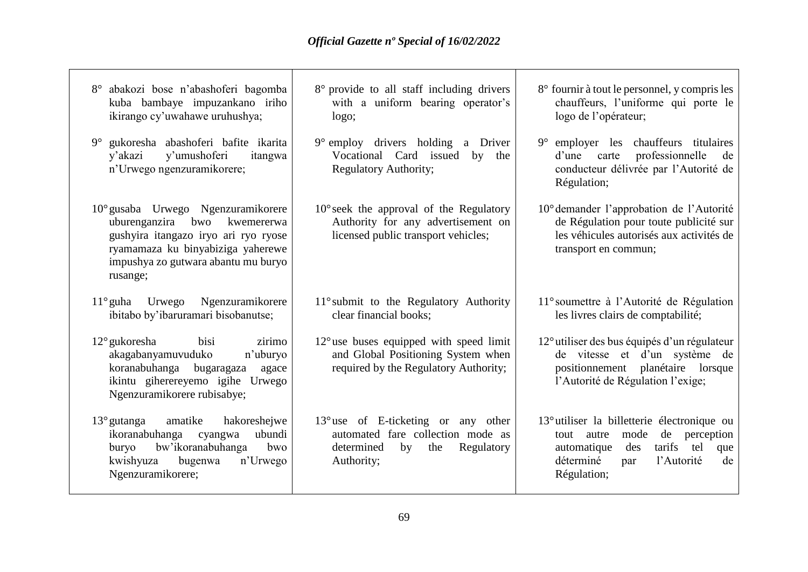| abakozi bose n'abashoferi bagomba<br>$8^{\circ}$<br>kuba bambaye impuzankano iriho<br>ikirango cy'uwahawe uruhushya;                                                                                     | 8° provide to all staff including drivers<br>with a uniform bearing operator's<br>logo;                                                  | 8° fournir à tout le personnel, y compris les<br>chauffeurs, l'uniforme qui porte le<br>logo de l'opérateur;                                                                                           |
|----------------------------------------------------------------------------------------------------------------------------------------------------------------------------------------------------------|------------------------------------------------------------------------------------------------------------------------------------------|--------------------------------------------------------------------------------------------------------------------------------------------------------------------------------------------------------|
| $9^\circ$<br>gukoresha abashoferi bafite ikarita<br>y'umushoferi<br>y'akazi<br>itangwa<br>n'Urwego ngenzuramikorere;                                                                                     | $9^{\circ}$ employ drivers holding a Driver<br>Vocational Card issued<br>by the<br><b>Regulatory Authority;</b>                          | employer les chauffeurs titulaires<br>$9^{\circ}$<br>professionnelle<br>d'une<br>carte<br>de<br>conducteur délivrée par l'Autorité de<br>Régulation;                                                   |
| 10° gusaba Urwego Ngenzuramikorere<br>uburenganzira<br>bwo<br>kwemererwa<br>gushyira itangazo iryo ari ryo ryose<br>ryamamaza ku binyabiziga yaherewe<br>impushya zo gutwara abantu mu buryo<br>rusange; | $10^{\circ}$ seek the approval of the Regulatory<br>Authority for any advertisement on<br>licensed public transport vehicles;            | 10° demander l'approbation de l'Autorité<br>de Régulation pour toute publicité sur<br>les véhicules autorisés aux activités de<br>transport en commun;                                                 |
| $11^\circ$ guha<br>Urwego<br>Ngenzuramikorere<br>ibitabo by'ibaruramari bisobanutse;                                                                                                                     | $11^\circ$ submit to the Regulatory Authority<br>clear financial books;                                                                  | 11° soumettre à l'Autorité de Régulation<br>les livres clairs de comptabilité;                                                                                                                         |
| zirimo<br>$12^{\circ}$ gukoresha<br>bisi<br>akagabanyamuvuduko<br>n'uburyo<br>koranabuhanga<br>bugaragaza<br>agace<br>ikintu giherereyemo igihe Urwego<br>Ngenzuramikorere rubisabye;                    | $12^{\circ}$ use buses equipped with speed limit<br>and Global Positioning System when<br>required by the Regulatory Authority;          | 12° utiliser des bus équipés d'un régulateur<br>de vitesse et d'un système de<br>positionnement<br>planétaire lorsque<br>l'Autorité de Régulation l'exige;                                             |
| $13^{\circ}$ gutanga<br>amatike<br>hakoreshejwe<br>ikoranabuhanga<br>ubundi<br>cyangwa<br>bw'ikoranabuhanga<br>buryo<br>bwo<br>kwishyuza<br>bugenwa<br>n'Urwego<br>Ngenzuramikorere;                     | $13^{\circ}$ use of E-ticketing or any other<br>automated fare collection mode as<br>determined<br>Regulatory<br>by<br>the<br>Authority; | $13^{\circ}$ utiliser la billetterie électronique ou<br>mode<br>de<br>perception<br>autre<br>tout<br>tarifs<br>tel<br>automatique<br>des<br>que<br>déterminé<br>l'Autorité<br>de<br>par<br>Régulation; |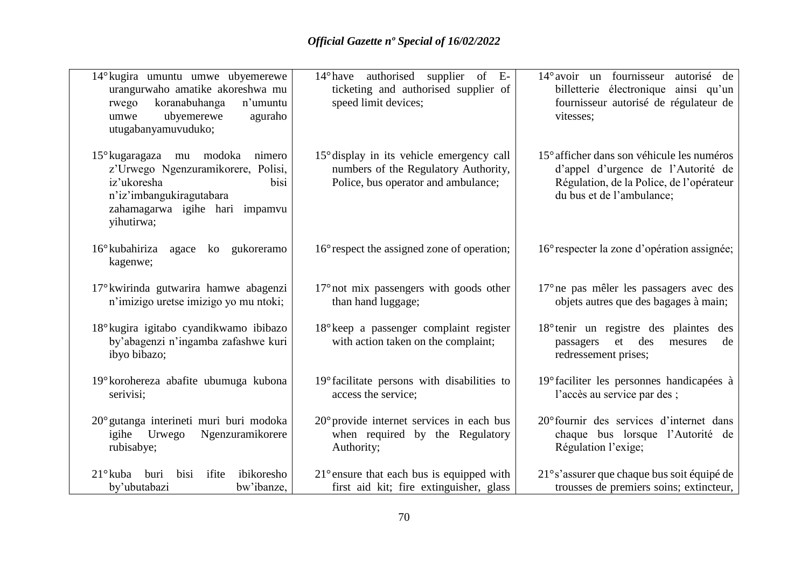| 14° kugira umuntu umwe ubyemerewe<br>urangurwaho amatike akoreshwa mu<br>koranabuhanga<br>n'umuntu<br>rwego<br>ubyemerewe<br>aguraho<br>umwe<br>utugabanyamuvuduko;         | $14^{\circ}$ have authorised<br>supplier of E-<br>ticketing and authorised supplier of<br>speed limit devices;                    | $14^{\circ}$ avoir un fournisseur<br>autorisé de<br>billetterie électronique ainsi qu'un<br>fournisseur autorisé de régulateur de<br>vitesses;            |
|-----------------------------------------------------------------------------------------------------------------------------------------------------------------------------|-----------------------------------------------------------------------------------------------------------------------------------|-----------------------------------------------------------------------------------------------------------------------------------------------------------|
| 15° kugaragaza mu modoka<br>nimero<br>z'Urwego Ngenzuramikorere, Polisi,<br>iz'ukoresha<br>bisi<br>n'iz'imbangukiragutabara<br>zahamagarwa igihe hari impamvu<br>yihutirwa; | $15^{\circ}$ display in its vehicle emergency call<br>numbers of the Regulatory Authority,<br>Police, bus operator and ambulance; | 15° afficher dans son véhicule les numéros<br>d'appel d'urgence de l'Autorité de<br>Régulation, de la Police, de l'opérateur<br>du bus et de l'ambulance; |
| $16^{\circ}$ kubahiriza agace<br>gukoreramo<br>ko<br>kagenwe;                                                                                                               | 16° respect the assigned zone of operation;                                                                                       | 16° respecter la zone d'opération assignée;                                                                                                               |
| 17° kwirinda gutwarira hamwe abagenzi<br>n'imizigo uretse imizigo yo mu ntoki;                                                                                              | $17^{\circ}$ not mix passengers with goods other<br>than hand luggage;                                                            | 17° ne pas mêler les passagers avec des<br>objets autres que des bagages à main;                                                                          |
| 18° kugira igitabo cyandikwamo ibibazo<br>by'abagenzi n'ingamba zafashwe kuri<br>ibyo bibazo;                                                                               | 18° keep a passenger complaint register<br>with action taken on the complaint;                                                    | 18 <sup>°</sup> tenir un registre des plaintes des<br>et<br>des<br>de<br>passagers<br>mesures<br>redressement prises;                                     |
| 19° korohereza abafite ubumuga kubona<br>serivisi;                                                                                                                          | 19° facilitate persons with disabilities to<br>access the service;                                                                | 19° faciliter les personnes handicapées à<br>l'accès au service par des;                                                                                  |
| 20° gutanga interineti muri buri modoka<br>Ngenzuramikorere<br>igihe Urwego<br>rubisabye;                                                                                   | $20^{\circ}$ provide internet services in each bus<br>when required by the Regulatory<br>Authority;                               | 20° fournir des services d'internet dans<br>chaque bus lorsque l'Autorité de<br>Régulation l'exige;                                                       |
| $21^\circ$ kuba<br>ifite<br>ibikoresho<br>buri<br>bisi<br>by'ubutabazi<br>bw'ibanze,                                                                                        | $21^{\circ}$ ensure that each bus is equipped with<br>first aid kit; fire extinguisher, glass                                     | 21° s'assurer que chaque bus soit équipé de<br>trousses de premiers soins; extincteur,                                                                    |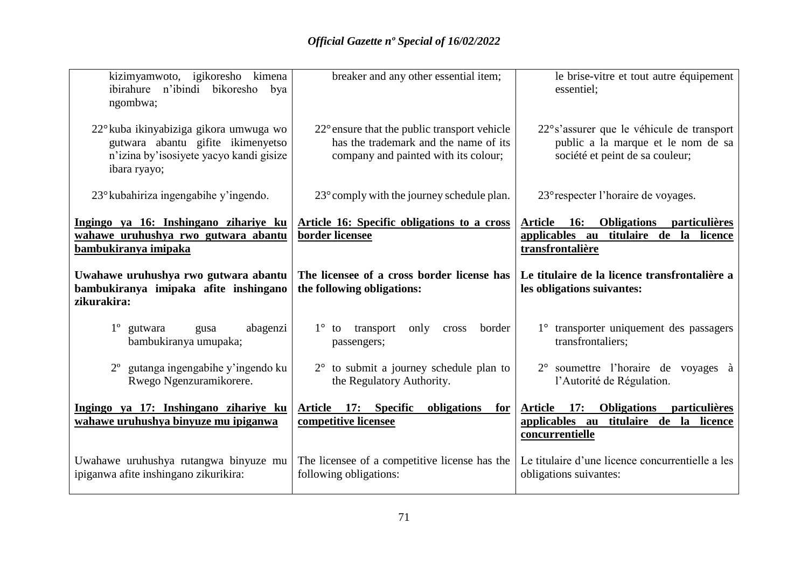| kizimyamwoto, igikoresho kimena<br>ibirahure n'ibindi bikoresho<br>bya<br>ngombwa;                                                     | breaker and any other essential item;                                                                                                  | le brise-vitre et tout autre équipement<br>essentiel;                                                                                   |
|----------------------------------------------------------------------------------------------------------------------------------------|----------------------------------------------------------------------------------------------------------------------------------------|-----------------------------------------------------------------------------------------------------------------------------------------|
| 22° kuba ikinyabiziga gikora umwuga wo<br>gutwara abantu gifite ikimenyetso<br>n'izina by'isosiyete yacyo kandi gisize<br>ibara ryayo; | $22^{\circ}$ ensure that the public transport vehicle<br>has the trademark and the name of its<br>company and painted with its colour; | 22° s'assurer que le véhicule de transport<br>public a la marque et le nom de sa<br>société et peint de sa couleur;                     |
| 23° kubahiriza ingengabihe y'ingendo.                                                                                                  | 23° comply with the journey schedule plan.                                                                                             | 23° respecter l'horaire de voyages.                                                                                                     |
| <u>Ingingo ya 16: Inshingano zihariye ku</u><br>wahawe uruhushya rwo gutwara abantu<br>bambukiranya imipaka                            | <b>Article 16: Specific obligations to a cross</b><br>border licensee                                                                  | Article 16:<br>Obligations particulières<br>applicables au titulaire de la licence<br>transfrontalière                                  |
| Uwahawe uruhushya rwo gutwara abantu<br>bambukiranya imipaka afite inshingano<br>zikurakira:                                           | The licensee of a cross border license has<br>the following obligations:                                                               | Le titulaire de la licence transfrontalière a<br>les obligations suivantes:                                                             |
| abagenzi<br>$1^{\circ}$ gutwara<br>gusa<br>bambukiranya umupaka;                                                                       | transport<br>only<br>$1^{\circ}$ to<br>border<br>cross<br>passengers;                                                                  | 1° transporter uniquement des passagers<br>transfrontaliers;                                                                            |
| gutanga ingengabihe y'ingendo ku<br>Rwego Ngenzuramikorere.                                                                            | $2^{\circ}$ to submit a journey schedule plan to<br>the Regulatory Authority.                                                          | 2° soumettre l'horaire de voyages à<br>l'Autorité de Régulation.                                                                        |
| Ingingo ya 17: Inshingano zihariye ku<br>wahawe uruhushya binyuze mu ipiganwa                                                          | Article 17: Specific<br>obligations<br>for<br>competitive licensee                                                                     | <b>17:</b><br><b>Obligations</b><br><u>particulières</u><br><b>Article</b><br>applicables au titulaire de la licence<br>concurrentielle |
| Uwahawe uruhushya rutangwa binyuze mu<br>ipiganwa afite inshingano zikurikira:                                                         | The licensee of a competitive license has the<br>following obligations:                                                                | Le titulaire d'une licence concurrentielle a les<br>obligations suivantes:                                                              |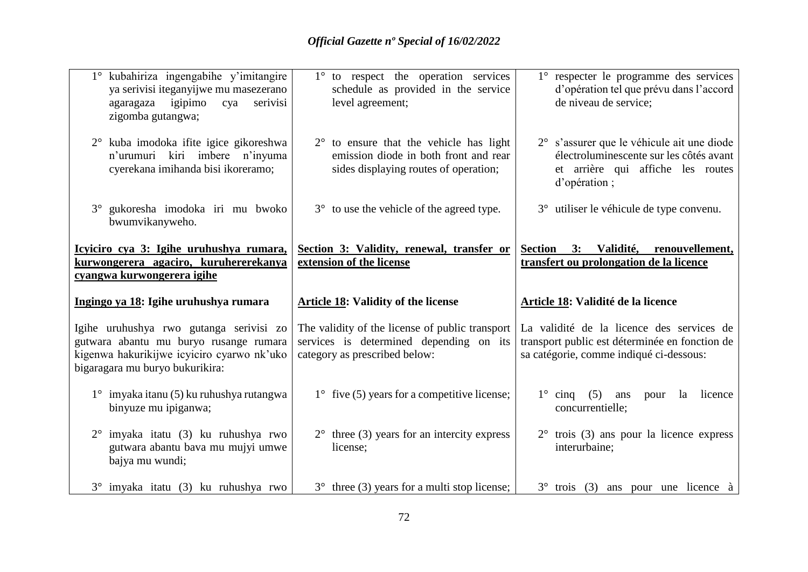| 1° kubahiriza ingengabihe y'imitangire<br>ya serivisi iteganyijwe mu masezerano<br>agaragaza igipimo<br>serivisi<br>cya<br>zigomba gutangwa;                       | 1° to respect the operation services<br>schedule as provided in the service<br>level agreement;                                    | 1° respecter le programme des services<br>d'opération tel que prévu dans l'accord<br>de niveau de service;                                 |
|--------------------------------------------------------------------------------------------------------------------------------------------------------------------|------------------------------------------------------------------------------------------------------------------------------------|--------------------------------------------------------------------------------------------------------------------------------------------|
| 2° kuba imodoka ifite igice gikoreshwa<br>n'urumuri kiri imbere n'inyuma<br>cyerekana imihanda bisi ikoreramo;                                                     | $2^{\circ}$ to ensure that the vehicle has light<br>emission diode in both front and rear<br>sides displaying routes of operation; | 2° s'assurer que le véhicule ait une diode<br>électroluminescente sur les côtés avant<br>et arrière qui affiche les routes<br>d'opération; |
| 3° gukoresha imodoka iri mu bwoko<br>bwumvikanyweho.                                                                                                               | 3° to use the vehicle of the agreed type.                                                                                          | 3° utiliser le véhicule de type convenu.                                                                                                   |
| Icyiciro cya 3: Igihe uruhushya rumara,<br>kurwongerera agaciro, kuruhererekanya<br>cyangwa kurwongerera igihe                                                     | Section 3: Validity, renewal, transfer or<br>extension of the license                                                              | <b>Section</b><br>3: Validité, renouvellement,<br>transfert ou prolongation de la licence                                                  |
| Ingingo ya 18: Igihe uruhushya rumara                                                                                                                              | <b>Article 18: Validity of the license</b>                                                                                         | Article 18: Validité de la licence                                                                                                         |
| Igihe uruhushya rwo gutanga serivisi zo<br>gutwara abantu mu buryo rusange rumara<br>kigenwa hakurikijwe icyiciro cyarwo nk'uko<br>bigaragara mu buryo bukurikira: | The validity of the license of public transport<br>services is determined depending on its<br>category as prescribed below:        | La validité de la licence des services de<br>transport public est déterminée en fonction de<br>sa catégorie, comme indiqué ci-dessous:     |
| $1^\circ$ imyaka itanu (5) ku ruhushya rutangwa                                                                                                                    | $1^{\circ}$ five (5) years for a competitive license;                                                                              | $1^{\circ}$ cinq<br>(5)<br>licence<br>ans<br>pour<br>la                                                                                    |
| binyuze mu ipiganwa;                                                                                                                                               |                                                                                                                                    | concurrentielle;                                                                                                                           |
| $2^{\circ}$ imyaka itatu (3) ku ruhushya rwo<br>gutwara abantu bava mu mujyi umwe<br>bajya mu wundi;                                                               | $2^{\circ}$ three (3) years for an intercity express<br>license;                                                                   | $2^{\circ}$ trois (3) ans pour la licence express<br>interurbaine;                                                                         |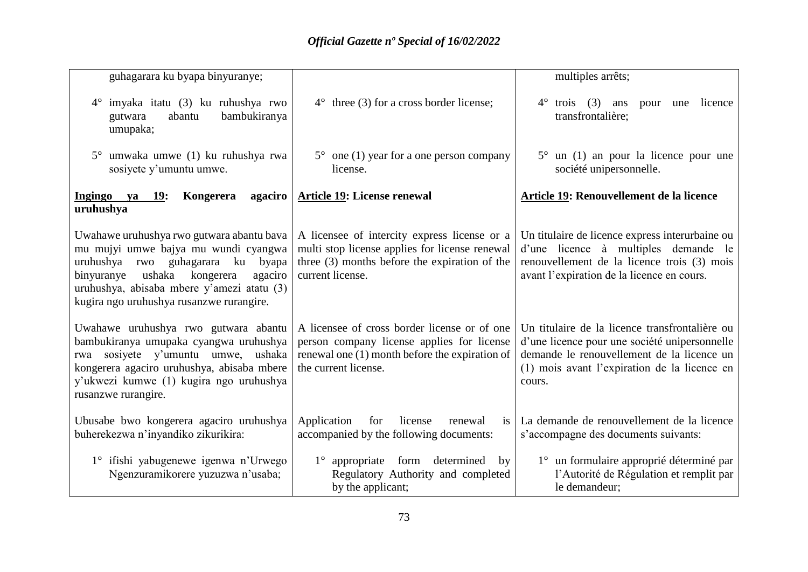| guhagarara ku byapa binyuranye;                                                                                                                                                                                                                                  |                                                                                                                                                                        | multiples arrêts;                                                                                                                                                                                       |
|------------------------------------------------------------------------------------------------------------------------------------------------------------------------------------------------------------------------------------------------------------------|------------------------------------------------------------------------------------------------------------------------------------------------------------------------|---------------------------------------------------------------------------------------------------------------------------------------------------------------------------------------------------------|
| imyaka itatu (3) ku ruhushya rwo<br>$4^{\circ}$<br>bambukiranya<br>gutwara<br>abantu<br>umupaka;                                                                                                                                                                 | $4^{\circ}$ three (3) for a cross border license;                                                                                                                      | $4^\circ$<br>trois $(3)$<br>licence<br>ans<br>pour<br>une<br>transfrontalière;                                                                                                                          |
| $5^{\circ}$ umwaka umwe (1) ku ruhushya rwa<br>sosiyete y'umuntu umwe.                                                                                                                                                                                           | $5^{\circ}$ one (1) year for a one person company<br>license.                                                                                                          | $5^{\circ}$ un (1) an pour la licence pour une<br>société unipersonnelle.                                                                                                                               |
| Ingingo ya 19:<br>Kongerera<br>agaciro<br>uruhushya                                                                                                                                                                                                              | <b>Article 19: License renewal</b>                                                                                                                                     | Article 19: Renouvellement de la licence                                                                                                                                                                |
| Uwahawe uruhushya rwo gutwara abantu bava<br>mu mujyi umwe bajya mu wundi cyangwa<br>uruhushya rwo guhagarara ku byapa<br>binyuranye<br>ushaka<br>kongerera<br>agaciro<br>uruhushya, abisaba mbere y'amezi atatu (3)<br>kugira ngo uruhushya rusanzwe rurangire. | A licensee of intercity express license or a<br>multi stop license applies for license renewal<br>three (3) months before the expiration of the<br>current license.    | Un titulaire de licence express interurbaine ou<br>d'une licence à multiples demande le<br>renouvellement de la licence trois (3) mois<br>avant l'expiration de la licence en cours.                    |
| Uwahawe uruhushya rwo gutwara abantu<br>bambukiranya umupaka cyangwa uruhushya<br>sosiyete y'umuntu umwe, ushaka<br>rwa<br>kongerera agaciro uruhushya, abisaba mbere<br>y'ukwezi kumwe (1) kugira ngo uruhushya<br>rusanzwe rurangire.                          | A licensee of cross border license or of one<br>person company license applies for license<br>renewal one $(1)$ month before the expiration of<br>the current license. | Un titulaire de la licence transfrontalière ou<br>d'une licence pour une société unipersonnelle<br>demande le renouvellement de la licence un<br>(1) mois avant l'expiration de la licence en<br>cours. |
| Ubusabe bwo kongerera agaciro uruhushya<br>buherekezwa n'inyandiko zikurikira:                                                                                                                                                                                   | Application<br>for<br>license<br>renewal<br>is<br>accompanied by the following documents:                                                                              | La demande de renouvellement de la licence<br>s'accompagne des documents suivants:                                                                                                                      |
| 1° ifishi yabugenewe igenwa n'Urwego<br>Ngenzuramikorere yuzuzwa n'usaba;                                                                                                                                                                                        | $1^{\circ}$ appropriate<br>form<br>determined<br>by<br>Regulatory Authority and completed<br>by the applicant;                                                         | 1 <sup>°</sup> un formulaire approprié déterminé par<br>l'Autorité de Régulation et remplit par<br>le demandeur;                                                                                        |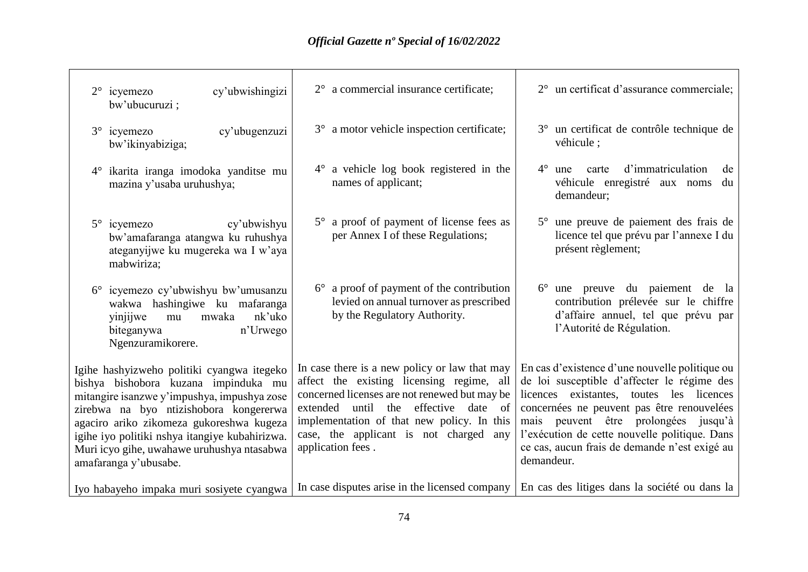| cy'ubwishingizi<br>$2^{\circ}$ icyemezo<br>bw'ubucuruzi;                                                                                                                                                                                                                                                                                         | $2^{\circ}$ a commercial insurance certificate;                                                                                                                                                                                                                                                        | 2° un certificat d'assurance commerciale;                                                                                                                                                                                                                                                                                                       |
|--------------------------------------------------------------------------------------------------------------------------------------------------------------------------------------------------------------------------------------------------------------------------------------------------------------------------------------------------|--------------------------------------------------------------------------------------------------------------------------------------------------------------------------------------------------------------------------------------------------------------------------------------------------------|-------------------------------------------------------------------------------------------------------------------------------------------------------------------------------------------------------------------------------------------------------------------------------------------------------------------------------------------------|
| cy'ubugenzuzi<br>$3^\circ$ icyemezo<br>bw'ikinyabiziga;                                                                                                                                                                                                                                                                                          | 3° a motor vehicle inspection certificate;                                                                                                                                                                                                                                                             | 3° un certificat de contrôle technique de<br>véhicule :                                                                                                                                                                                                                                                                                         |
| 4° ikarita iranga imodoka yanditse mu<br>mazina y'usaba uruhushya;                                                                                                                                                                                                                                                                               | 4° a vehicle log book registered in the<br>names of applicant;                                                                                                                                                                                                                                         | $4^\circ$<br>d'immatriculation<br>de<br>carte<br>une<br>véhicule enregistré aux noms<br>du<br>demandeur;                                                                                                                                                                                                                                        |
| $5^\circ$ icyemezo<br>cy'ubwishyu<br>bw'amafaranga atangwa ku ruhushya<br>ateganyijwe ku mugereka wa I w'aya<br>mabwiriza;                                                                                                                                                                                                                       | 5° a proof of payment of license fees as<br>per Annex I of these Regulations;                                                                                                                                                                                                                          | 5° une preuve de paiement des frais de<br>licence tel que prévu par l'annexe I du<br>présent règlement;                                                                                                                                                                                                                                         |
| 6° icyemezo cy'ubwishyu bw'umusanzu<br>wakwa hashingiwe ku mafaranga<br>nk'uko<br>mwaka<br>yinjijwe<br>mu<br>n'Urwego<br>biteganywa<br>Ngenzuramikorere.                                                                                                                                                                                         | $6^\circ$ a proof of payment of the contribution<br>levied on annual turnover as prescribed<br>by the Regulatory Authority.                                                                                                                                                                            | 6° une preuve du paiement de la<br>contribution prélevée sur le chiffre<br>d'affaire annuel, tel que prévu par<br>l'Autorité de Régulation.                                                                                                                                                                                                     |
| Igihe hashyizweho politiki cyangwa itegeko<br>bishya bishobora kuzana impinduka mu<br>mitangire isanzwe y'impushya, impushya zose<br>zirebwa na byo ntizishobora kongererwa<br>agaciro ariko zikomeza gukoreshwa kugeza<br>igihe iyo politiki nshya itangiye kubahirizwa.<br>Muri icyo gihe, uwahawe uruhushya ntasabwa<br>amafaranga y'ubusabe. | In case there is a new policy or law that may<br>affect the existing licensing regime, all<br>concerned licenses are not renewed but may be<br>effective<br>extended until the<br>date of<br>implementation of that new policy. In this<br>case, the applicant is not charged any<br>application fees. | En cas d'existence d'une nouvelle politique ou<br>de loi susceptible d'affecter le régime des<br>licences existantes, toutes les licences<br>concernées ne peuvent pas être renouvelées<br>mais peuvent être prolongées jusqu'à<br>l'exécution de cette nouvelle politique. Dans<br>ce cas, aucun frais de demande n'est exigé au<br>demandeur. |
| Iyo habayeho impaka muri sosiyete cyangwa                                                                                                                                                                                                                                                                                                        | In case disputes arise in the licensed company                                                                                                                                                                                                                                                         | En cas des litiges dans la société ou dans la                                                                                                                                                                                                                                                                                                   |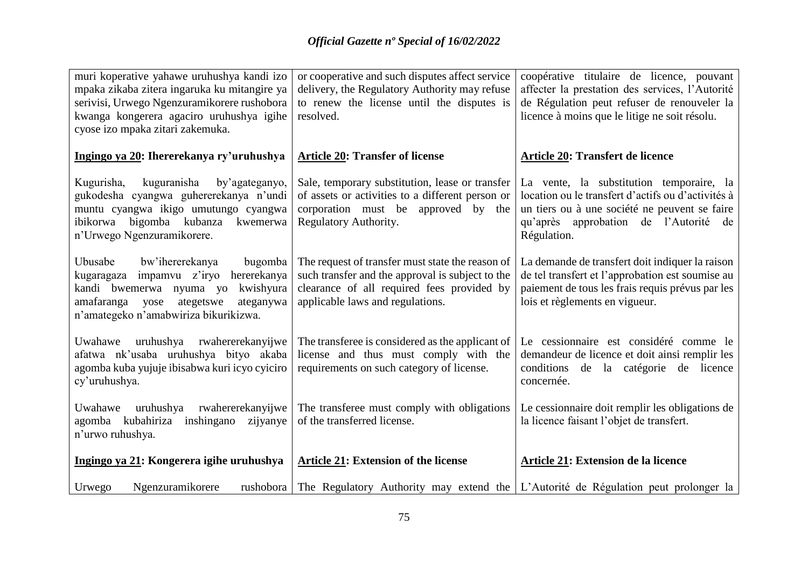| muri koperative yahawe uruhushya kandi izo<br>mpaka zikaba zitera ingaruka ku mitangire ya<br>serivisi, Urwego Ngenzuramikorere rushobora<br>kwanga kongerera agaciro uruhushya igihe<br>cyose izo mpaka zitari zakemuka. | or cooperative and such disputes affect service<br>delivery, the Regulatory Authority may refuse<br>to renew the license until the disputes is<br>resolved.                            | coopérative titulaire de licence, pouvant<br>affecter la prestation des services, l'Autorité<br>de Régulation peut refuser de renouveler la<br>licence à moins que le litige ne soit résolu.               |
|---------------------------------------------------------------------------------------------------------------------------------------------------------------------------------------------------------------------------|----------------------------------------------------------------------------------------------------------------------------------------------------------------------------------------|------------------------------------------------------------------------------------------------------------------------------------------------------------------------------------------------------------|
| Ingingo ya 20: Ihererekanya ry'uruhushya                                                                                                                                                                                  | <b>Article 20: Transfer of license</b>                                                                                                                                                 | <b>Article 20: Transfert de licence</b>                                                                                                                                                                    |
| kuguranisha<br>Kugurisha,<br>by'agateganyo,<br>gukodesha cyangwa guhererekanya n'undi<br>muntu cyangwa ikigo umutungo cyangwa<br>ibikorwa bigomba kubanza kwemerwa<br>n'Urwego Ngenzuramikorere.                          | Sale, temporary substitution, lease or transfer<br>of assets or activities to a different person or<br>corporation must be approved by the<br>Regulatory Authority.                    | La vente, la substitution temporaire, la<br>location ou le transfert d'actifs ou d'activités à<br>un tiers ou à une société ne peuvent se faire<br>qu'après approbation de l'Autorité<br>de<br>Régulation. |
| Ubusabe<br>bw'ihererekanya<br>bugomba<br>kugaragaza impamvu z'iryo<br>hererekanya<br>kandi bwemerwa nyuma yo<br>kwishyura<br>ateganywa<br>amafaranga<br>ategetswe<br>yose<br>n'amategeko n'amabwiriza bikurikizwa.        | The request of transfer must state the reason of<br>such transfer and the approval is subject to the<br>clearance of all required fees provided by<br>applicable laws and regulations. | La demande de transfert doit indiquer la raison<br>de tel transfert et l'approbation est soumise au<br>paiement de tous les frais requis prévus par les<br>lois et règlements en vigueur.                  |
| Uwahawe uruhushya rwahererekanyijwe<br>afatwa nk'usaba uruhushya bityo akaba<br>agomba kuba yujuje ibisabwa kuri icyo cyiciro<br>cy'uruhushya.                                                                            | The transferee is considered as the applicant of<br>license and thus must comply with the<br>requirements on such category of license.                                                 | Le cessionnaire est considéré comme le<br>demandeur de licence et doit ainsi remplir les<br>conditions de la catégorie de licence<br>concernée.                                                            |
| Uwahawe<br>uruhushya<br>rwahererekanyijwe<br>agomba kubahiriza inshingano<br>zijyanye<br>n'urwo ruhushya.                                                                                                                 | The transferee must comply with obligations<br>of the transferred license.                                                                                                             | Le cessionnaire doit remplir les obligations de<br>la licence faisant l'objet de transfert.                                                                                                                |
| Ingingo ya 21: Kongerera igihe uruhushya                                                                                                                                                                                  | <b>Article 21: Extension of the license</b>                                                                                                                                            | Article 21: Extension de la licence                                                                                                                                                                        |
| Ngenzuramikorere<br>Urwego<br>rushobora                                                                                                                                                                                   |                                                                                                                                                                                        | The Regulatory Authority may extend the L'Autorité de Régulation peut prolonger la                                                                                                                         |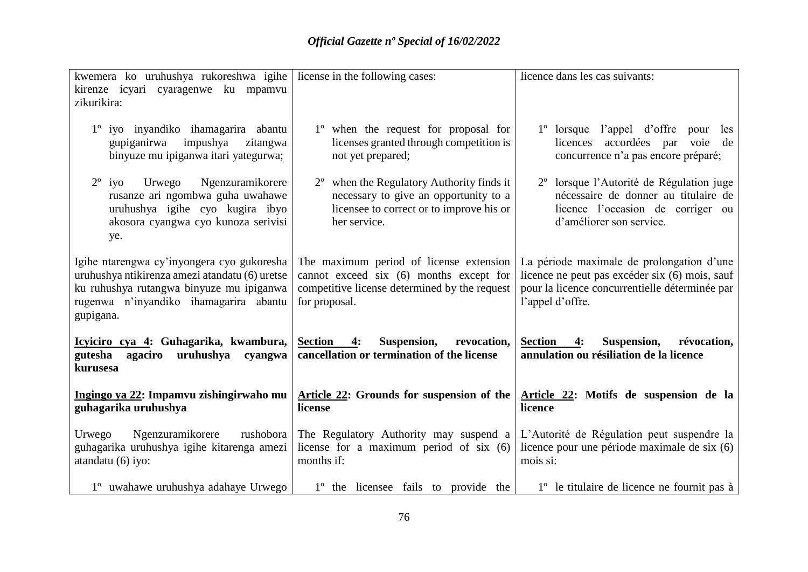| kwemera ko uruhushya rukoreshwa igihe license in the following cases:<br>kirenze icyari cyaragenwe ku mpamvu<br>zikurikira:                                                                     |                                                                                                                                                         | licence dans les cas suivants:                                                                                                                                    |
|-------------------------------------------------------------------------------------------------------------------------------------------------------------------------------------------------|---------------------------------------------------------------------------------------------------------------------------------------------------------|-------------------------------------------------------------------------------------------------------------------------------------------------------------------|
| 1 <sup>°</sup> iyo inyandiko ihamagarira abantu<br>impushya<br>gupiganirwa<br>zitangwa<br>binyuze mu ipiganwa itari yategurwa;                                                                  | 1 <sup>°</sup> when the request for proposal for<br>licenses granted through competition is<br>not yet prepared;                                        | $1^{\circ}$ lorsque<br>l'appel d'offre pour<br>les<br>accordées par<br>licences<br>voie<br>de<br>concurrence n'a pas encore préparé;                              |
| $2^{\circ}$ iyo<br>Urwego<br>Ngenzuramikorere<br>rusanze ari ngombwa guha uwahawe<br>uruhushya igihe cyo kugira ibyo<br>akosora cyangwa cyo kunoza serivisi<br>ye.                              | $2^{\circ}$ when the Regulatory Authority finds it<br>necessary to give an opportunity to a<br>licensee to correct or to improve his or<br>her service. | 2º lorsque l'Autorité de Régulation juge<br>nécessaire de donner au titulaire de<br>licence l'occasion de corriger ou<br>d'améliorer son service.                 |
| Igihe ntarengwa cy'inyongera cyo gukoresha<br>uruhushya ntikirenza amezi atandatu (6) uretse<br>ku ruhushya rutangwa binyuze mu ipiganwa<br>rugenwa n'inyandiko ihamagarira abantu<br>gupigana. | The maximum period of license extension<br>cannot exceed six (6) months except for<br>competitive license determined by the request<br>for proposal.    | La période maximale de prolongation d'une<br>licence ne peut pas excéder six (6) mois, sauf<br>pour la licence concurrentielle déterminée par<br>l'appel d'offre. |
| Icyiciro cya 4: Guhagarika, kwambura,<br>gutesha<br>uruhushya cyangwa<br>agaciro<br>kurusesa                                                                                                    | Section 4:<br>Suspension, revocation,<br>cancellation or termination of the license                                                                     | Section<br>Suspension,<br>révocation,<br>4:<br>annulation ou résiliation de la licence                                                                            |
| Ingingo ya 22: Impamvu zishingirwaho mu<br>guhagarika uruhushya                                                                                                                                 | Article 22: Grounds for suspension of the<br>license                                                                                                    | Article 22: Motifs de suspension de la<br>licence                                                                                                                 |
| Ngenzuramikorere<br>Urwego<br>rushobora<br>guhagarika uruhushya igihe kitarenga amezi<br>atandatu(6) iyo:                                                                                       | The Regulatory Authority may suspend a<br>license for a maximum period of six $(6)$<br>months if:                                                       | L'Autorité de Régulation peut suspendre la<br>licence pour une période maximale de six (6)<br>mois si:                                                            |
| 1 <sup>°</sup> uwahawe uruhushya adahaye Urwego                                                                                                                                                 | 1 <sup>°</sup> the licensee fails to provide the                                                                                                        | 1 <sup>°</sup> le titulaire de licence ne fournit pas à                                                                                                           |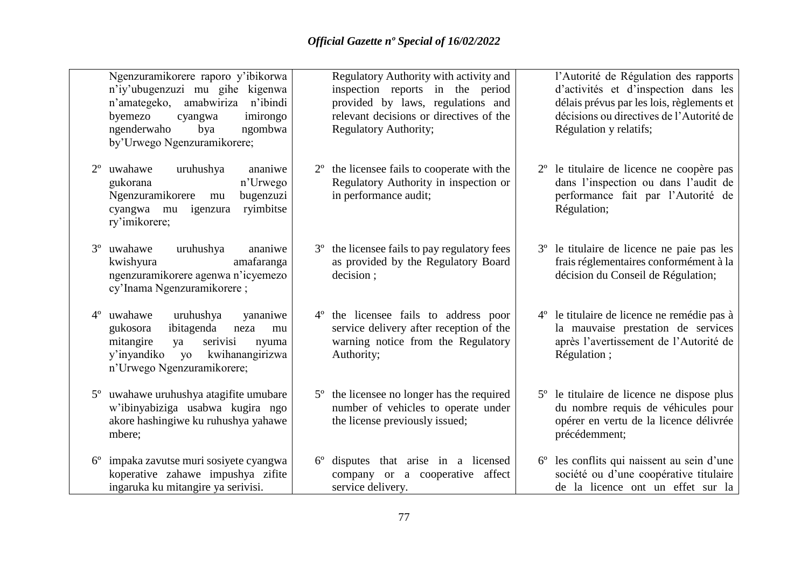|             | Ngenzuramikorere raporo y'ibikorwa<br>n'iy'ubugenzuzi mu gihe kigenwa<br>n'amategeko, amabwiriza n'ibindi<br>byemezo<br>imirongo<br>cyangwa<br>ngenderwaho<br>ngombwa<br>bya<br>by'Urwego Ngenzuramikorere; | Regulatory Authority with activity and<br>inspection reports in the period<br>provided by laws, regulations and<br>relevant decisions or directives of the<br><b>Regulatory Authority;</b> | l'Autorité de Régulation des rapports<br>d'activités et d'inspection dans les<br>délais prévus par les lois, règlements et<br>décisions ou directives de l'Autorité de<br>Régulation y relatifs; |
|-------------|-------------------------------------------------------------------------------------------------------------------------------------------------------------------------------------------------------------|--------------------------------------------------------------------------------------------------------------------------------------------------------------------------------------------|--------------------------------------------------------------------------------------------------------------------------------------------------------------------------------------------------|
|             | uruhushya<br>uwahawe<br>ananiwe<br>n'Urwego<br>gukorana<br>Ngenzuramikorere<br>bugenzuzi<br>mu<br>ryimbitse<br>cyangwa mu igenzura<br>ry'imikorere;                                                         | 2 <sup>°</sup> the licensee fails to cooperate with the<br>Regulatory Authority in inspection or<br>in performance audit;                                                                  | 2 <sup>°</sup> le titulaire de licence ne coopère pas<br>dans l'inspection ou dans l'audit de<br>performance fait par l'Autorité de<br>Régulation;                                               |
| $3^{\circ}$ | uwahawe<br>uruhushya<br>ananiwe<br>amafaranga<br>kwishyura<br>ngenzuramikorere agenwa n'icyemezo<br>cy'Inama Ngenzuramikorere;                                                                              | the licensee fails to pay regulatory fees<br>$3^{\circ}$<br>as provided by the Regulatory Board<br>decision;                                                                               | 3 <sup>°</sup> le titulaire de licence ne paie pas les<br>frais réglementaires conformément à la<br>décision du Conseil de Régulation;                                                           |
| $4^{\circ}$ | uwahawe<br>uruhushya<br>yananiwe<br>ibitagenda<br>gukosora<br>neza<br>mu<br>mitangire<br>serivisi<br>ya<br>nyuma<br>kwihanangirizwa<br>y'inyandiko<br>$y_0$<br>n'Urwego Ngenzuramikorere;                   | the licensee fails to address poor<br>$4^{\circ}$<br>service delivery after reception of the<br>warning notice from the Regulatory<br>Authority;                                           | 4° le titulaire de licence ne remédie pas à<br>la mauvaise prestation de services<br>après l'avertissement de l'Autorité de<br>Régulation;                                                       |
|             | 5 <sup>°</sup> uwahawe uruhushya atagifite umubare<br>w'ibinyabiziga usabwa kugira ngo<br>akore hashingiwe ku ruhushya yahawe<br>mbere;                                                                     | 5 <sup>°</sup> the licensee no longer has the required<br>number of vehicles to operate under<br>the license previously issued;                                                            | 5 <sup>°</sup> le titulaire de licence ne dispose plus<br>du nombre requis de véhicules pour<br>opérer en vertu de la licence délivrée<br>précédemment;                                          |
|             | impaka zavutse muri sosiyete cyangwa<br>koperative zahawe impushya zifite<br>ingaruka ku mitangire ya serivisi.                                                                                             | disputes that arise in a licensed<br>$6^{\circ}$<br>company or a cooperative affect<br>service delivery.                                                                                   | 6° les conflits qui naissent au sein d'une<br>société ou d'une coopérative titulaire<br>de la licence ont un effet sur la                                                                        |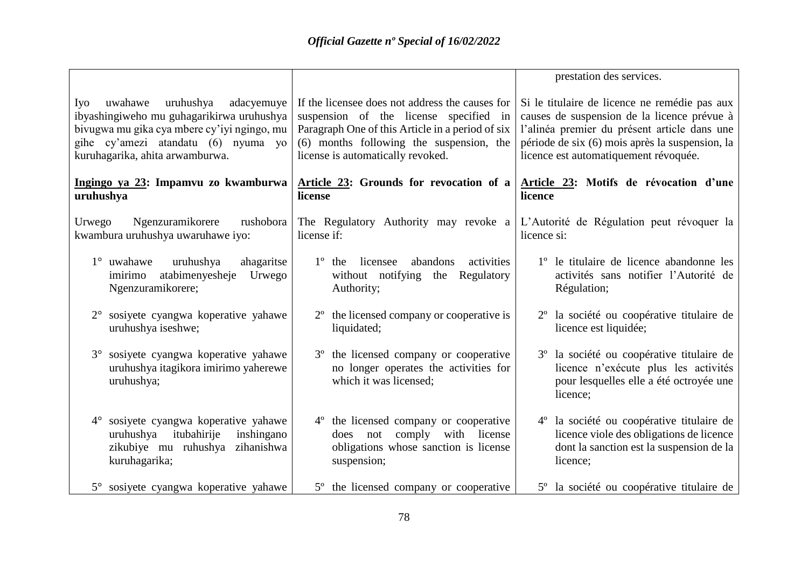|                                                                                                                                                                                                                 |                                                                                                                                                                                                                                | prestation des services.                                                                                                                                                                                                                 |
|-----------------------------------------------------------------------------------------------------------------------------------------------------------------------------------------------------------------|--------------------------------------------------------------------------------------------------------------------------------------------------------------------------------------------------------------------------------|------------------------------------------------------------------------------------------------------------------------------------------------------------------------------------------------------------------------------------------|
| uruhushya<br>adacyemuye<br>Iyo<br>uwahawe<br>ibyashingiweho mu guhagarikirwa uruhushya<br>bivugwa mu gika cya mbere cy'iyi ngingo, mu<br>gihe cy'amezi atandatu (6) nyuma yo<br>kuruhagarika, ahita arwamburwa. | If the licensee does not address the causes for<br>suspension of the license specified in<br>Paragraph One of this Article in a period of six<br>(6) months following the suspension, the<br>license is automatically revoked. | Si le titulaire de licence ne remédie pas aux<br>causes de suspension de la licence prévue à<br>l'alinéa premier du présent article dans une<br>période de six (6) mois après la suspension, la<br>licence est automatiquement révoquée. |
| Ingingo ya 23: Impamvu zo kwamburwa<br>uruhushya                                                                                                                                                                | Article 23: Grounds for revocation of a<br>license                                                                                                                                                                             | Article 23: Motifs de révocation d'une<br>licence                                                                                                                                                                                        |
| Ngenzuramikorere<br>Urwego<br>rushobora<br>kwambura uruhushya uwaruhawe iyo:                                                                                                                                    | The Regulatory Authority may revoke a<br>license if:                                                                                                                                                                           | L'Autorité de Régulation peut révoquer la<br>licence si:                                                                                                                                                                                 |
| $1^\circ$ uwahawe<br>uruhushya<br>ahagaritse<br>atabimenyesheje<br>imirimo<br>Urwego<br>Ngenzuramikorere;                                                                                                       | $1^{\circ}$ the<br>licensee<br>abandons<br>activities<br>without notifying the<br>Regulatory<br>Authority;                                                                                                                     | 1 <sup>°</sup> le titulaire de licence abandonne les<br>activités sans notifier l'Autorité de<br>Régulation;                                                                                                                             |
| 2° sosiyete cyangwa koperative yahawe<br>uruhushya iseshwe;                                                                                                                                                     | $2o$ the licensed company or cooperative is<br>liquidated;                                                                                                                                                                     | 2 <sup>°</sup> la société ou coopérative titulaire de<br>licence est liquidée;                                                                                                                                                           |
| 3° sosiyete cyangwa koperative yahawe<br>uruhushya itagikora imirimo yaherewe<br>uruhushya;                                                                                                                     | 3 <sup>°</sup> the licensed company or cooperative<br>no longer operates the activities for<br>which it was licensed;                                                                                                          | 3 <sup>°</sup> la société ou coopérative titulaire de<br>licence n'exécute plus les activités<br>pour lesquelles elle a été octroyée une<br>licence;                                                                                     |
| 4° sosiyete cyangwa koperative yahawe<br>uruhushya itubahirije<br>inshingano<br>zikubiye mu ruhushya<br>zihanishwa<br>kuruhagarika;                                                                             | 4 <sup>°</sup> the licensed company or cooperative<br>comply with license<br>does not<br>obligations whose sanction is license<br>suspension;                                                                                  | 4 <sup>°</sup> la société ou coopérative titulaire de<br>licence viole des obligations de licence<br>dont la sanction est la suspension de la<br>licence;                                                                                |
| 5° sosiyete cyangwa koperative yahawe                                                                                                                                                                           | 5 <sup>°</sup> the licensed company or cooperative                                                                                                                                                                             | 5° la société ou coopérative titulaire de                                                                                                                                                                                                |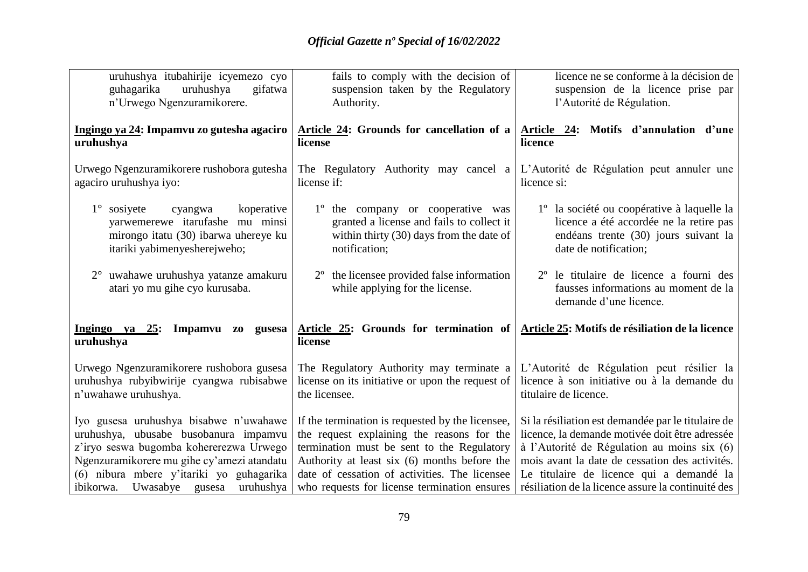| uruhushya itubahirije icyemezo cyo                                                                                                                                                                                   | fails to comply with the decision of                                                                                                                                                                                                          | licence ne se conforme à la décision de                                                                                                                                                                                                           |
|----------------------------------------------------------------------------------------------------------------------------------------------------------------------------------------------------------------------|-----------------------------------------------------------------------------------------------------------------------------------------------------------------------------------------------------------------------------------------------|---------------------------------------------------------------------------------------------------------------------------------------------------------------------------------------------------------------------------------------------------|
| guhagarika<br>uruhushya<br>gifatwa<br>n'Urwego Ngenzuramikorere.                                                                                                                                                     | suspension taken by the Regulatory<br>Authority.                                                                                                                                                                                              | suspension de la licence prise par<br>l'Autorité de Régulation.                                                                                                                                                                                   |
| Ingingo ya 24: Impamvu zo gutesha agaciro<br>uruhushya                                                                                                                                                               | Article 24: Grounds for cancellation of a<br>license                                                                                                                                                                                          | Article 24: Motifs d'annulation d'une<br>licence                                                                                                                                                                                                  |
| Urwego Ngenzuramikorere rushobora gutesha<br>agaciro uruhushya iyo:                                                                                                                                                  | The Regulatory Authority may cancel a<br>license if:                                                                                                                                                                                          | L'Autorité de Régulation peut annuler une<br>licence si:                                                                                                                                                                                          |
| koperative<br>$1^\circ$ sosiyete<br>cyangwa<br>yarwemerewe itarufashe mu minsi<br>mirongo itatu (30) ibarwa uhereye ku<br>itariki yabimenyesherejweho;                                                               | 1° the company or cooperative was<br>granted a license and fails to collect it<br>within thirty $(30)$ days from the date of<br>notification;                                                                                                 | 1 <sup>°</sup> la société ou coopérative à laquelle la<br>licence a été accordée ne la retire pas<br>endéans trente (30) jours suivant la<br>date de notification;                                                                                |
| 2° uwahawe uruhushya yatanze amakuru<br>atari yo mu gihe cyo kurusaba.                                                                                                                                               | $2o$ the licensee provided false information<br>while applying for the license.                                                                                                                                                               | 2 <sup>°</sup> le titulaire de licence a fourni des<br>fausses informations au moment de la<br>demande d'une licence.                                                                                                                             |
| Impamvu zo gusesa<br>Ingingo ya 25:<br>uruhushya                                                                                                                                                                     | Article 25: Grounds for termination of<br>license                                                                                                                                                                                             | Article 25: Motifs de résiliation de la licence                                                                                                                                                                                                   |
| Urwego Ngenzuramikorere rushobora gusesa<br>uruhushya rubyibwirije cyangwa rubisabwe<br>n'uwahawe uruhushya.                                                                                                         | The Regulatory Authority may terminate a<br>license on its initiative or upon the request of<br>the licensee.                                                                                                                                 | L'Autorité de Régulation peut résilier la<br>licence à son initiative ou à la demande du<br>titulaire de licence.                                                                                                                                 |
| Iyo gusesa uruhushya bisabwe n'uwahawe<br>uruhushya, ubusabe busobanura impamvu<br>z'iryo seswa bugomba kohererezwa Urwego<br>Ngenzuramikorere mu gihe cy'amezi atandatu<br>(6) nibura mbere y'itariki yo guhagarika | If the termination is requested by the licensee,<br>the request explaining the reasons for the<br>termination must be sent to the Regulatory<br>Authority at least six (6) months before the<br>date of cessation of activities. The licensee | Si la résiliation est demandée par le titulaire de<br>licence, la demande motivée doit être adressée<br>à l'Autorité de Régulation au moins six (6)<br>mois avant la date de cessation des activités.<br>Le titulaire de licence qui a demandé la |
| ibikorwa. Uwasabye gusesa<br>uruhushya                                                                                                                                                                               | who requests for license termination ensures                                                                                                                                                                                                  | résiliation de la licence assure la continuité des                                                                                                                                                                                                |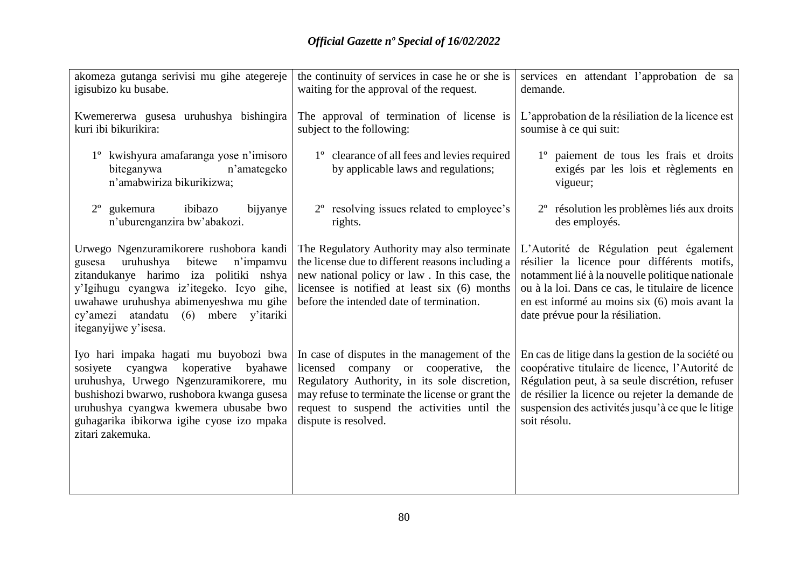| akomeza gutanga serivisi mu gihe ategereje                                                                                                                                                                                                                                                     | the continuity of services in case he or she is                                                                                                                                                                                                                                         | services en attendant l'approbation de sa                                                                                                                                                                                                                                           |
|------------------------------------------------------------------------------------------------------------------------------------------------------------------------------------------------------------------------------------------------------------------------------------------------|-----------------------------------------------------------------------------------------------------------------------------------------------------------------------------------------------------------------------------------------------------------------------------------------|-------------------------------------------------------------------------------------------------------------------------------------------------------------------------------------------------------------------------------------------------------------------------------------|
| igisubizo ku busabe.                                                                                                                                                                                                                                                                           | waiting for the approval of the request.                                                                                                                                                                                                                                                | demande.                                                                                                                                                                                                                                                                            |
| Kwemererwa gusesa uruhushya bishingira<br>kuri ibi bikurikira:                                                                                                                                                                                                                                 | The approval of termination of license is<br>subject to the following:                                                                                                                                                                                                                  | L'approbation de la résiliation de la licence est<br>soumise à ce qui suit:                                                                                                                                                                                                         |
| 1 <sup>°</sup> kwishyura amafaranga yose n'imisoro<br>n'amategeko<br>biteganywa<br>n'amabwiriza bikurikizwa;                                                                                                                                                                                   | 1° clearance of all fees and levies required<br>by applicable laws and regulations;                                                                                                                                                                                                     | 1° paiement de tous les frais et droits<br>exigés par les lois et règlements en<br>vigueur;                                                                                                                                                                                         |
| ibibazo<br>gukemura<br>bijyanye<br>$2^{\circ}$<br>n'uburenganzira bw'abakozi.                                                                                                                                                                                                                  | 2 <sup>°</sup> resolving issues related to employee's<br>rights.                                                                                                                                                                                                                        | 2 <sup>°</sup> résolution les problèmes liés aux droits<br>des employés.                                                                                                                                                                                                            |
| Urwego Ngenzuramikorere rushobora kandi<br>uruhushya<br>bitewe<br>n'impamvu<br>gusesa<br>zitandukanye harimo iza politiki nshya<br>y'Igihugu cyangwa iz'itegeko. Icyo gihe,<br>uwahawe uruhushya abimenyeshwa mu gihe<br>cy'amezi atandatu<br>$(6)$ mbere<br>y'itariki<br>iteganyijwe y'isesa. | The Regulatory Authority may also terminate<br>the license due to different reasons including a<br>new national policy or law. In this case, the<br>licensee is notified at least six (6) months<br>before the intended date of termination.                                            | L'Autorité de Régulation peut également<br>résilier la licence pour différents motifs,<br>notamment lié à la nouvelle politique nationale<br>ou à la loi. Dans ce cas, le titulaire de licence<br>en est informé au moins six (6) mois avant la<br>date prévue pour la résiliation. |
| Iyo hari impaka hagati mu buyobozi bwa<br>koperative<br>sosiyete<br>cyangwa<br>byahawe<br>uruhushya, Urwego Ngenzuramikorere, mu<br>bushishozi bwarwo, rushobora kwanga gusesa<br>uruhushya cyangwa kwemera ubusabe bwo<br>guhagarika ibikorwa igihe cyose izo mpaka<br>zitari zakemuka.       | In case of disputes in the management of the<br>licensed<br>company<br>cooperative,<br><sub>or</sub><br>the<br>Regulatory Authority, in its sole discretion,<br>may refuse to terminate the license or grant the<br>request to suspend the activities until the<br>dispute is resolved. | En cas de litige dans la gestion de la société ou<br>coopérative titulaire de licence, l'Autorité de<br>Régulation peut, à sa seule discrétion, refuser<br>de résilier la licence ou rejeter la demande de<br>suspension des activités jusqu'à ce que le litige<br>soit résolu.     |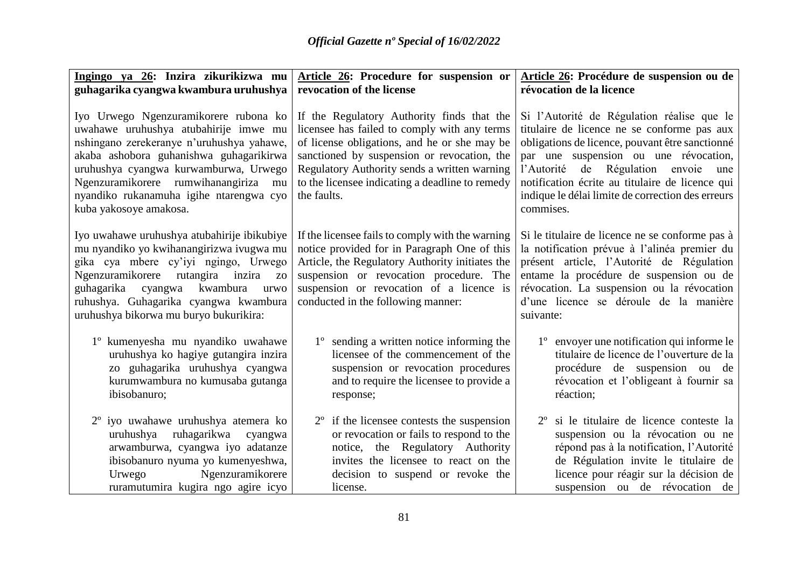| Ingingo ya 26: Inzira zikurikizwa mu                                                                                                                                                                                                                                                                                            | Article 26: Procedure for suspension or                                                                                                                                                                                                                                                                     | Article 26: Procédure de suspension ou de                                                                                                                                                                                                                                                                                                         |
|---------------------------------------------------------------------------------------------------------------------------------------------------------------------------------------------------------------------------------------------------------------------------------------------------------------------------------|-------------------------------------------------------------------------------------------------------------------------------------------------------------------------------------------------------------------------------------------------------------------------------------------------------------|---------------------------------------------------------------------------------------------------------------------------------------------------------------------------------------------------------------------------------------------------------------------------------------------------------------------------------------------------|
| guhagarika cyangwa kwambura uruhushya                                                                                                                                                                                                                                                                                           | revocation of the license                                                                                                                                                                                                                                                                                   | révocation de la licence                                                                                                                                                                                                                                                                                                                          |
| Iyo Urwego Ngenzuramikorere rubona ko<br>uwahawe uruhushya atubahirije imwe mu<br>nshingano zerekeranye n'uruhushya yahawe,<br>akaba ashobora guhanishwa guhagarikirwa<br>uruhushya cyangwa kurwamburwa, Urwego<br>Ngenzuramikorere rumwihanangiriza<br>mu<br>nyandiko rukanamuha igihe ntarengwa cyo<br>kuba yakosoye amakosa. | If the Regulatory Authority finds that the<br>licensee has failed to comply with any terms<br>of license obligations, and he or she may be<br>sanctioned by suspension or revocation, the<br>Regulatory Authority sends a written warning<br>to the licensee indicating a deadline to remedy<br>the faults. | Si l'Autorité de Régulation réalise que le<br>titulaire de licence ne se conforme pas aux<br>obligations de licence, pouvant être sanctionné<br>par une suspension ou une révocation,<br>l'Autorité de Régulation envoie une<br>notification écrite au titulaire de licence qui<br>indique le délai limite de correction des erreurs<br>commises. |
| Iyo uwahawe uruhushya atubahirije ibikubiye<br>mu nyandiko yo kwihanangirizwa ivugwa mu<br>gika cya mbere cy'iyi ngingo, Urwego<br>Ngenzuramikorere<br>inzira<br>rutangira<br>Z <sub>O</sub><br>kwambura<br>guhagarika<br>cyangwa<br>urwo<br>ruhushya. Guhagarika cyangwa kwambura<br>uruhushya bikorwa mu buryo bukurikira:    | If the licensee fails to comply with the warning<br>notice provided for in Paragraph One of this<br>Article, the Regulatory Authority initiates the<br>suspension or revocation procedure. The<br>suspension or revocation of a licence is<br>conducted in the following manner:                            | Si le titulaire de licence ne se conforme pas à<br>la notification prévue à l'alinéa premier du<br>présent article, l'Autorité de Régulation<br>entame la procédure de suspension ou de<br>révocation. La suspension ou la révocation<br>d'une licence se déroule de la manière<br>suivante:                                                      |
| 1° kumenyesha mu nyandiko uwahawe<br>uruhushya ko hagiye gutangira inzira<br>zo guhagarika uruhushya cyangwa<br>kurumwambura no kumusaba gutanga<br>ibisobanuro;                                                                                                                                                                | 1° sending a written notice informing the<br>licensee of the commencement of the<br>suspension or revocation procedures<br>and to require the licensee to provide a<br>response;                                                                                                                            | 1 <sup>°</sup> envoyer une notification qui informe le<br>titulaire de licence de l'ouverture de la<br>procédure de suspension ou de<br>révocation et l'obligeant à fournir sa<br>réaction;                                                                                                                                                       |
| 2 <sup>°</sup> iyo uwahawe uruhushya atemera ko<br>ruhagarikwa<br>uruhushya<br>cyangwa<br>arwamburwa, cyangwa iyo adatanze<br>ibisobanuro nyuma yo kumenyeshwa,<br>Ngenzuramikorere<br>Urwego<br>ruramutumira kugira ngo agire icyo                                                                                             | if the licensee contests the suspension<br>$2^{\circ}$<br>or revocation or fails to respond to the<br>notice, the Regulatory Authority<br>invites the licensee to react on the<br>decision to suspend or revoke the<br>license.                                                                             | 2 <sup>°</sup> si le titulaire de licence conteste la<br>suspension ou la révocation ou ne<br>répond pas à la notification, l'Autorité<br>de Régulation invite le titulaire de<br>licence pour réagir sur la décision de<br>suspension ou de révocation de                                                                                        |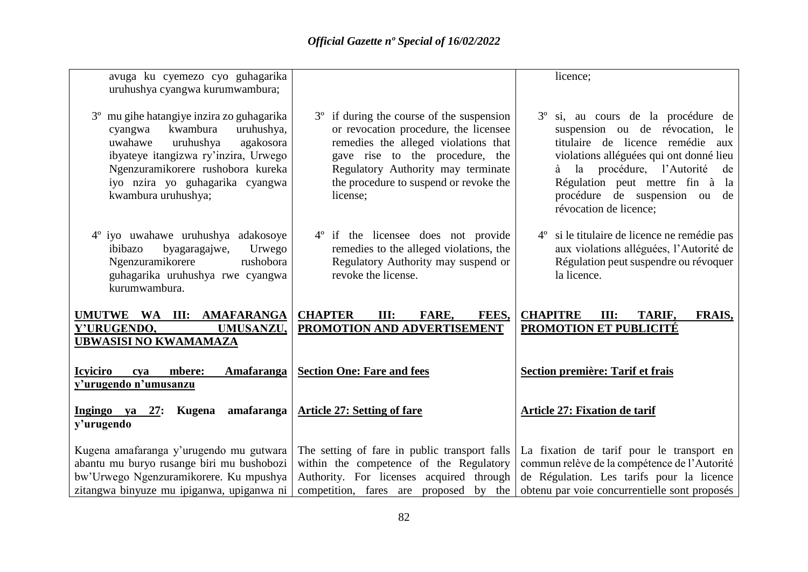| avuga ku cyemezo cyo guhagarika<br>uruhushya cyangwa kurumwambura;                                                                                                                                                                                         |                                                                                                                                                                                                                                                                       | licence;                                                                                                                                                                                                                                                                                              |
|------------------------------------------------------------------------------------------------------------------------------------------------------------------------------------------------------------------------------------------------------------|-----------------------------------------------------------------------------------------------------------------------------------------------------------------------------------------------------------------------------------------------------------------------|-------------------------------------------------------------------------------------------------------------------------------------------------------------------------------------------------------------------------------------------------------------------------------------------------------|
| 3° mu gihe hatangiye inzira zo guhagarika<br>kwambura<br>uruhushya,<br>cyangwa<br>uruhushya<br>agakosora<br>uwahawe<br>ibyateye itangizwa ry'inzira, Urwego<br>Ngenzuramikorere rushobora kureka<br>iyo nzira yo guhagarika cyangwa<br>kwambura uruhushya; | if during the course of the suspension<br>$3^{\circ}$<br>or revocation procedure, the licensee<br>remedies the alleged violations that<br>gave rise to the procedure, the<br>Regulatory Authority may terminate<br>the procedure to suspend or revoke the<br>license; | 3 <sup>°</sup> si, au cours de la procédure de<br>suspension ou de révocation, le<br>titulaire de licence remédie<br>aux<br>violations alléguées qui ont donné lieu<br>à la procédure, l'Autorité<br>de<br>Régulation peut mettre fin à la<br>procédure de suspension ou de<br>révocation de licence; |
| 4° iyo uwahawe uruhushya adakosoye<br>byagaragajwe,<br>Urwego<br>ibibazo<br>Ngenzuramikorere<br>rushobora<br>guhagarika uruhushya rwe cyangwa<br>kurumwambura.                                                                                             | 4° if the licensee does not provide<br>remedies to the alleged violations, the<br>Regulatory Authority may suspend or<br>revoke the license.                                                                                                                          | 4 <sup>°</sup> si le titulaire de licence ne remédie pas<br>aux violations alléguées, l'Autorité de<br>Régulation peut suspendre ou révoquer<br>la licence.                                                                                                                                           |
| UMUTWE WA III: AMAFARANGA<br>Y'URUGENDO,<br>UMUSANZU,<br><b>UBWASISI NO KWAMAMAZA</b>                                                                                                                                                                      | <b>CHAPTER</b><br>FEES,<br>III:<br><b>FARE.</b><br>PROMOTION AND ADVERTISEMENT                                                                                                                                                                                        | <b>CHAPITRE</b><br>III:<br>TARIF,<br>FRAIS,<br>PROMOTION ET PUBLICITÉ                                                                                                                                                                                                                                 |
| <b>Icyiciro</b><br><b>Amafaranga</b><br>mbere:<br>cya<br><u>y'urugendo n'umusanzu</u>                                                                                                                                                                      | <b>Section One: Fare and fees</b>                                                                                                                                                                                                                                     | Section première: Tarif et frais                                                                                                                                                                                                                                                                      |
| Kugena amafaranga<br>Ingingo ya 27:<br>y'urugendo                                                                                                                                                                                                          | <b>Article 27: Setting of fare</b>                                                                                                                                                                                                                                    | <b>Article 27: Fixation de tarif</b>                                                                                                                                                                                                                                                                  |
| Kugena amafaranga y'urugendo mu gutwara<br>abantu mu buryo rusange biri mu bushobozi<br>bw'Urwego Ngenzuramikorere. Ku mpushya<br>zitangwa binyuze mu ipiganwa, upiganwa ni                                                                                | The setting of fare in public transport falls<br>within the competence of the Regulatory<br>Authority. For licenses acquired through<br>competition, fares are proposed by the                                                                                        | La fixation de tarif pour le transport en<br>commun relève de la compétence de l'Autorité<br>de Régulation. Les tarifs pour la licence<br>obtenu par voie concurrentielle sont proposés                                                                                                               |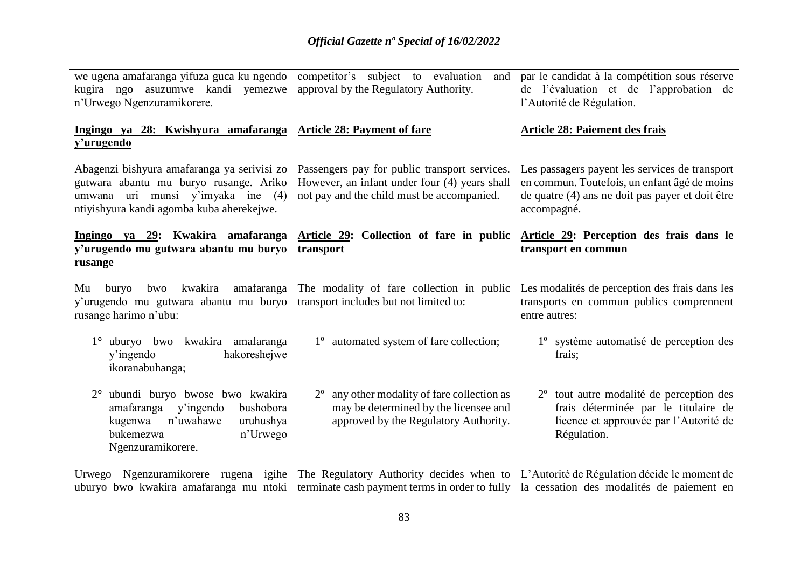| we ugena amafaranga yifuza guca ku ngendo<br>kugira ngo asuzumwe kandi yemezwe<br>n'Urwego Ngenzuramikorere.                                                            | competitor's subject to evaluation<br>and<br>approval by the Regulatory Authority.                                                                                                                                       | par le candidat à la compétition sous réserve<br>de l'évaluation et de l'approbation de<br>l'Autorité de Régulation.                                              |
|-------------------------------------------------------------------------------------------------------------------------------------------------------------------------|--------------------------------------------------------------------------------------------------------------------------------------------------------------------------------------------------------------------------|-------------------------------------------------------------------------------------------------------------------------------------------------------------------|
| Ingingo ya 28: Kwishyura amafaranga<br>y'urugendo                                                                                                                       | <b>Article 28: Payment of fare</b>                                                                                                                                                                                       | <b>Article 28: Paiement des frais</b>                                                                                                                             |
| Abagenzi bishyura amafaranga ya serivisi zo<br>gutwara abantu mu buryo rusange. Ariko<br>umwana uri munsi y'imyaka ine (4)<br>ntiyishyura kandi agomba kuba aherekejwe. | Passengers pay for public transport services.<br>However, an infant under four (4) years shall<br>not pay and the child must be accompanied.                                                                             | Les passagers payent les services de transport<br>en commun. Toutefois, un enfant âgé de moins<br>de quatre (4) ans ne doit pas payer et doit être<br>accompagné. |
| Ingingo ya 29: Kwakira amafaranga<br>y'urugendo mu gutwara abantu mu buryo<br>rusange                                                                                   | Article 29: Collection of fare in public<br>transport                                                                                                                                                                    | Article 29: Perception des frais dans le<br>transport en commun                                                                                                   |
| kwakira<br>amafaranga<br>buryo<br>bwo<br>Mu<br>y'urugendo mu gutwara abantu mu buryo<br>rusange harimo n'ubu:                                                           | The modality of fare collection in public<br>transport includes but not limited to:                                                                                                                                      | Les modalités de perception des frais dans les<br>transports en commun publics comprennent<br>entre autres:                                                       |
| uburyo bwo kwakira amafaranga<br>$1^{\circ}$<br>hakoreshejwe<br>y'ingendo<br>ikoranabuhanga;                                                                            | 1° automated system of fare collection;                                                                                                                                                                                  | 1 <sup>°</sup> système automatisé de perception des<br>frais;                                                                                                     |
| ubundi buryo bwose bwo kwakira<br>amafaranga<br>y'ingendo<br>bushobora<br>n'uwahawe<br>kugenwa<br>uruhushya<br>bukemezwa<br>n'Urwego<br>Ngenzuramikorere.               | any other modality of fare collection as<br>may be determined by the licensee and<br>approved by the Regulatory Authority.                                                                                               | 2 <sup>°</sup> tout autre modalité de perception des<br>frais déterminée par le titulaire de<br>licence et approuvée par l'Autorité de<br>Régulation.             |
| uburyo bwo kwakira amafaranga mu ntoki                                                                                                                                  | Urwego Ngenzuramikorere rugena igihe The Regulatory Authority decides when to L'Autorité de Régulation décide le moment de<br>terminate cash payment terms in order to fully   la cessation des modalités de paiement en |                                                                                                                                                                   |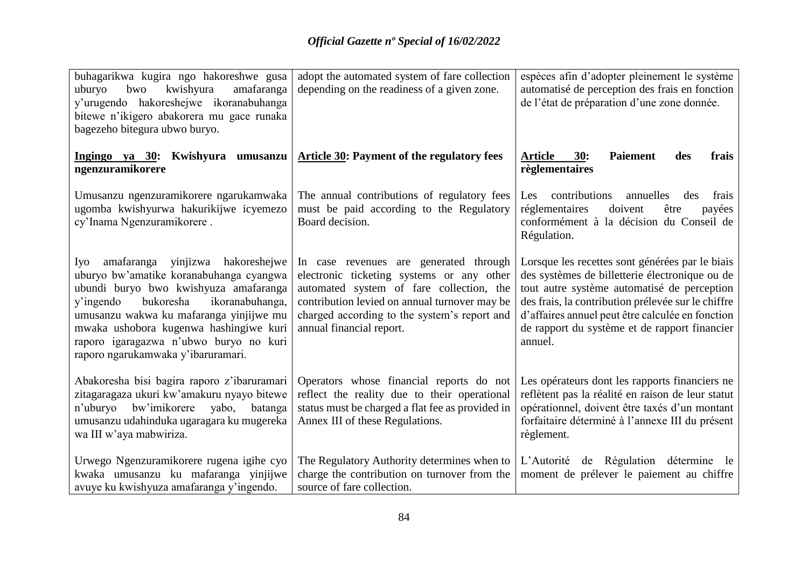| buhagarikwa kugira ngo hakoreshwe gusa<br>kwishyura<br>amafaranga<br>uburyo<br>bwo<br>y'urugendo hakoreshejwe ikoranabuhanga<br>bitewe n'ikigero abakorera mu gace runaka<br>bagezeho bitegura ubwo buryo.                                                                                                                                    | adopt the automated system of fare collection<br>depending on the readiness of a given zone.                                                                                                                                                                 | espèces afin d'adopter pleinement le système<br>automatisé de perception des frais en fonction<br>de l'état de préparation d'une zone donnée.                                                                                                                                                                          |
|-----------------------------------------------------------------------------------------------------------------------------------------------------------------------------------------------------------------------------------------------------------------------------------------------------------------------------------------------|--------------------------------------------------------------------------------------------------------------------------------------------------------------------------------------------------------------------------------------------------------------|------------------------------------------------------------------------------------------------------------------------------------------------------------------------------------------------------------------------------------------------------------------------------------------------------------------------|
| Ingingo ya 30: Kwishyura umusanzu<br>ngenzuramikorere                                                                                                                                                                                                                                                                                         | <b>Article 30: Payment of the regulatory fees</b>                                                                                                                                                                                                            | 30:<br><b>Paiement</b><br>Article<br>frais<br>des<br>règlementaires                                                                                                                                                                                                                                                    |
| Umusanzu ngenzuramikorere ngarukamwaka<br>ugomba kwishyurwa hakurikijwe icyemezo<br>cy'Inama Ngenzuramikorere.                                                                                                                                                                                                                                | The annual contributions of regulatory fees<br>must be paid according to the Regulatory<br>Board decision.                                                                                                                                                   | contributions<br>annuelles<br>frais<br><b>Les</b><br>des<br>réglementaires<br>doivent<br>payées<br>être<br>conformément à la décision du Conseil de<br>Régulation.                                                                                                                                                     |
| amafaranga yinjizwa hakoreshejwe<br>Iyo<br>uburyo bw'amatike koranabuhanga cyangwa<br>ubundi buryo bwo kwishyuza amafaranga<br>bukoresha<br>ikoranabuhanga,<br>y'ingendo<br>umusanzu wakwa ku mafaranga yinjijwe mu<br>mwaka ushobora kugenwa hashingiwe kuri<br>raporo igaragazwa n'ubwo buryo no kuri<br>raporo ngarukamwaka y'ibaruramari. | In case revenues are generated through<br>electronic ticketing systems or any other<br>automated system of fare collection, the<br>contribution levied on annual turnover may be<br>charged according to the system's report and<br>annual financial report. | Lorsque les recettes sont générées par le biais<br>des systèmes de billetterie électronique ou de<br>tout autre système automatisé de perception<br>des frais, la contribution prélevée sur le chiffre<br>d'affaires annuel peut être calculée en fonction<br>de rapport du système et de rapport financier<br>annuel. |
| Abakoresha bisi bagira raporo z'ibaruramari<br>zitagaragaza ukuri kw'amakuru nyayo bitewe<br>n'uburyo<br>bw'imikorere<br>yabo,<br>batanga<br>umusanzu udahinduka ugaragara ku mugereka<br>wa III w'aya mabwiriza.                                                                                                                             | Operators whose financial reports do not<br>reflect the reality due to their operational<br>status must be charged a flat fee as provided in<br>Annex III of these Regulations.                                                                              | Les opérateurs dont les rapports financiers ne<br>reflètent pas la réalité en raison de leur statut<br>opérationnel, doivent être taxés d'un montant<br>forfaitaire déterminé à l'annexe III du présent<br>règlement.                                                                                                  |
| Urwego Ngenzuramikorere rugena igihe cyo<br>kwaka umusanzu ku mafaranga yinjijwe<br>avuye ku kwishyuza amafaranga y'ingendo.                                                                                                                                                                                                                  | The Regulatory Authority determines when to<br>charge the contribution on turnover from the<br>source of fare collection.                                                                                                                                    | L'Autorité de Régulation détermine<br>le<br>moment de prélever le paiement au chiffre                                                                                                                                                                                                                                  |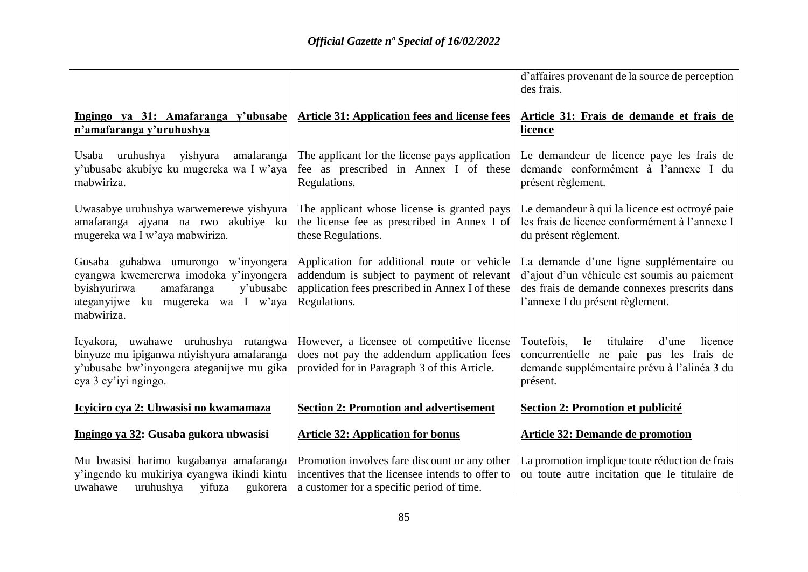|                                                                                                                                                                              |                                                                                                                                                              | d'affaires provenant de la source de perception<br>des frais.                                                                                                                |
|------------------------------------------------------------------------------------------------------------------------------------------------------------------------------|--------------------------------------------------------------------------------------------------------------------------------------------------------------|------------------------------------------------------------------------------------------------------------------------------------------------------------------------------|
| Ingingo ya 31: Amafaranga y'ubusabe<br>n'amafaranga y'uruhushya                                                                                                              | <b>Article 31: Application fees and license fees</b>                                                                                                         | Article 31: Frais de demande et frais de<br><u>licence</u>                                                                                                                   |
| uruhushya<br>yishyura amafaranga<br>Usaba<br>y'ubusabe akubiye ku mugereka wa I w'aya<br>mabwiriza.                                                                          | The applicant for the license pays application<br>fee as prescribed in Annex I of these<br>Regulations.                                                      | Le demandeur de licence paye les frais de<br>demande conformément à l'annexe I du<br>présent règlement.                                                                      |
| Uwasabye uruhushya warwemerewe yishyura<br>amafaranga ajyana na rwo akubiye ku<br>mugereka wa I w'aya mabwiriza.                                                             | The applicant whose license is granted pays<br>the license fee as prescribed in Annex I of<br>these Regulations.                                             | Le demandeur à qui la licence est octroyé paie<br>les frais de licence conformément à l'annexe I<br>du présent règlement.                                                    |
| Gusaba guhabwa umurongo w'inyongera<br>cyangwa kwemererwa imodoka y'inyongera<br>amafaranga<br>byishyurirwa<br>y'ubusabe<br>ateganyijwe ku mugereka wa I w'aya<br>mabwiriza. | Application for additional route or vehicle<br>addendum is subject to payment of relevant<br>application fees prescribed in Annex I of these<br>Regulations. | La demande d'une ligne supplémentaire ou<br>d'ajout d'un véhicule est soumis au paiement<br>des frais de demande connexes prescrits dans<br>l'annexe I du présent règlement. |
| Icyakora, uwahawe uruhushya rutangwa<br>binyuze mu ipiganwa ntiyishyura amafaranga<br>y'ubusabe bw'inyongera ateganijwe mu gika<br>cya 3 cy'iyi ngingo.                      | However, a licensee of competitive license<br>does not pay the addendum application fees<br>provided for in Paragraph 3 of this Article.                     | titulaire<br>Toutefois,<br>le<br>d'une<br>licence<br>concurrentielle ne paie pas les frais de<br>demande supplémentaire prévu à l'alinéa 3 du<br>présent.                    |
| Icyiciro cya 2: Ubwasisi no kwamamaza                                                                                                                                        | <b>Section 2: Promotion and advertisement</b>                                                                                                                | <b>Section 2: Promotion et publicité</b>                                                                                                                                     |
| Ingingo ya 32: Gusaba gukora ubwasisi                                                                                                                                        | <b>Article 32: Application for bonus</b>                                                                                                                     | <b>Article 32: Demande de promotion</b>                                                                                                                                      |
| Mu bwasisi harimo kugabanya amafaranga<br>y'ingendo ku mukiriya cyangwa ikindi kintu<br>uruhushya yifuza<br>uwahawe<br>gukorera                                              | Promotion involves fare discount or any other<br>incentives that the licensee intends to offer to<br>a customer for a specific period of time.               | La promotion implique toute réduction de frais<br>ou toute autre incitation que le titulaire de                                                                              |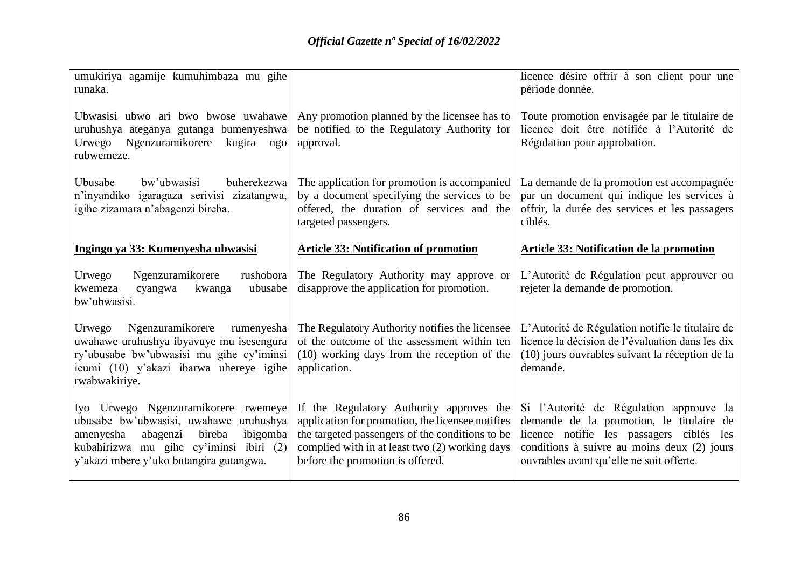| umukiriya agamije kumuhimbaza mu gihe<br>runaka.                                                                                                                                                                   |                                                                                                                                                                                                                                       | licence désire offrir à son client pour une<br>période donnée.                                                                                                                                                                |
|--------------------------------------------------------------------------------------------------------------------------------------------------------------------------------------------------------------------|---------------------------------------------------------------------------------------------------------------------------------------------------------------------------------------------------------------------------------------|-------------------------------------------------------------------------------------------------------------------------------------------------------------------------------------------------------------------------------|
| Ubwasisi ubwo ari bwo bwose uwahawe<br>uruhushya ateganya gutanga bumenyeshwa<br>Urwego<br>Ngenzuramikorere<br>kugira ngo<br>rubwemeze.                                                                            | Any promotion planned by the licensee has to<br>be notified to the Regulatory Authority for<br>approval.                                                                                                                              | Toute promotion envisagée par le titulaire de<br>licence doit être notifiée à l'Autorité de<br>Régulation pour approbation.                                                                                                   |
| buherekezwa<br>Ubusabe<br>bw'ubwasisi<br>n'inyandiko igaragaza serivisi zizatangwa,<br>igihe zizamara n'abagenzi bireba.                                                                                           | The application for promotion is accompanied<br>by a document specifying the services to be<br>offered, the duration of services and the<br>targeted passengers.                                                                      | La demande de la promotion est accompagnée<br>par un document qui indique les services à<br>offrir, la durée des services et les passagers<br>ciblés.                                                                         |
| Ingingo ya 33: Kumenyesha ubwasisi                                                                                                                                                                                 | <b>Article 33: Notification of promotion</b>                                                                                                                                                                                          | Article 33: Notification de la promotion                                                                                                                                                                                      |
| Ngenzuramikorere<br>rushobora<br>Urwego<br>kwemeza<br>ubusabe<br>kwanga<br>cyangwa<br>bw'ubwasisi.                                                                                                                 | The Regulatory Authority may approve or<br>disapprove the application for promotion.                                                                                                                                                  | L'Autorité de Régulation peut approuver ou<br>rejeter la demande de promotion.                                                                                                                                                |
| Ngenzuramikorere<br>Urwego<br>rumenyesha<br>uwahawe uruhushya ibyavuye mu isesengura<br>ry'ubusabe bw'ubwasisi mu gihe cy'iminsi<br>icumi (10) y'akazi ibarwa uhereye igihe<br>rwabwakiriye.                       | The Regulatory Authority notifies the licensee<br>of the outcome of the assessment within ten<br>(10) working days from the reception of the<br>application.                                                                          | L'Autorité de Régulation notifie le titulaire de<br>licence la décision de l'évaluation dans les dix<br>(10) jours ouvrables suivant la réception de la<br>demande.                                                           |
| Iyo Urwego Ngenzuramikorere rwemeye<br>ubusabe bw'ubwasisi, uwahawe uruhushya<br>amenyesha<br>bireba<br>ibigomba<br>abagenzi<br>kubahirizwa mu gihe cy'iminsi ibiri (2)<br>y'akazi mbere y'uko butangira gutangwa. | If the Regulatory Authority approves the<br>application for promotion, the licensee notifies<br>the targeted passengers of the conditions to be<br>complied with in at least two (2) working days<br>before the promotion is offered. | Si l'Autorité de Régulation approuve la<br>demande de la promotion, le titulaire de<br>licence notifie les passagers ciblés<br>les<br>conditions à suivre au moins deux (2) jours<br>ouvrables avant qu'elle ne soit offerte. |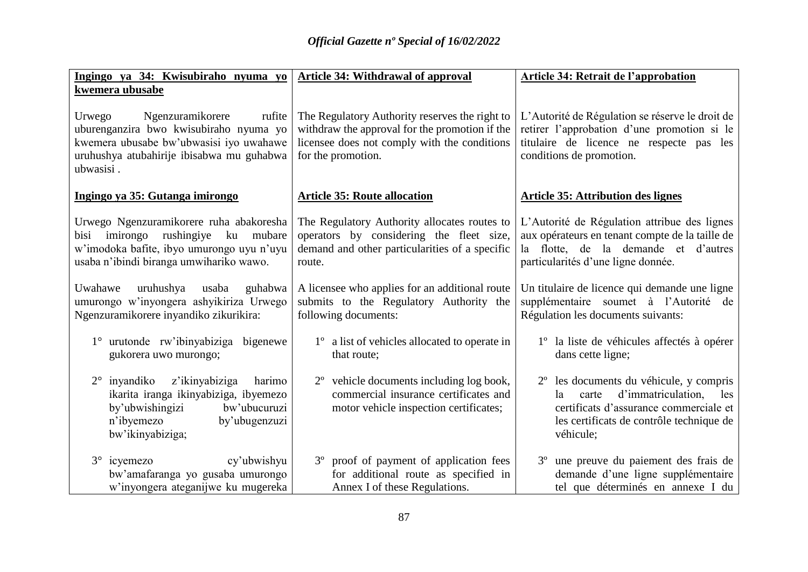| Ingingo ya 34: Kwisubiraho nyuma yo                                                                                                                                                 | <b>Article 34: Withdrawal of approval</b>                                                                                                                              | <b>Article 34: Retrait de l'approbation</b>                                                                                                                                                        |
|-------------------------------------------------------------------------------------------------------------------------------------------------------------------------------------|------------------------------------------------------------------------------------------------------------------------------------------------------------------------|----------------------------------------------------------------------------------------------------------------------------------------------------------------------------------------------------|
| kwemera ubusabe                                                                                                                                                                     |                                                                                                                                                                        |                                                                                                                                                                                                    |
| Ngenzuramikorere<br>Urwego<br>rufite<br>uburenganzira bwo kwisubiraho nyuma yo<br>kwemera ubusabe bw'ubwasisi iyo uwahawe<br>uruhushya atubahirije ibisabwa mu guhabwa<br>ubwasisi. | The Regulatory Authority reserves the right to<br>withdraw the approval for the promotion if the<br>licensee does not comply with the conditions<br>for the promotion. | L'Autorité de Régulation se réserve le droit de<br>retirer l'approbation d'une promotion si le<br>titulaire de licence ne respecte pas les<br>conditions de promotion.                             |
| Ingingo ya 35: Gutanga imirongo                                                                                                                                                     | <b>Article 35: Route allocation</b>                                                                                                                                    | <b>Article 35: Attribution des lignes</b>                                                                                                                                                          |
| Urwego Ngenzuramikorere ruha abakoresha<br>imirongo rushingiye ku mubare<br>bisi<br>w'imodoka bafite, ibyo umurongo uyu n'uyu<br>usaba n'ibindi biranga umwihariko wawo.            | The Regulatory Authority allocates routes to<br>operators by considering the fleet size,<br>demand and other particularities of a specific<br>route.                   | L'Autorité de Régulation attribue des lignes<br>aux opérateurs en tenant compte de la taille de<br>la flotte, de la demande et d'autres<br>particularités d'une ligne donnée.                      |
| uruhushya<br>Uwahawe<br>usaba<br>guhabwa<br>umurongo w'inyongera ashyikiriza Urwego<br>Ngenzuramikorere inyandiko zikurikira:                                                       | A licensee who applies for an additional route<br>submits to the Regulatory Authority the<br>following documents:                                                      | Un titulaire de licence qui demande une ligne<br>supplémentaire soumet à l'Autorité de<br>Régulation les documents suivants:                                                                       |
| 1° urutonde rw'ibinyabiziga bigenewe<br>gukorera uwo murongo;                                                                                                                       | 1 <sup>°</sup> a list of vehicles allocated to operate in<br>that route;                                                                                               | 1 <sup>°</sup> la liste de véhicules affectés à opérer<br>dans cette ligne;                                                                                                                        |
| $2^{\circ}$ inyandiko<br>z'ikinyabiziga<br>harimo<br>ikarita iranga ikinyabiziga, ibyemezo<br>by'ubwishingizi<br>bw'ubucuruzi<br>n'ibyemezo<br>by'ubugenzuzi<br>bw'ikinyabiziga;    | 2 <sup>°</sup> vehicle documents including log book,<br>commercial insurance certificates and<br>motor vehicle inspection certificates;                                | 2 <sup>°</sup> les documents du véhicule, y compris<br>d'immatriculation,<br>carte<br>les<br>la<br>certificats d'assurance commerciale et<br>les certificats de contrôle technique de<br>véhicule; |
| $3^\circ$ icyemezo<br>cy'ubwishyu<br>bw'amafaranga yo gusaba umurongo<br>w'inyongera ateganijwe ku mugereka                                                                         | 3 <sup>°</sup> proof of payment of application fees<br>for additional route as specified in<br>Annex I of these Regulations.                                           | 3 <sup>°</sup> une preuve du paiement des frais de<br>demande d'une ligne supplémentaire<br>tel que déterminés en annexe I du                                                                      |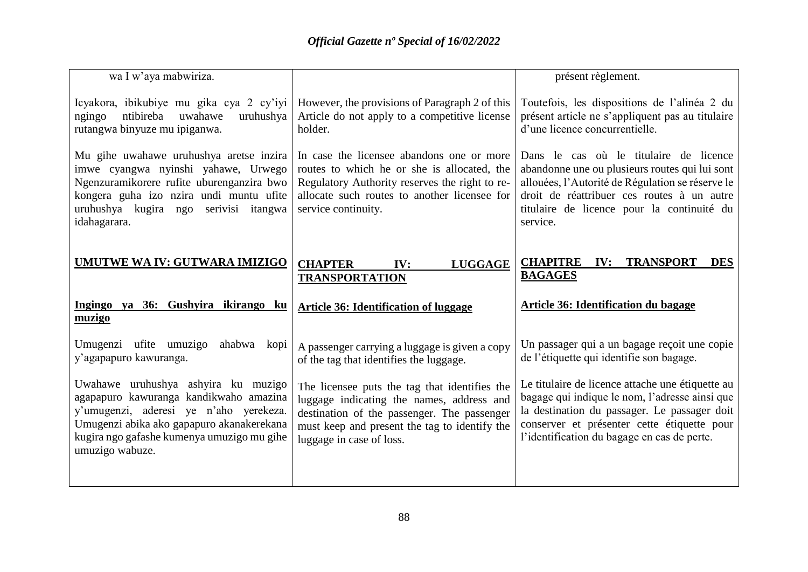| wa I w'aya mabwiriza.                                                                                                                                                                                                                 |                                                                                                                                                                                                                        | présent règlement.                                                                                                                                                                                                                                   |
|---------------------------------------------------------------------------------------------------------------------------------------------------------------------------------------------------------------------------------------|------------------------------------------------------------------------------------------------------------------------------------------------------------------------------------------------------------------------|------------------------------------------------------------------------------------------------------------------------------------------------------------------------------------------------------------------------------------------------------|
| Icyakora, ibikubiye mu gika cya 2 cy'iyi<br>ntibireba<br>uwahawe<br>uruhushya<br>ngingo<br>rutangwa binyuze mu ipiganwa.                                                                                                              | However, the provisions of Paragraph 2 of this<br>Article do not apply to a competitive license<br>holder.                                                                                                             | Toutefois, les dispositions de l'alinéa 2 du<br>présent article ne s'appliquent pas au titulaire<br>d'une licence concurrentielle.                                                                                                                   |
| Mu gihe uwahawe uruhushya aretse inzira<br>imwe cyangwa nyinshi yahawe, Urwego<br>Ngenzuramikorere rufite uburenganzira bwo<br>kongera guha izo nzira undi muntu ufite<br>uruhushya kugira ngo serivisi itangwa<br>idahagarara.       | In case the licensee abandons one or more<br>routes to which he or she is allocated, the<br>Regulatory Authority reserves the right to re-<br>allocate such routes to another licensee for<br>service continuity.      | Dans le cas où le titulaire de licence<br>abandonne une ou plusieurs routes qui lui sont<br>allouées, l'Autorité de Régulation se réserve le<br>droit de réattribuer ces routes à un autre<br>titulaire de licence pour la continuité du<br>service. |
| UMUTWE WA IV: GUTWARA IMIZIGO                                                                                                                                                                                                         | <b>CHAPTER</b><br><b>LUGGAGE</b><br>IV:<br><b>TRANSPORTATION</b>                                                                                                                                                       | <b>CHAPITRE</b><br><b>TRANSPORT</b><br>IV:<br><b>DES</b><br><b>BAGAGES</b>                                                                                                                                                                           |
| Ingingo ya 36: Gushyira ikirango ku<br>muzigo                                                                                                                                                                                         | <b>Article 36: Identification of luggage</b>                                                                                                                                                                           | Article 36: Identification du bagage                                                                                                                                                                                                                 |
| Umugenzi ufite umuzigo<br>ahabwa<br>kopi<br>y'agapapuro kawuranga.                                                                                                                                                                    | A passenger carrying a luggage is given a copy<br>of the tag that identifies the luggage.                                                                                                                              | Un passager qui a un bagage reçoit une copie<br>de l'étiquette qui identifie son bagage.                                                                                                                                                             |
| Uwahawe uruhushya ashyira ku muzigo<br>agapapuro kawuranga kandikwaho amazina<br>y'umugenzi, aderesi ye n'aho yerekeza.<br>Umugenzi abika ako gapapuro akanakerekana<br>kugira ngo gafashe kumenya umuzigo mu gihe<br>umuzigo wabuze. | The licensee puts the tag that identifies the<br>luggage indicating the names, address and<br>destination of the passenger. The passenger<br>must keep and present the tag to identify the<br>luggage in case of loss. | Le titulaire de licence attache une étiquette au<br>bagage qui indique le nom, l'adresse ainsi que<br>la destination du passager. Le passager doit<br>conserver et présenter cette étiquette pour<br>l'identification du bagage en cas de perte.     |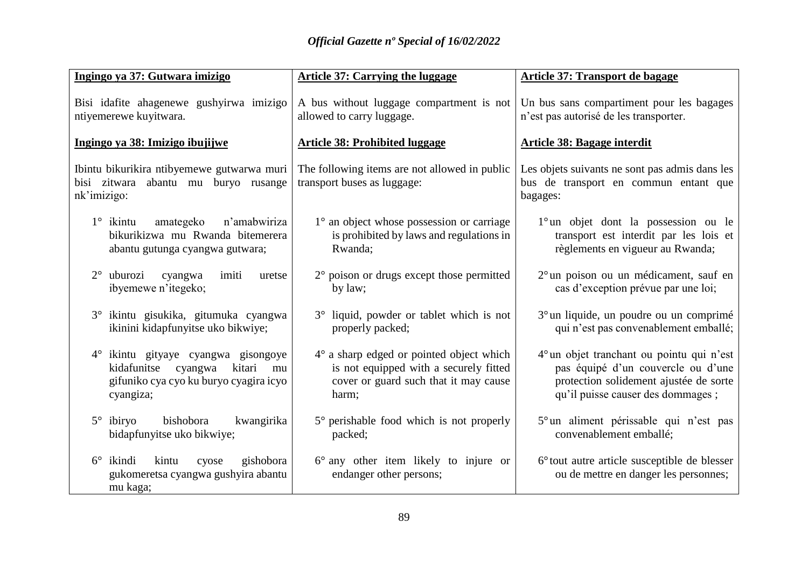| Ingingo ya 37: Gutwara imizigo                                                                                                       | <b>Article 37: Carrying the luggage</b>                                                                                                     | <b>Article 37: Transport de bagage</b>                                                                                                                          |
|--------------------------------------------------------------------------------------------------------------------------------------|---------------------------------------------------------------------------------------------------------------------------------------------|-----------------------------------------------------------------------------------------------------------------------------------------------------------------|
| Bisi idafite ahagenewe gushyirwa imizigo<br>ntiyemerewe kuyitwara.                                                                   | A bus without luggage compartment is not<br>allowed to carry luggage.                                                                       | Un bus sans compartiment pour les bagages<br>n'est pas autorisé de les transporter.                                                                             |
| Ingingo ya 38: Imizigo ibujijwe                                                                                                      | <b>Article 38: Prohibited luggage</b>                                                                                                       | Article 38: Bagage interdit                                                                                                                                     |
| Ibintu bikurikira ntibyemewe gutwarwa muri<br>bisi zitwara abantu mu buryo rusange<br>nk'imizigo:                                    | The following items are not allowed in public<br>transport buses as luggage:                                                                | Les objets suivants ne sont pas admis dans les<br>bus de transport en commun entant que<br>bagages:                                                             |
| $1^\circ$ ikintu<br>amategeko<br>n'amabwiriza<br>bikurikizwa mu Rwanda bitemerera<br>abantu gutunga cyangwa gutwara;                 | $1^\circ$ an object whose possession or carriage<br>is prohibited by laws and regulations in<br>Rwanda;                                     | 1° un objet dont la possession ou le<br>transport est interdit par les lois et<br>règlements en vigueur au Rwanda;                                              |
| $2^{\circ}$<br>uburozi<br>cyangwa<br>imiti<br>uretse<br>ibyemewe n'itegeko;                                                          | $2^{\circ}$ poison or drugs except those permitted<br>by law;                                                                               | 2 <sup>°</sup> un poison ou un médicament, sauf en<br>cas d'exception prévue par une loi;                                                                       |
| 3° ikintu gisukika, gitumuka cyangwa<br>ikinini kidapfunyitse uko bikwiye;                                                           | 3° liquid, powder or tablet which is not<br>properly packed;                                                                                | 3 <sup>°</sup> un liquide, un poudre ou un comprimé<br>qui n'est pas convenablement emballé;                                                                    |
| 4° ikintu gityaye cyangwa gisongoye<br>kidafunitse<br>kitari<br>cyangwa<br>mu<br>gifuniko cya cyo ku buryo cyagira icyo<br>cyangiza; | $4^\circ$ a sharp edged or pointed object which<br>is not equipped with a securely fitted<br>cover or guard such that it may cause<br>harm; | 4° un objet tranchant ou pointu qui n'est<br>pas équipé d'un couvercle ou d'une<br>protection solidement ajustée de sorte<br>qu'il puisse causer des dommages ; |
| $5^\circ$ ibiryo<br>bishobora<br>kwangirika<br>bidapfunyitse uko bikwiye;                                                            | $5^\circ$ perishable food which is not properly<br>packed;                                                                                  | 5° un aliment périssable qui n'est pas<br>convenablement emballé;                                                                                               |
| $6^\circ$ ikindi<br>kintu<br>gishobora<br>cyose<br>gukomeretsa cyangwa gushyira abantu<br>mu kaga;                                   | $6^{\circ}$ any other item likely to injure or<br>endanger other persons;                                                                   | 6° tout autre article susceptible de blesser<br>ou de mettre en danger les personnes;                                                                           |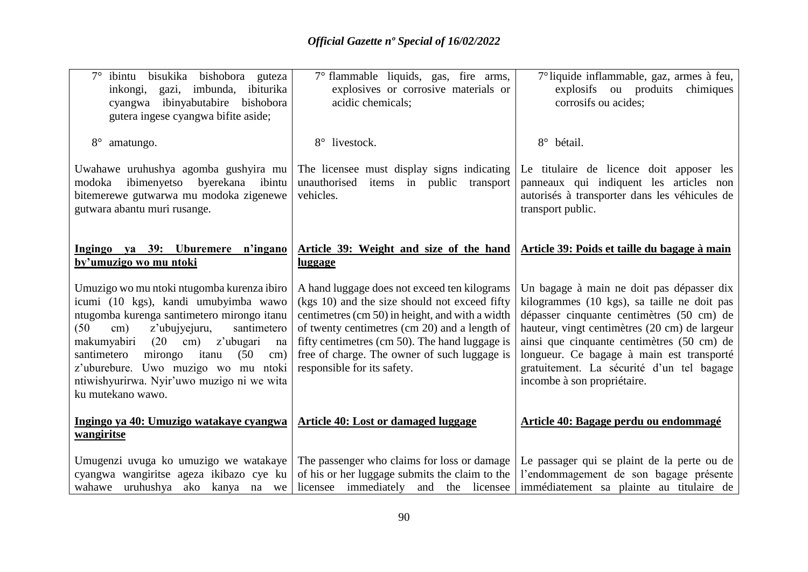| bisukika bishobora guteza<br>$7^\circ$ ibintu<br>inkongi, gazi, imbunda, ibiturika<br>cyangwa ibinyabutabire bishobora<br>gutera ingese cyangwa bifite aside;                                                                                                                                                                                                                                                      | 7° flammable liquids, gas, fire arms,<br>explosives or corrosive materials or<br>acidic chemicals;                                                                                                                                                                                                                                 | 7° liquide inflammable, gaz, armes à feu,<br>explosifs ou produits<br>chimiques<br>corrosifs ou acides;                                                                                                                                                                                                                                                       |
|--------------------------------------------------------------------------------------------------------------------------------------------------------------------------------------------------------------------------------------------------------------------------------------------------------------------------------------------------------------------------------------------------------------------|------------------------------------------------------------------------------------------------------------------------------------------------------------------------------------------------------------------------------------------------------------------------------------------------------------------------------------|---------------------------------------------------------------------------------------------------------------------------------------------------------------------------------------------------------------------------------------------------------------------------------------------------------------------------------------------------------------|
| $8^{\circ}$<br>amatungo.                                                                                                                                                                                                                                                                                                                                                                                           | 8° livestock.                                                                                                                                                                                                                                                                                                                      | 8° bétail.                                                                                                                                                                                                                                                                                                                                                    |
| Uwahawe uruhushya agomba gushyira mu<br>byerekana ibintu<br>modoka<br>ibimenyetso<br>bitemerewe gutwarwa mu modoka zigenewe<br>gutwara abantu muri rusange.                                                                                                                                                                                                                                                        | The licensee must display signs indicating<br>unauthorised items in public<br>transport<br>vehicles.                                                                                                                                                                                                                               | Le titulaire de licence doit apposer les<br>panneaux qui indiquent les articles non<br>autorisés à transporter dans les véhicules de<br>transport public.                                                                                                                                                                                                     |
| Ingingo ya 39: Uburemere n'ingano<br>by'umuzigo wo mu ntoki                                                                                                                                                                                                                                                                                                                                                        | Article 39: Weight and size of the hand<br><u>luggage</u>                                                                                                                                                                                                                                                                          | Article 39: Poids et taille du bagage à main                                                                                                                                                                                                                                                                                                                  |
| Umuzigo wo mu ntoki ntugomba kurenza ibiro<br>icumi (10 kgs), kandi umubyimba wawo<br>ntugomba kurenga santimetero mirongo itanu<br>z'ubujyejuru,<br>(50)<br>$\text{cm}$ )<br>santimetero<br>(20)<br>z'ubugari<br>makumyabiri<br>$\rm cm)$<br>na<br>santimetero<br>(50)<br>mirongo<br>itanu<br>$\rm cm)$<br>z'uburebure. Uwo muzigo wo mu ntoki<br>ntiwishyurirwa. Nyir'uwo muzigo ni we wita<br>ku mutekano wawo. | A hand luggage does not exceed ten kilograms<br>(kgs 10) and the size should not exceed fifty<br>centimetres (cm 50) in height, and with a width<br>of twenty centimetres (cm 20) and a length of<br>fifty centimetres (cm 50). The hand luggage is<br>free of charge. The owner of such luggage is<br>responsible for its safety. | Un bagage à main ne doit pas dépasser dix<br>kilogrammes (10 kgs), sa taille ne doit pas<br>dépasser cinquante centimètres (50 cm) de<br>hauteur, vingt centimètres (20 cm) de largeur<br>ainsi que cinquante centimètres (50 cm) de<br>longueur. Ce bagage à main est transporté<br>gratuitement. La sécurité d'un tel bagage<br>incombe à son propriétaire. |
| Ingingo ya 40: Umuzigo watakaye cyangwa<br>wangiritse                                                                                                                                                                                                                                                                                                                                                              | <b>Article 40: Lost or damaged luggage</b>                                                                                                                                                                                                                                                                                         | Article 40: Bagage perdu ou endommagé                                                                                                                                                                                                                                                                                                                         |
| Umugenzi uvuga ko umuzigo we watakaye<br>cyangwa wangiritse ageza ikibazo cye ku<br>wahawe uruhushya ako kanya na we                                                                                                                                                                                                                                                                                               | The passenger who claims for loss or damage<br>of his or her luggage submits the claim to the<br>licensee immediately and the licensee                                                                                                                                                                                             | Le passager qui se plaint de la perte ou de<br>l'endommagement de son bagage présente<br>immédiatement sa plainte au titulaire de                                                                                                                                                                                                                             |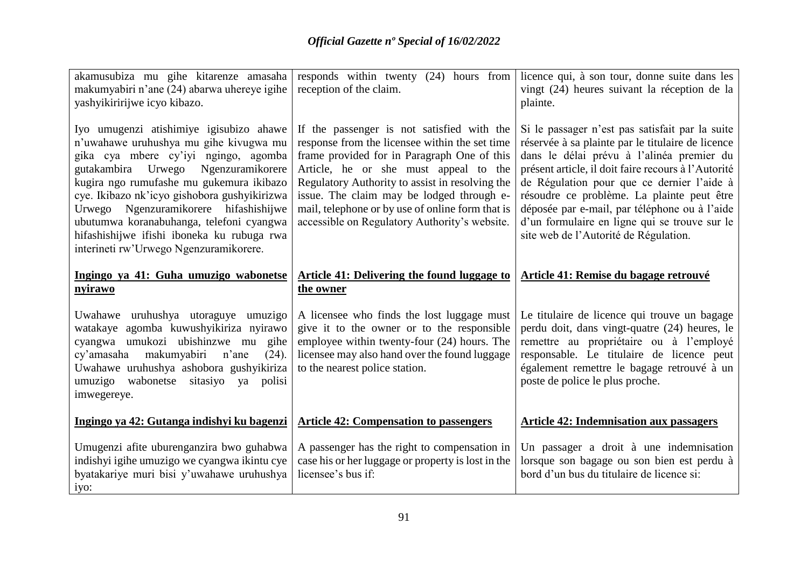| akamusubiza mu gihe kitarenze amasaha<br>makumyabiri n'ane (24) abarwa uhereye igihe<br>yashyikiririjwe icyo kibazo.                                                                                                                                                                                                                                                                                                                         | responds within twenty (24) hours from<br>reception of the claim.                                                                                                                                                                                                                                                                                                                         | licence qui, à son tour, donne suite dans les<br>vingt (24) heures suivant la réception de la<br>plainte.                                                                                                                                                                                                                                                                                                                                       |
|----------------------------------------------------------------------------------------------------------------------------------------------------------------------------------------------------------------------------------------------------------------------------------------------------------------------------------------------------------------------------------------------------------------------------------------------|-------------------------------------------------------------------------------------------------------------------------------------------------------------------------------------------------------------------------------------------------------------------------------------------------------------------------------------------------------------------------------------------|-------------------------------------------------------------------------------------------------------------------------------------------------------------------------------------------------------------------------------------------------------------------------------------------------------------------------------------------------------------------------------------------------------------------------------------------------|
| Iyo umugenzi atishimiye igisubizo ahawe<br>n'uwahawe uruhushya mu gihe kivugwa mu<br>gika cya mbere cy'iyi ngingo, agomba<br>gutakambira Urwego Ngenzuramikorere<br>kugira ngo rumufashe mu gukemura ikibazo<br>cye. Ikibazo nk'icyo gishobora gushyikirizwa<br>Ngenzuramikorere hifashishijwe<br>Urwego<br>ubutumwa koranabuhanga, telefoni cyangwa<br>hifashishijwe ifishi iboneka ku rubuga rwa<br>interineti rw'Urwego Ngenzuramikorere. | If the passenger is not satisfied with the<br>response from the licensee within the set time<br>frame provided for in Paragraph One of this<br>Article, he or she must appeal to the<br>Regulatory Authority to assist in resolving the<br>issue. The claim may be lodged through e-<br>mail, telephone or by use of online form that is<br>accessible on Regulatory Authority's website. | Si le passager n'est pas satisfait par la suite<br>réservée à sa plainte par le titulaire de licence<br>dans le délai prévu à l'alinéa premier du<br>présent article, il doit faire recours à l'Autorité<br>de Régulation pour que ce dernier l'aide à<br>résoudre ce problème. La plainte peut être<br>déposée par e-mail, par téléphone ou à l'aide<br>d'un formulaire en ligne qui se trouve sur le<br>site web de l'Autorité de Régulation. |
| Ingingo ya 41: Guha umuzigo wabonetse<br>nyirawo                                                                                                                                                                                                                                                                                                                                                                                             | <b>Article 41: Delivering the found luggage to</b><br>the owner                                                                                                                                                                                                                                                                                                                           | <b>Article 41: Remise du bagage retrouvé</b>                                                                                                                                                                                                                                                                                                                                                                                                    |
| Uwahawe uruhushya utoraguye umuzigo<br>watakaye agomba kuwushyikiriza nyirawo<br>cyangwa umukozi ubishinzwe mu gihe<br>cy'amasaha makumyabiri<br>n'ane<br>(24).<br>Uwahawe uruhushya ashobora gushyikiriza<br>umuzigo wabonetse sitasiyo ya polisi<br>imwegereye.                                                                                                                                                                            | A licensee who finds the lost luggage must<br>give it to the owner or to the responsible<br>employee within twenty-four (24) hours. The<br>licensee may also hand over the found luggage<br>to the nearest police station.                                                                                                                                                                | Le titulaire de licence qui trouve un bagage<br>perdu doit, dans vingt-quatre (24) heures, le<br>remettre au propriétaire ou à l'employé<br>responsable. Le titulaire de licence peut<br>également remettre le bagage retrouvé à un<br>poste de police le plus proche.                                                                                                                                                                          |
| Ingingo ya 42: Gutanga indishyi ku bagenzi                                                                                                                                                                                                                                                                                                                                                                                                   | <b>Article 42: Compensation to passengers</b>                                                                                                                                                                                                                                                                                                                                             | <b>Article 42: Indemnisation aux passagers</b>                                                                                                                                                                                                                                                                                                                                                                                                  |
| Umugenzi afite uburenganzira bwo guhabwa<br>indishyi igihe umuzigo we cyangwa ikintu cye<br>byatakariye muri bisi y'uwahawe uruhushya<br>iyo:                                                                                                                                                                                                                                                                                                | A passenger has the right to compensation in<br>case his or her luggage or property is lost in the<br>licensee's bus if:                                                                                                                                                                                                                                                                  | Un passager a droit à une indemnisation<br>lorsque son bagage ou son bien est perdu à<br>bord d'un bus du titulaire de licence si:                                                                                                                                                                                                                                                                                                              |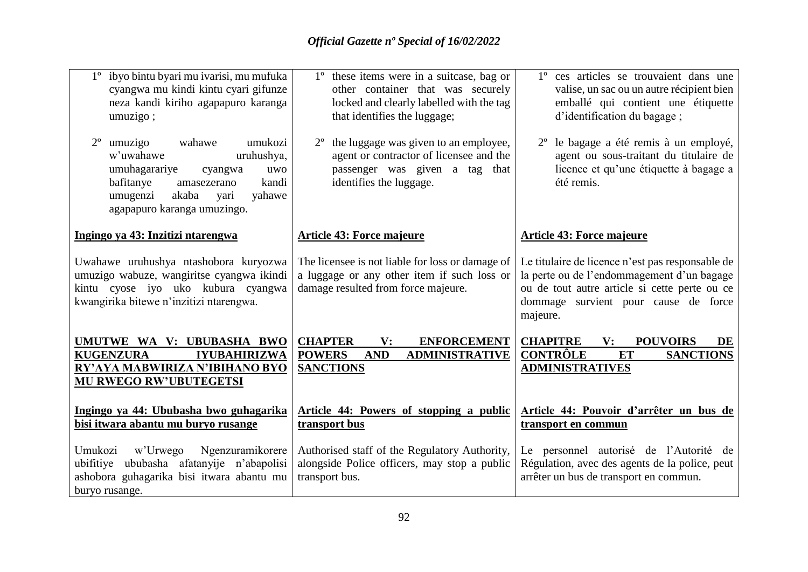| 1° ibyo bintu byari mu ivarisi, mu mufuka<br>cyangwa mu kindi kintu cyari gifunze<br>neza kandi kiriho agapapuro karanga<br>umuzigo;                                                                                 | 1 <sup>°</sup> these items were in a suitcase, bag or<br>other container that was securely<br>locked and clearly labelled with the tag<br>that identifies the luggage; | 1° ces articles se trouvaient dans une<br>valise, un sac ou un autre récipient bien<br>emballé qui contient une étiquette<br>d'identification du bagage;                                            |
|----------------------------------------------------------------------------------------------------------------------------------------------------------------------------------------------------------------------|------------------------------------------------------------------------------------------------------------------------------------------------------------------------|-----------------------------------------------------------------------------------------------------------------------------------------------------------------------------------------------------|
| wahawe<br>$2^{\circ}$<br>umukozi<br>umuzigo<br>w'uwahawe<br>uruhushya,<br>umuhagarariye<br>cyangwa<br>uwo<br>bafitanye<br>kandi<br>amasezerano<br>umugenzi<br>akaba<br>yahawe<br>yari<br>agapapuro karanga umuzingo. | the luggage was given to an employee,<br>agent or contractor of licensee and the<br>passenger was given a tag that<br>identifies the luggage.                          | le bagage a été remis à un employé,<br>agent ou sous-traitant du titulaire de<br>licence et qu'une étiquette à bagage a<br>été remis.                                                               |
| Ingingo ya 43: Inzitizi ntarengwa                                                                                                                                                                                    | <b>Article 43: Force majeure</b>                                                                                                                                       | <b>Article 43: Force majeure</b>                                                                                                                                                                    |
| Uwahawe uruhushya ntashobora kuryozwa<br>umuzigo wabuze, wangiritse cyangwa ikindi<br>kintu cyose iyo uko kubura cyangwa<br>kwangirika bitewe n'inzitizi ntarengwa.                                                  | The licensee is not liable for loss or damage of<br>a luggage or any other item if such loss or<br>damage resulted from force majeure.                                 | Le titulaire de licence n'est pas responsable de<br>la perte ou de l'endommagement d'un bagage<br>ou de tout autre article si cette perte ou ce<br>dommage survient pour cause de force<br>majeure. |
| UMUTWE WA V: UBUBASHA BWO<br><b>KUGENZURA</b><br><b>IYUBAHIRIZWA</b><br>RY'AYA MABWIRIZA N'IBIHANO BYO<br><b>MU RWEGO RW'UBUTEGETSI</b>                                                                              | <b>CHAPTER</b><br>V:<br><b>ENFORCEMENT</b><br><b>AND</b><br><b>ADMINISTRATIVE</b><br><b>POWERS</b><br><b>SANCTIONS</b>                                                 | <b>CHAPITRE</b><br><b>POUVOIRS</b><br>$\mathbf{V}$ :<br>DE<br><b>CONTRÔLE</b><br>ET<br><b>SANCTIONS</b><br><b>ADMINISTRATIVES</b>                                                                   |
| Ingingo ya 44: Ububasha bwo guhagarika<br>bisi itwara abantu mu buryo rusange                                                                                                                                        | Article 44: Powers of stopping a public<br>transport bus                                                                                                               | Article 44: Pouvoir d'arrêter un bus de<br>transport en commun                                                                                                                                      |
| Umukozi<br>Ngenzuramikorere<br>w'Urwego<br>ubifitiye ububasha afatanyije n'abapolisi<br>ashobora guhagarika bisi itwara abantu mu<br>buryo rusange.                                                                  | Authorised staff of the Regulatory Authority,<br>alongside Police officers, may stop a public<br>transport bus.                                                        | Le personnel autorisé de l'Autorité de<br>Régulation, avec des agents de la police, peut<br>arrêter un bus de transport en commun.                                                                  |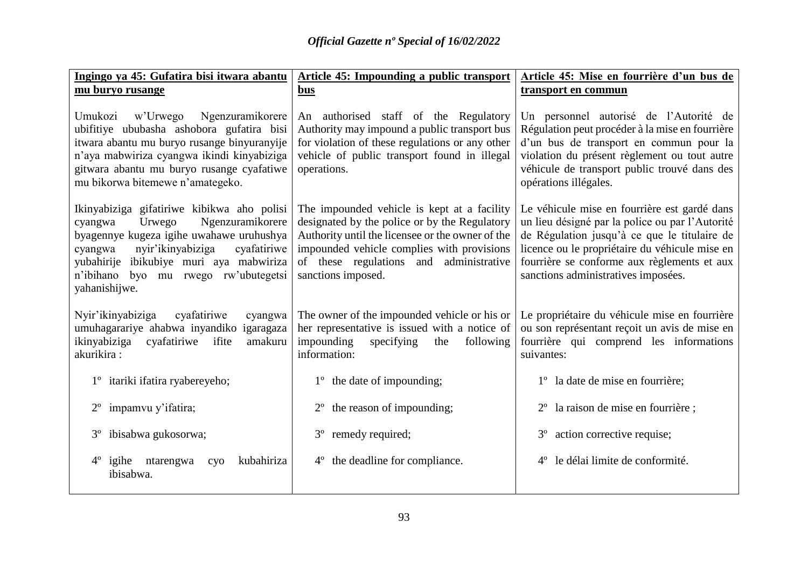| Ingingo ya 45: Gufatira bisi itwara abantu                                                                                                                                                                                                                                               | <b>Article 45: Impounding a public transport</b>                                                                                                                                                                                                                   | Article 45: Mise en fourrière d'un bus de                                                                                                                                                                                                                                               |
|------------------------------------------------------------------------------------------------------------------------------------------------------------------------------------------------------------------------------------------------------------------------------------------|--------------------------------------------------------------------------------------------------------------------------------------------------------------------------------------------------------------------------------------------------------------------|-----------------------------------------------------------------------------------------------------------------------------------------------------------------------------------------------------------------------------------------------------------------------------------------|
| mu buryo rusange                                                                                                                                                                                                                                                                         | bus                                                                                                                                                                                                                                                                | transport en commun                                                                                                                                                                                                                                                                     |
| Umukozi w'Urwego<br>Ngenzuramikorere<br>ubifitiye ububasha ashobora gufatira bisi<br>itwara abantu mu buryo rusange binyuranyije<br>n'aya mabwiriza cyangwa ikindi kinyabiziga<br>gitwara abantu mu buryo rusange cyafatiwe<br>mu bikorwa bitemewe n'amategeko.                          | An authorised staff of the Regulatory<br>Authority may impound a public transport bus<br>for violation of these regulations or any other<br>vehicle of public transport found in illegal<br>operations.                                                            | Un personnel autorisé de l'Autorité de<br>Régulation peut procéder à la mise en fourrière<br>d'un bus de transport en commun pour la<br>violation du présent règlement ou tout autre<br>véhicule de transport public trouvé dans des<br>opérations illégales.                           |
| Ikinyabiziga gifatiriwe kibikwa aho polisi<br>Ngenzuramikorere<br>cyangwa<br>Urwego<br>byagennye kugeza igihe uwahawe uruhushya<br>nyir'ikinyabiziga<br>cyafatiriwe<br>cyangwa<br>yubahirije<br>ibikubiye muri aya mabwiriza<br>n'ibihano<br>byo mu rwego rw'ubutegetsi<br>yahanishijwe. | The impounded vehicle is kept at a facility<br>designated by the police or by the Regulatory<br>Authority until the licensee or the owner of the<br>impounded vehicle complies with provisions<br>of these regulations<br>and administrative<br>sanctions imposed. | Le véhicule mise en fourrière est gardé dans<br>un lieu désigné par la police ou par l'Autorité<br>de Régulation jusqu'à ce que le titulaire de<br>licence ou le propriétaire du véhicule mise en<br>fourrière se conforme aux règlements et aux<br>sanctions administratives imposées. |
| Nyir'ikinyabiziga<br>cyafatiriwe<br>cyangwa<br>umuhagarariye ahabwa inyandiko<br>igaragaza<br>ikinyabiziga<br>cyafatiriwe<br>ifite<br>amakuru<br>akurikira:                                                                                                                              | The owner of the impounded vehicle or his or<br>her representative is issued with a notice of<br>impounding<br>specifying<br>the<br>following<br>information:                                                                                                      | Le propriétaire du véhicule mise en fourrière<br>ou son représentant reçoit un avis de mise en<br>fourrière qui comprend les informations<br>suivantes:                                                                                                                                 |
| 1 <sup>°</sup> itariki ifatira ryabereyeho;                                                                                                                                                                                                                                              | 1 <sup>°</sup> the date of impounding;                                                                                                                                                                                                                             | 1 <sup>°</sup> la date de mise en fourrière;                                                                                                                                                                                                                                            |
| impamvu y'ifatira;<br>$2^{\circ}$                                                                                                                                                                                                                                                        | the reason of impounding;<br>$2^{\circ}$                                                                                                                                                                                                                           | 2 <sup>°</sup> la raison de mise en fourrière ;                                                                                                                                                                                                                                         |
| ibisabwa gukosorwa;<br>$3^{\circ}$                                                                                                                                                                                                                                                       | remedy required;<br>$3^{\circ}$                                                                                                                                                                                                                                    | action corrective requise;<br>$3^{\circ}$                                                                                                                                                                                                                                               |
| $4^{\circ}$<br>igihe<br>ntarengwa<br>kubahiriza<br>cyo<br>ibisabwa.                                                                                                                                                                                                                      | the deadline for compliance.<br>$4^{\circ}$                                                                                                                                                                                                                        | le délai limite de conformité.<br>$4^{\circ}$                                                                                                                                                                                                                                           |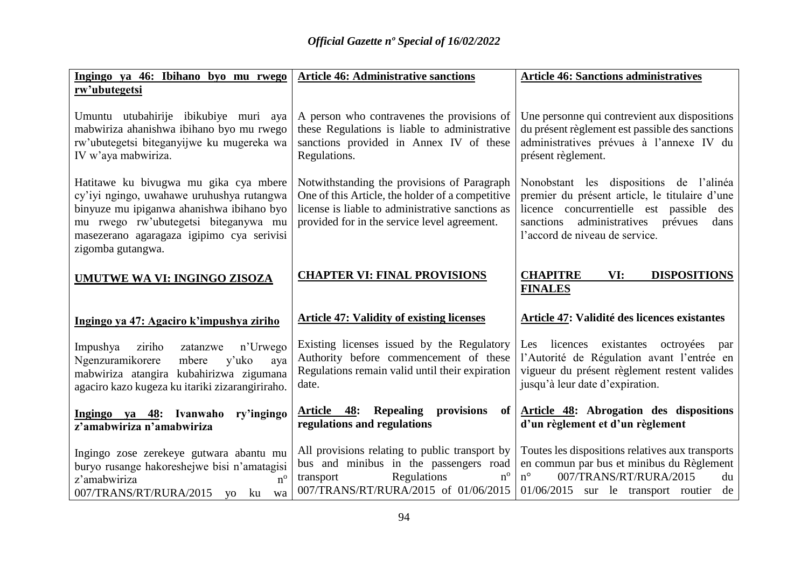| Ingingo ya 46: Ibihano byo mu rwego                                                                                                                                                                                                       | <b>Article 46: Administrative sanctions</b>                                                                                                                                                         | <b>Article 46: Sanctions administratives</b>                                                                                                                                                                               |
|-------------------------------------------------------------------------------------------------------------------------------------------------------------------------------------------------------------------------------------------|-----------------------------------------------------------------------------------------------------------------------------------------------------------------------------------------------------|----------------------------------------------------------------------------------------------------------------------------------------------------------------------------------------------------------------------------|
| rw'ubutegetsi                                                                                                                                                                                                                             |                                                                                                                                                                                                     |                                                                                                                                                                                                                            |
| Umuntu utubahirije ibikubiye muri aya<br>mabwiriza ahanishwa ibihano byo mu rwego<br>rw'ubutegetsi biteganyijwe ku mugereka wa<br>IV w'aya mabwiriza.                                                                                     | A person who contravenes the provisions of<br>these Regulations is liable to administrative<br>sanctions provided in Annex IV of these<br>Regulations.                                              | Une personne qui contrevient aux dispositions<br>du présent règlement est passible des sanctions<br>administratives prévues à l'annexe IV du<br>présent règlement.                                                         |
| Hatitawe ku bivugwa mu gika cya mbere<br>cy'iyi ngingo, uwahawe uruhushya rutangwa<br>binyuze mu ipiganwa ahanishwa ibihano byo<br>mu rwego rw'ubutegetsi biteganywa mu<br>masezerano agaragaza igipimo cya serivisi<br>zigomba gutangwa. | Notwithstanding the provisions of Paragraph<br>One of this Article, the holder of a competitive<br>license is liable to administrative sanctions as<br>provided for in the service level agreement. | Nonobstant les dispositions de l'alinéa<br>premier du présent article, le titulaire d'une<br>licence concurrentielle est passible<br>des<br>administratives prévues<br>sanctions<br>dans<br>l'accord de niveau de service. |
| UMUTWE WA VI: INGINGO ZISOZA                                                                                                                                                                                                              | <b>CHAPTER VI: FINAL PROVISIONS</b>                                                                                                                                                                 | <b>CHAPITRE</b><br>VI:<br><b>DISPOSITIONS</b><br><b>FINALES</b>                                                                                                                                                            |
| Ingingo ya 47: Agaciro k'impushya ziriho                                                                                                                                                                                                  | <b>Article 47: Validity of existing licenses</b>                                                                                                                                                    | Article 47: Validité des licences existantes                                                                                                                                                                               |
| ziriho<br>n'Urwego<br>Impushya<br>zatanzwe<br>Ngenzuramikorere<br>mbere<br>y'uko<br>aya<br>mabwiriza atangira kubahirizwa zigumana<br>agaciro kazo kugeza ku itariki zizarangiriraho.                                                     | Existing licenses issued by the Regulatory<br>Authority before commencement of these<br>Regulations remain valid until their expiration<br>date.                                                    | Les licences existantes octroyées<br>par<br>l'Autorité de Régulation avant l'entrée en<br>vigueur du présent règlement restent valides<br>jusqu'à leur date d'expiration.                                                  |
| Ingingo ya 48: Ivanwaho ry'ingingo<br>z'amabwiriza n'amabwiriza                                                                                                                                                                           | 48:<br>Repealing provisions<br>of<br>Article<br>regulations and regulations                                                                                                                         | Article 48: Abrogation des dispositions<br>d'un règlement et d'un règlement                                                                                                                                                |
| Ingingo zose zerekeye gutwara abantu mu<br>buryo rusange hakoreshejwe bisi n'amatagisi<br>$n^{\rm o}$<br>z'amabwiriza<br>007/TRANS/RT/RURA/2015 yo ku<br>wa                                                                               | All provisions relating to public transport by<br>bus and minibus in the passengers road<br>$n^{\rm o}$<br>transport<br>Regulations<br>007/TRANS/RT/RURA/2015 of 01/06/2015                         | Toutes les dispositions relatives aux transports<br>en commun par bus et minibus du Règlement<br>007/TRANS/RT/RURA/2015<br>$n^{\circ}$<br>du<br>$01/06/2015$ sur le transport routier<br>de                                |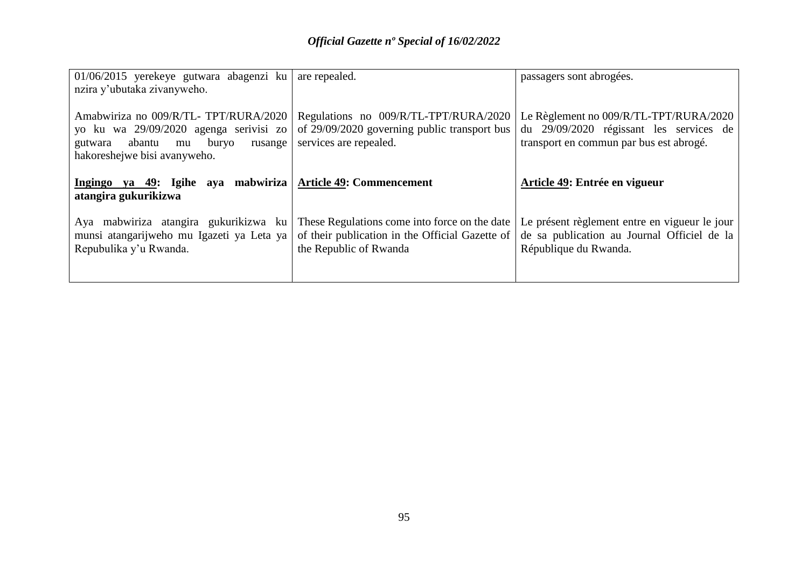| 01/06/2015 yerekeye gutwara abagenzi ku are repealed.                                                                                                    |                                                                                                                            | passagers sont abrogées.                                                                                                     |
|----------------------------------------------------------------------------------------------------------------------------------------------------------|----------------------------------------------------------------------------------------------------------------------------|------------------------------------------------------------------------------------------------------------------------------|
| nzira y'ubutaka zivanyweho.                                                                                                                              |                                                                                                                            |                                                                                                                              |
| Amabwiriza no 009/R/TL- TPT/RURA/2020<br>yo ku wa 29/09/2020 agenga serivisi zo<br>gutwara abantu<br>mu buryo<br>rusange<br>hakoreshejwe bisi avanyweho. | Regulations no 009/R/TL-TPT/RURA/2020<br>of 29/09/2020 governing public transport bus<br>services are repealed.            | Le Règlement no 009/R/TL-TPT/RURA/2020<br>du 29/09/2020 régissant les services de<br>transport en commun par bus est abrogé. |
| Ingingo ya 49: Igihe aya mabwiriza   Article 49: Commencement<br>atangira gukurikizwa                                                                    |                                                                                                                            | Article 49: Entrée en vigueur                                                                                                |
| Aya mabwiriza atangira gukurikizwa ku<br>munsi atangarijweho mu Igazeti ya Leta ya<br>Repubulika y'u Rwanda.                                             | These Regulations come into force on the date<br>of their publication in the Official Gazette of<br>the Republic of Rwanda | Le présent règlement entre en vigueur le jour<br>de sa publication au Journal Officiel de la<br>République du Rwanda.        |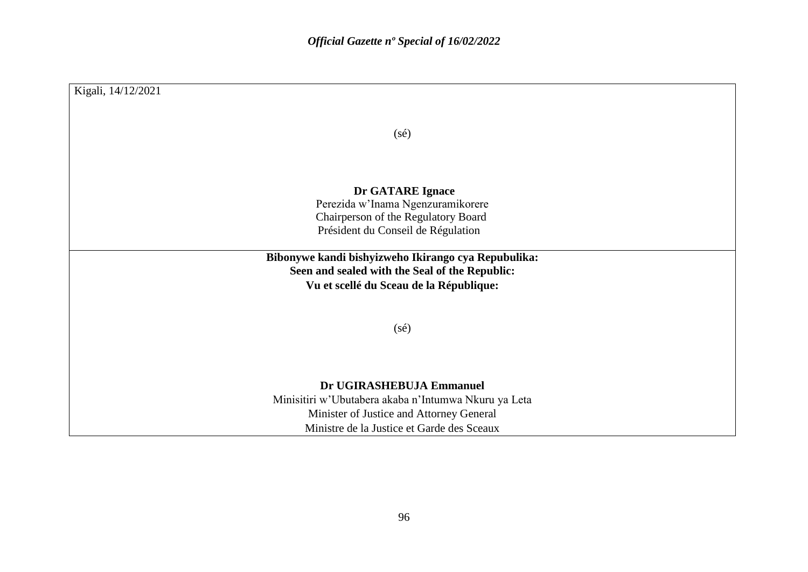| Kigali, 14/12/2021                                   |
|------------------------------------------------------|
|                                                      |
| $(s\acute{e})$                                       |
|                                                      |
|                                                      |
|                                                      |
| Dr GATARE Ignace                                     |
| Perezida w'Inama Ngenzuramikorere                    |
| Chairperson of the Regulatory Board                  |
| Président du Conseil de Régulation                   |
| Bibonywe kandi bishyizweho Ikirango cya Repubulika:  |
| Seen and sealed with the Seal of the Republic:       |
| Vu et scellé du Sceau de la République:              |
|                                                      |
|                                                      |
| $(s\acute{e})$                                       |
|                                                      |
|                                                      |
| Dr UGIRASHEBUJA Emmanuel                             |
| Minisitiri w'Ubutabera akaba n'Intumwa Nkuru ya Leta |
| Minister of Justice and Attorney General             |
| Ministre de la Justice et Garde des Sceaux           |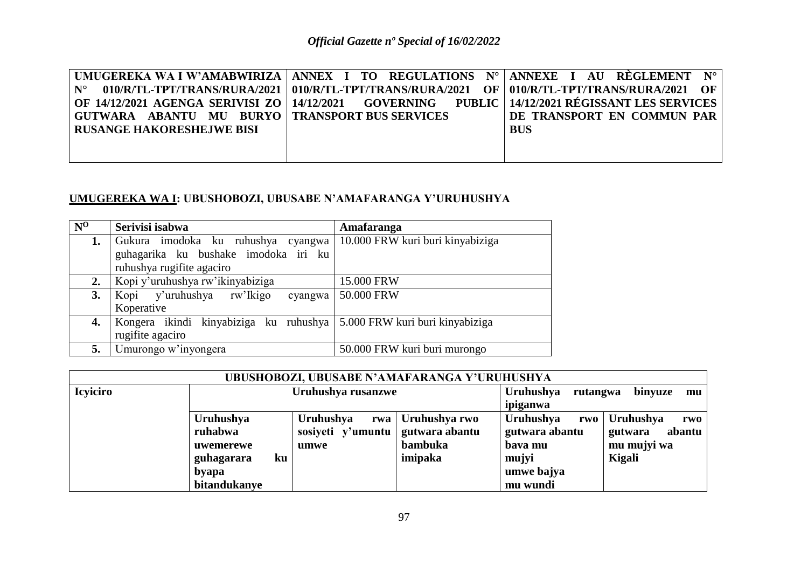|                                                  |                                                                                                  | UMUGEREKA WA I W'AMABWIRIZA   ANNEX I TO REGULATIONS N°   ANNEXE I AU REGLEMENT N°                 |
|--------------------------------------------------|--------------------------------------------------------------------------------------------------|----------------------------------------------------------------------------------------------------|
|                                                  | 010/R/TL-TPT/TRANS/RURA/2021   010/R/TL-TPT/TRANS/RURA/2021 OF   010/R/TL-TPT/TRANS/RURA/2021 OF |                                                                                                    |
|                                                  |                                                                                                  | OF 14/12/2021 AGENGA SERIVISI ZO   14/12/2021 GOVERNING PUBLIC   14/12/2021 REGISSANT LES SERVICES |
| GUTWARA ABANTU MU BURYO   TRANSPORT BUS SERVICES |                                                                                                  | DE TRANSPORT EN COMMUN PAR                                                                         |
| <b>RUSANGE HAKORESHEJWE BISI</b>                 |                                                                                                  | <b>BUS</b>                                                                                         |
|                                                  |                                                                                                  |                                                                                                    |
|                                                  |                                                                                                  |                                                                                                    |

# **UMUGEREKA WA I: UBUSHOBOZI, UBUSABE N'AMAFARANGA Y'URUHUSHYA**

| $N^0$ | Serivisi isabwa                                                        | Amafaranga                       |
|-------|------------------------------------------------------------------------|----------------------------------|
| 1.    | Gukura imodoka ku ruhushya cyangwa                                     | 10.000 FRW kuri buri kinyabiziga |
|       | guhagarika ku bushake imodoka iri ku                                   |                                  |
|       | ruhushya rugifite agaciro                                              |                                  |
| 2.    | Kopi y'uruhushya rw'ikinyabiziga                                       | 15.000 FRW                       |
| 3.    | Kopi y'uruhushya rw'Ikigo<br>cyangwa                                   | 50.000 FRW                       |
|       | Koperative                                                             |                                  |
| 4.    | Kongera ikindi kinyabiziga ku ruhushya 5.000 FRW kuri buri kinyabiziga |                                  |
|       | rugifite agaciro                                                       |                                  |
| 5.    | Umurongo w'inyongera                                                   | 50.000 FRW kuri buri murongo     |

| UBUSHOBOZI, UBUSABE N'AMAFARANGA Y'URUHUSHYA |                  |                                    |                              |                  |                   |  |
|----------------------------------------------|------------------|------------------------------------|------------------------------|------------------|-------------------|--|
| <b>Icviciro</b>                              |                  | Uruhushya rusanzwe                 | <b>Uruhushya</b><br>rutangwa | binyuze<br>mu    |                   |  |
|                                              |                  |                                    | ipiganwa                     |                  |                   |  |
|                                              | Uruhushya        | Uruhushya                          | rwa   Uruhushya rwo          | Uruhushya<br>rwo | Uruhushya<br>rwo  |  |
|                                              | ruhabwa          | sosiyeti y'umuntu   gutwara abantu |                              | gutwara abantu   | abantu<br>gutwara |  |
|                                              | uwemerewe        | umwe                               | bambuka                      | bava mu          | mu mujyi wa       |  |
|                                              | guhagarara<br>ku |                                    | imipaka                      | mujyi            | Kigali            |  |
|                                              | byapa            |                                    |                              | umwe bajya       |                   |  |
|                                              | bitandukanye     |                                    |                              | mu wundi         |                   |  |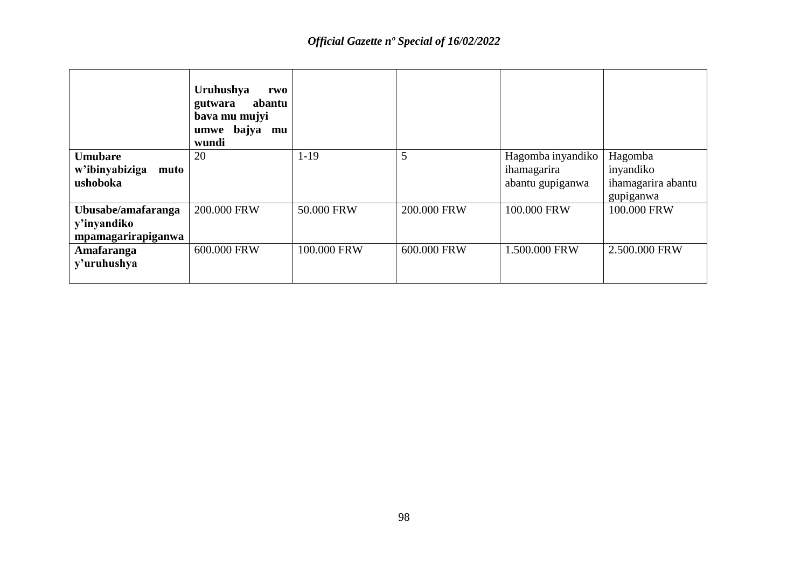|                        | Uruhushya<br>rwo<br>abantu<br>gutwara<br>bava mu mujyi<br>umwe bajya mu<br>wundi |             |             |                   |                    |
|------------------------|----------------------------------------------------------------------------------|-------------|-------------|-------------------|--------------------|
| <b>Umubare</b>         | 20                                                                               | $1-19$      | 5           | Hagomba inyandiko | Hagomba            |
| w'ibinyabiziga<br>muto |                                                                                  |             |             | ihamagarira       | inyandiko          |
| ushoboka               |                                                                                  |             |             | abantu gupiganwa  | ihamagarira abantu |
|                        |                                                                                  |             |             |                   | gupiganwa          |
| Ubusabe/amafaranga     | 200.000 FRW                                                                      | 50.000 FRW  | 200,000 FRW | 100.000 FRW       | 100.000 FRW        |
| y'inyandiko            |                                                                                  |             |             |                   |                    |
| mpamagarirapiganwa     |                                                                                  |             |             |                   |                    |
| Amafaranga             | 600,000 FRW                                                                      | 100.000 FRW | 600,000 FRW | 1.500.000 FRW     | 2.500.000 FRW      |
| y'uruhushya            |                                                                                  |             |             |                   |                    |
|                        |                                                                                  |             |             |                   |                    |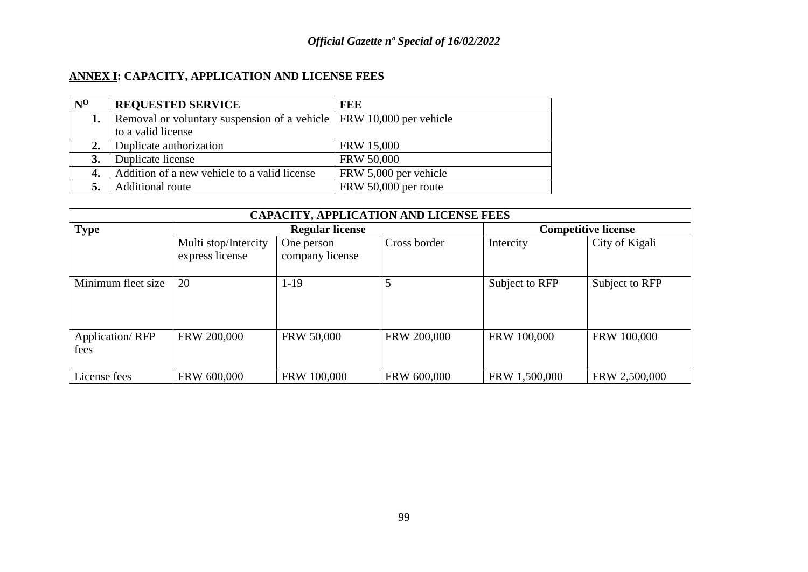# **ANNEX I: CAPACITY, APPLICATION AND LICENSE FEES**

| $N^0$     | <b>REQUESTED SERVICE</b>                                              | <b>FEE</b>            |
|-----------|-----------------------------------------------------------------------|-----------------------|
|           | Removal or voluntary suspension of a vehicle   FRW 10,000 per vehicle |                       |
|           | to a valid license                                                    |                       |
|           | Duplicate authorization                                               | <b>FRW 15,000</b>     |
| <b>3.</b> | Duplicate license                                                     | <b>FRW 50,000</b>     |
| 4.        | Addition of a new vehicle to a valid license                          | FRW 5,000 per vehicle |
|           | Additional route                                                      | FRW 50,000 per route  |

| <b>CAPACITY, APPLICATION AND LICENSE FEES</b> |                                         |                               |              |                            |                |  |
|-----------------------------------------------|-----------------------------------------|-------------------------------|--------------|----------------------------|----------------|--|
| <b>Type</b>                                   |                                         | <b>Regular license</b>        |              | <b>Competitive license</b> |                |  |
|                                               | Multi stop/Intercity<br>express license | One person<br>company license | Cross border | Intercity                  | City of Kigali |  |
| Minimum fleet size                            | 20                                      | $1-19$                        | 5            | Subject to RFP             | Subject to RFP |  |
| <b>Application/RFP</b><br>fees                | FRW 200,000                             | FRW 50,000                    | FRW 200,000  | FRW 100,000                | FRW 100,000    |  |
| License fees                                  | FRW 600,000                             | FRW 100,000                   | FRW 600,000  | FRW 1,500,000              | FRW 2,500,000  |  |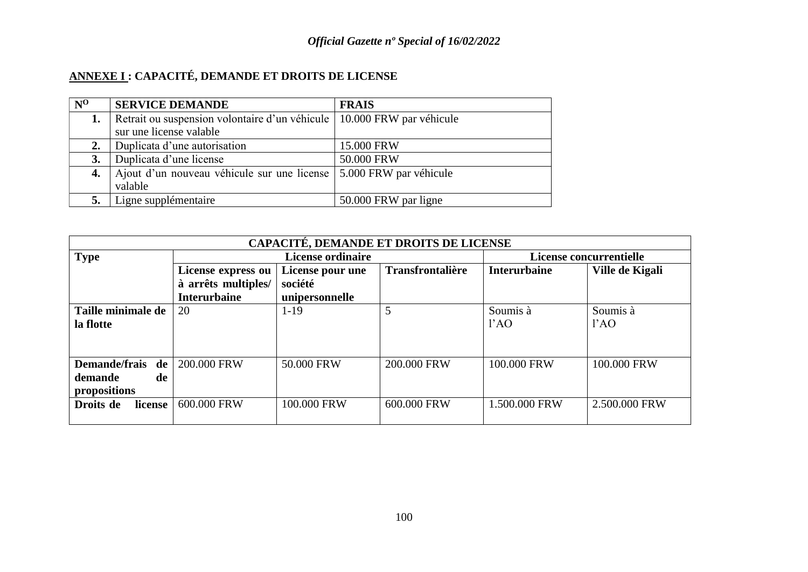# **ANNEXE I : CAPACITÉ, DEMANDE ET DROITS DE LICENSE**

| $N^0$ | <b>SERVICE DEMANDE</b>                                                   | <b>FRAIS</b>           |
|-------|--------------------------------------------------------------------------|------------------------|
| 1.    | Retrait ou suspension volontaire d'un véhicule   10.000 FRW par véhicule |                        |
|       | sur une license valable                                                  |                        |
| 2.    | Duplicata d'une autorisation                                             | 15.000 FRW             |
| 3.    | Duplicata d'une license                                                  | 50.000 FRW             |
| 4.    | Ajout d'un nouveau véhicule sur une license                              | 5.000 FRW par véhicule |
|       | valable                                                                  |                        |
|       | Ligne supplémentaire                                                     | 50.000 FRW par ligne   |

| CAPACITÉ, DEMANDE ET DROITS DE LICENSE |                     |                          |                         |                     |                 |  |  |
|----------------------------------------|---------------------|--------------------------|-------------------------|---------------------|-----------------|--|--|
| <b>Type</b>                            |                     | <b>License ordinaire</b> | License concurrentielle |                     |                 |  |  |
|                                        | License express ou  | License pour une         | <b>Transfrontalière</b> | <b>Interurbaine</b> | Ville de Kigali |  |  |
|                                        | à arrêts multiples/ | société                  |                         |                     |                 |  |  |
|                                        | <b>Interurbaine</b> | unipersonnelle           |                         |                     |                 |  |  |
| Taille minimale de                     | 20                  | $1-19$                   | 5                       | Soumis à            | Soumis à        |  |  |
| la flotte                              |                     |                          |                         | 1'AO                | 1'AO            |  |  |
|                                        |                     |                          |                         |                     |                 |  |  |
|                                        |                     |                          |                         |                     |                 |  |  |
| Demande/frais de                       | 200,000 FRW         | 50.000 FRW               | 200,000 FRW             | 100,000 FRW         | 100,000 FRW     |  |  |
| demande<br>de                          |                     |                          |                         |                     |                 |  |  |
| propositions                           |                     |                          |                         |                     |                 |  |  |
| Droits de<br>license                   | 600.000 FRW         | 100,000 FRW              | 600,000 FRW             | 1.500.000 FRW       | 2.500.000 FRW   |  |  |
|                                        |                     |                          |                         |                     |                 |  |  |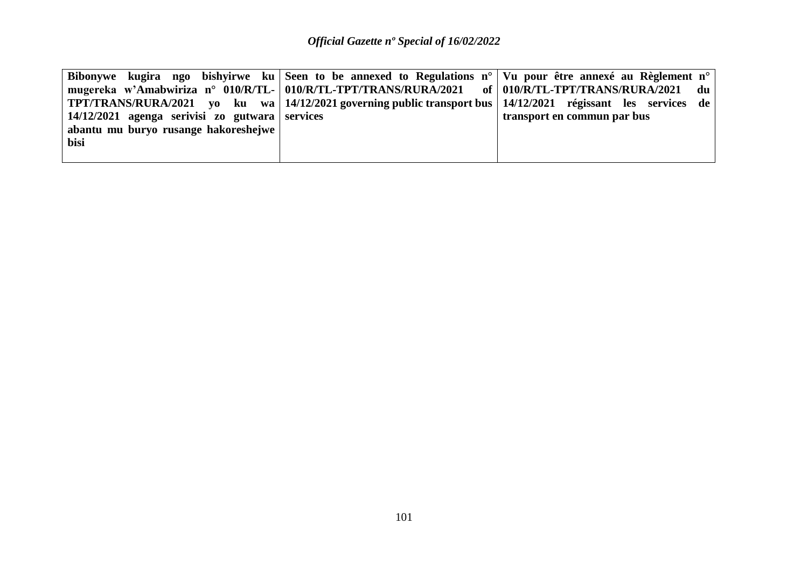|                                                        | Bibonywe kugira ngo bishyirwe ku Seen to be annexed to Regulations $n^{\circ}$ Vu pour être annexé au Règlement n <sup>o</sup> |                             |
|--------------------------------------------------------|--------------------------------------------------------------------------------------------------------------------------------|-----------------------------|
|                                                        | mugereka w'Amabwiriza n° 010/R/TL-   010/R/TL-TPT/TRANS/RURA/2021 of   010/R/TL-TPT/TRANS/RURA/2021                            | du                          |
|                                                        | TPT/TRANS/RURA/2021 yo ku wa   14/12/2021 governing public transport bus   14/12/2021 régissant les services de                |                             |
| $\vert$ 14/12/2021 agenga serivisi zo gutwara services |                                                                                                                                | transport en commun par bus |
| abantu mu buryo rusange hakoreshejwe                   |                                                                                                                                |                             |
| bisi                                                   |                                                                                                                                |                             |
|                                                        |                                                                                                                                |                             |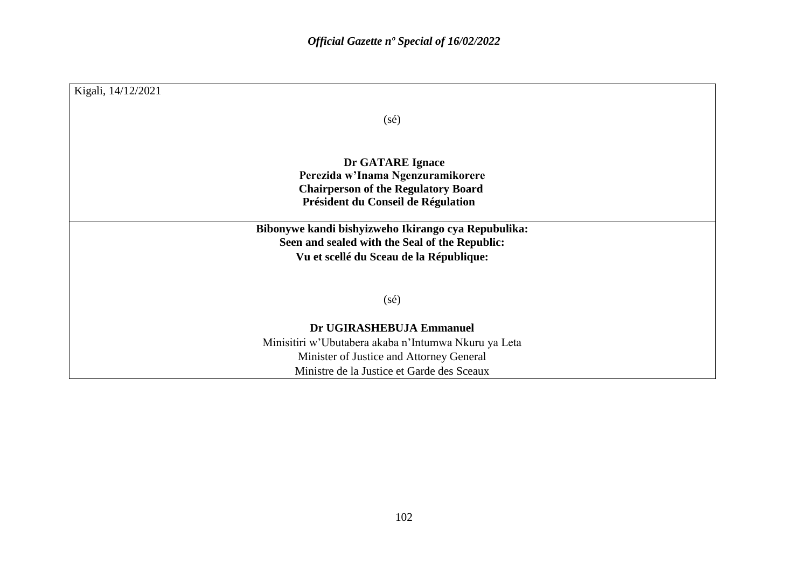| Kigali, 14/12/2021 |                                                                                                       |
|--------------------|-------------------------------------------------------------------------------------------------------|
|                    | $(s\acute{e})$                                                                                        |
|                    |                                                                                                       |
|                    | Dr GATARE Ignace                                                                                      |
|                    | Perezida w'Inama Ngenzuramikorere<br><b>Chairperson of the Regulatory Board</b>                       |
|                    | Président du Conseil de Régulation                                                                    |
|                    | Bibonywe kandi bishyizweho Ikirango cya Repubulika:<br>Seen and sealed with the Seal of the Republic: |
|                    | Vu et scellé du Sceau de la République:                                                               |
|                    | $(s\acute{e})$                                                                                        |
|                    | Dr UGIRASHEBUJA Emmanuel                                                                              |
|                    | Minisitiri w'Ubutabera akaba n'Intumwa Nkuru ya Leta                                                  |
|                    | Minister of Justice and Attorney General                                                              |
|                    | Ministre de la Justice et Garde des Sceaux                                                            |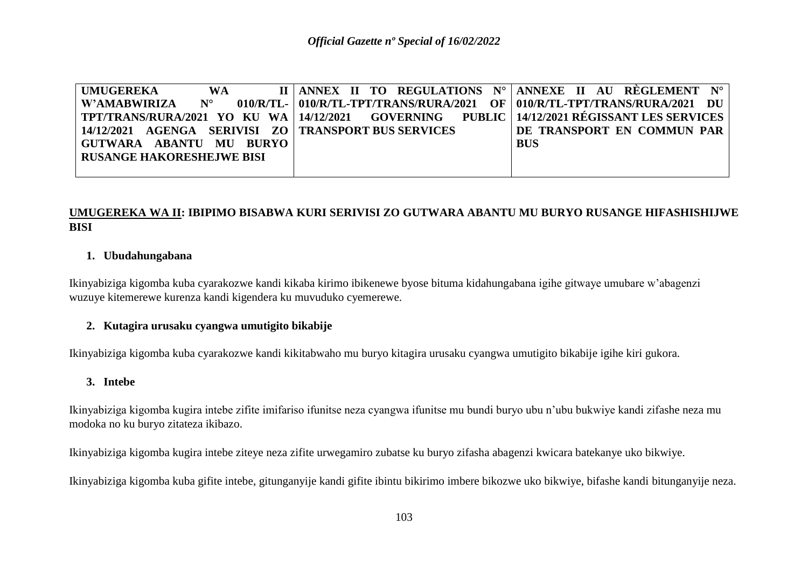| UMUGEREKA                                                                                             | <b>WA</b> |  |  |  | II   ANNEX II TO REGULATIONS $N^{\circ}$   ANNEXE II AU RÈGLEMENT $N^{\circ}$                            |  |  |
|-------------------------------------------------------------------------------------------------------|-----------|--|--|--|----------------------------------------------------------------------------------------------------------|--|--|
| W'AMABWIRIZA N°                                                                                       |           |  |  |  | $\sim 010$ /R/TL- $\mid 010$ /R/TL-TPT/TRANS/RURA/2021 OF $\mid 010$ /R/TL-TPT/TRANS/RURA/2021 DU $\mid$ |  |  |
| TPT/TRANS/RURA/2021 YO KU WA   14/12/2021    GOVERNING     PUBLIC   14/12/2021 RÉGISSANT LES SERVICES |           |  |  |  |                                                                                                          |  |  |
| 14/12/2021 AGENGA SERIVISI ZO   TRANSPORT BUS SERVICES                                                |           |  |  |  | DE TRANSPORT EN COMMUN PAR                                                                               |  |  |
| GUTWARA ABANTU MU BURYO                                                                               |           |  |  |  | <b>BUS</b>                                                                                               |  |  |
| <b>RUSANGE HAKORESHEJWE BISI</b>                                                                      |           |  |  |  |                                                                                                          |  |  |
|                                                                                                       |           |  |  |  |                                                                                                          |  |  |

#### **UMUGEREKA WA II: IBIPIMO BISABWA KURI SERIVISI ZO GUTWARA ABANTU MU BURYO RUSANGE HIFASHISHIJWE BISI**

#### **1. Ubudahungabana**

Ikinyabiziga kigomba kuba cyarakozwe kandi kikaba kirimo ibikenewe byose bituma kidahungabana igihe gitwaye umubare w'abagenzi wuzuye kitemerewe kurenza kandi kigendera ku muvuduko cyemerewe.

#### **2. Kutagira urusaku cyangwa umutigito bikabije**

Ikinyabiziga kigomba kuba cyarakozwe kandi kikitabwaho mu buryo kitagira urusaku cyangwa umutigito bikabije igihe kiri gukora.

#### **3. Intebe**

Ikinyabiziga kigomba kugira intebe zifite imifariso ifunitse neza cyangwa ifunitse mu bundi buryo ubu n'ubu bukwiye kandi zifashe neza mu modoka no ku buryo zitateza ikibazo.

Ikinyabiziga kigomba kugira intebe ziteye neza zifite urwegamiro zubatse ku buryo zifasha abagenzi kwicara batekanye uko bikwiye.

Ikinyabiziga kigomba kuba gifite intebe, gitunganyije kandi gifite ibintu bikirimo imbere bikozwe uko bikwiye, bifashe kandi bitunganyije neza.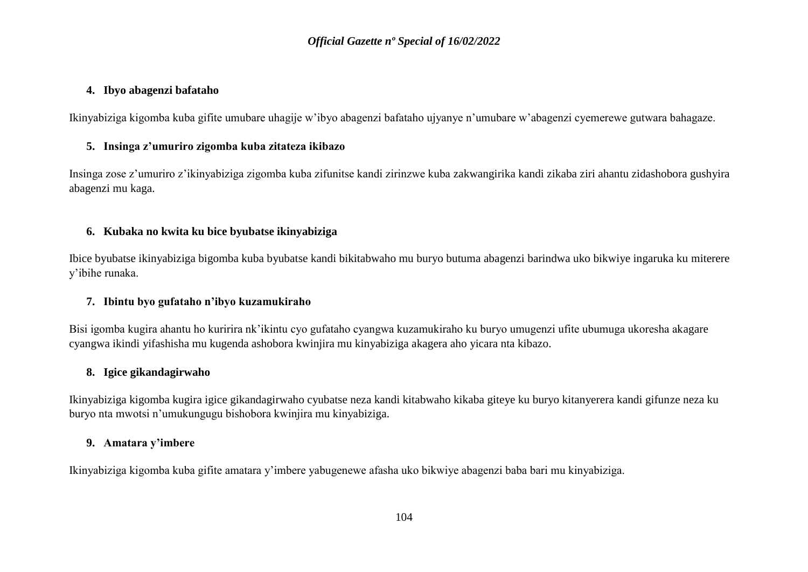#### **4. Ibyo abagenzi bafataho**

Ikinyabiziga kigomba kuba gifite umubare uhagije w'ibyo abagenzi bafataho ujyanye n'umubare w'abagenzi cyemerewe gutwara bahagaze.

#### **5. Insinga z'umuriro zigomba kuba zitateza ikibazo**

Insinga zose z'umuriro z'ikinyabiziga zigomba kuba zifunitse kandi zirinzwe kuba zakwangirika kandi zikaba ziri ahantu zidashobora gushyira abagenzi mu kaga.

#### **6. Kubaka no kwita ku bice byubatse ikinyabiziga**

Ibice byubatse ikinyabiziga bigomba kuba byubatse kandi bikitabwaho mu buryo butuma abagenzi barindwa uko bikwiye ingaruka ku miterere y'ibihe runaka.

### **7. Ibintu byo gufataho n'ibyo kuzamukiraho**

Bisi igomba kugira ahantu ho kuririra nk'ikintu cyo gufataho cyangwa kuzamukiraho ku buryo umugenzi ufite ubumuga ukoresha akagare cyangwa ikindi yifashisha mu kugenda ashobora kwinjira mu kinyabiziga akagera aho yicara nta kibazo.

#### **8. Igice gikandagirwaho**

Ikinyabiziga kigomba kugira igice gikandagirwaho cyubatse neza kandi kitabwaho kikaba giteye ku buryo kitanyerera kandi gifunze neza ku buryo nta mwotsi n'umukungugu bishobora kwinjira mu kinyabiziga.

### **9. Amatara y'imbere**

Ikinyabiziga kigomba kuba gifite amatara y'imbere yabugenewe afasha uko bikwiye abagenzi baba bari mu kinyabiziga.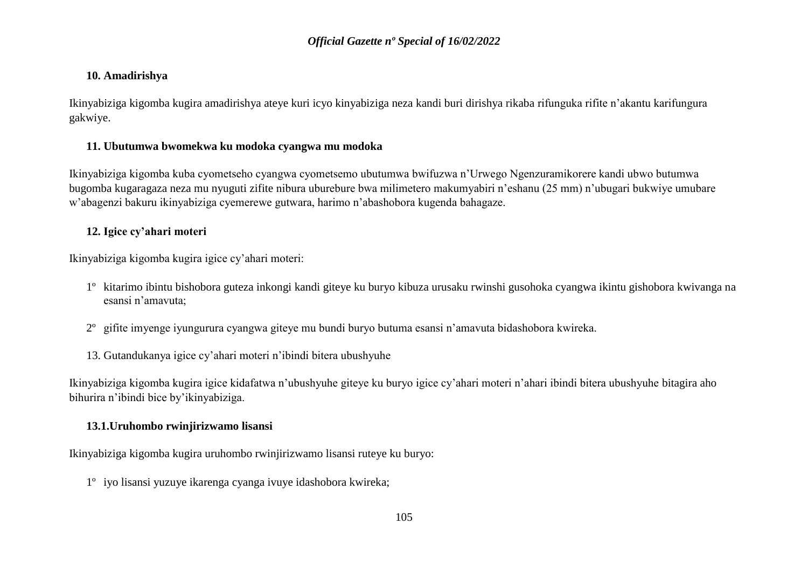### **10. Amadirishya**

Ikinyabiziga kigomba kugira amadirishya ateye kuri icyo kinyabiziga neza kandi buri dirishya rikaba rifunguka rifite n'akantu karifungura gakwiye.

### **11. Ubutumwa bwomekwa ku modoka cyangwa mu modoka**

Ikinyabiziga kigomba kuba cyometseho cyangwa cyometsemo ubutumwa bwifuzwa n'Urwego Ngenzuramikorere kandi ubwo butumwa bugomba kugaragaza neza mu nyuguti zifite nibura uburebure bwa milimetero makumyabiri n'eshanu (25 mm) n'ubugari bukwiye umubare w'abagenzi bakuru ikinyabiziga cyemerewe gutwara, harimo n'abashobora kugenda bahagaze.

### **12. Igice cy'ahari moteri**

Ikinyabiziga kigomba kugira igice cy'ahari moteri:

- 1º kitarimo ibintu bishobora guteza inkongi kandi giteye ku buryo kibuza urusaku rwinshi gusohoka cyangwa ikintu gishobora kwivanga na esansi n'amavuta;
- 2º gifite imyenge iyungurura cyangwa giteye mu bundi buryo butuma esansi n'amavuta bidashobora kwireka.
- 13. Gutandukanya igice cy'ahari moteri n'ibindi bitera ubushyuhe

Ikinyabiziga kigomba kugira igice kidafatwa n'ubushyuhe giteye ku buryo igice cy'ahari moteri n'ahari ibindi bitera ubushyuhe bitagira aho bihurira n'ibindi bice by'ikinyabiziga.

### **13.1.Uruhombo rwinjirizwamo lisansi**

Ikinyabiziga kigomba kugira uruhombo rwinjirizwamo lisansi ruteye ku buryo:

1º iyo lisansi yuzuye ikarenga cyanga ivuye idashobora kwireka;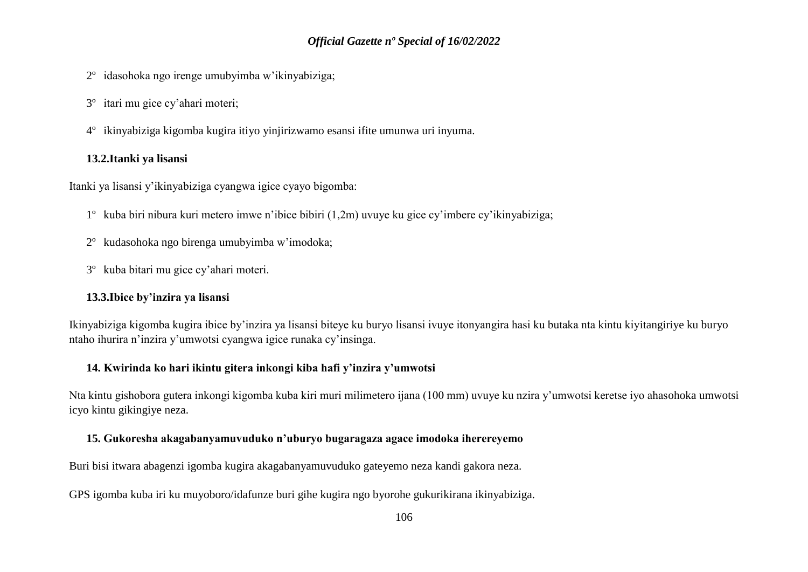- 2º idasohoka ngo irenge umubyimba w'ikinyabiziga;
- 3º itari mu gice cy'ahari moteri;
- 4º ikinyabiziga kigomba kugira itiyo yinjirizwamo esansi ifite umunwa uri inyuma.

### **13.2.Itanki ya lisansi**

Itanki ya lisansi y'ikinyabiziga cyangwa igice cyayo bigomba:

- 1º kuba biri nibura kuri metero imwe n'ibice bibiri (1,2m) uvuye ku gice cy'imbere cy'ikinyabiziga;
- 2º kudasohoka ngo birenga umubyimba w'imodoka;
- 3º kuba bitari mu gice cy'ahari moteri.

#### **13.3.Ibice by'inzira ya lisansi**

Ikinyabiziga kigomba kugira ibice by'inzira ya lisansi biteye ku buryo lisansi ivuye itonyangira hasi ku butaka nta kintu kiyitangiriye ku buryo ntaho ihurira n'inzira y'umwotsi cyangwa igice runaka cy'insinga.

### **14. Kwirinda ko hari ikintu gitera inkongi kiba hafi y'inzira y'umwotsi**

Nta kintu gishobora gutera inkongi kigomba kuba kiri muri milimetero ijana (100 mm) uvuye ku nzira y'umwotsi keretse iyo ahasohoka umwotsi icyo kintu gikingiye neza.

### **15. Gukoresha akagabanyamuvuduko n'uburyo bugaragaza agace imodoka iherereyemo**

Buri bisi itwara abagenzi igomba kugira akagabanyamuvuduko gateyemo neza kandi gakora neza.

GPS igomba kuba iri ku muyoboro/idafunze buri gihe kugira ngo byorohe gukurikirana ikinyabiziga.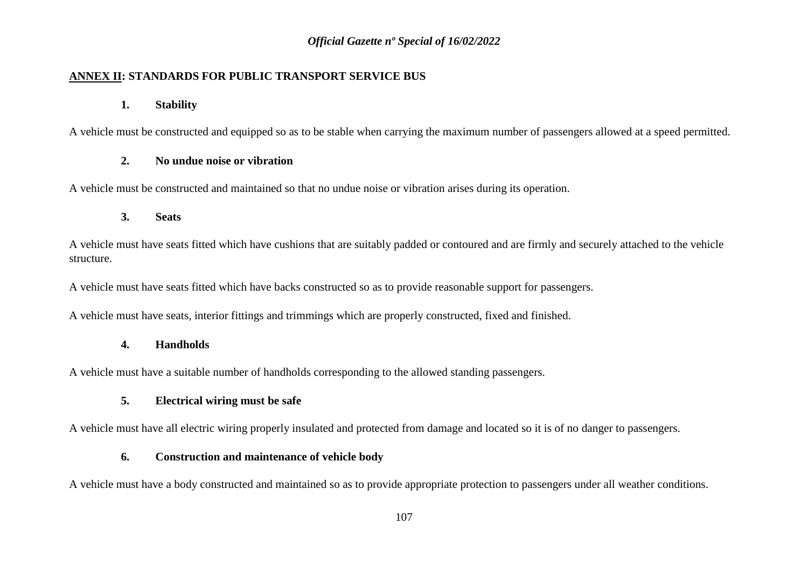### **ANNEX II: STANDARDS FOR PUBLIC TRANSPORT SERVICE BUS**

#### **1. Stability**

A vehicle must be constructed and equipped so as to be stable when carrying the maximum number of passengers allowed at a speed permitted.

### **2. No undue noise or vibration**

A vehicle must be constructed and maintained so that no undue noise or vibration arises during its operation.

### **3. Seats**

A vehicle must have seats fitted which have cushions that are suitably padded or contoured and are firmly and securely attached to the vehicle structure.

A vehicle must have seats fitted which have backs constructed so as to provide reasonable support for passengers.

A vehicle must have seats, interior fittings and trimmings which are properly constructed, fixed and finished.

### **4. Handholds**

A vehicle must have a suitable number of handholds corresponding to the allowed standing passengers.

### **5. Electrical wiring must be safe**

A vehicle must have all electric wiring properly insulated and protected from damage and located so it is of no danger to passengers.

### **6. Construction and maintenance of vehicle body**

A vehicle must have a body constructed and maintained so as to provide appropriate protection to passengers under all weather conditions.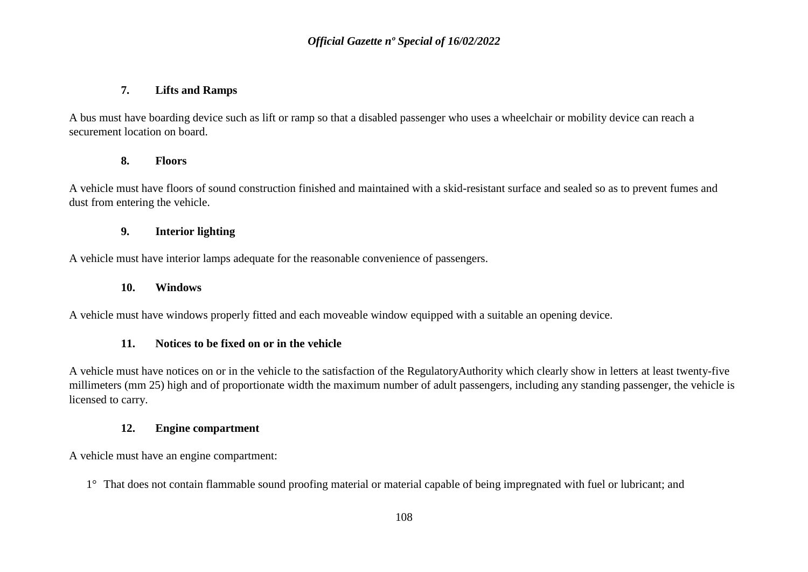#### **7. Lifts and Ramps**

A bus must have boarding device such as lift or ramp so that a disabled passenger who uses a wheelchair or mobility device can reach a securement location on board.

### **8. Floors**

A vehicle must have floors of sound construction finished and maintained with a skid-resistant surface and sealed so as to prevent fumes and dust from entering the vehicle.

### **9. Interior lighting**

A vehicle must have interior lamps adequate for the reasonable convenience of passengers.

#### **10. Windows**

A vehicle must have windows properly fitted and each moveable window equipped with a suitable an opening device.

#### **11. Notices to be fixed on or in the vehicle**

A vehicle must have notices on or in the vehicle to the satisfaction of the RegulatoryAuthority which clearly show in letters at least twenty-five millimeters (mm 25) high and of proportionate width the maximum number of adult passengers, including any standing passenger, the vehicle is licensed to carry.

#### **12. Engine compartment**

A vehicle must have an engine compartment:

1° That does not contain flammable sound proofing material or material capable of being impregnated with fuel or lubricant; and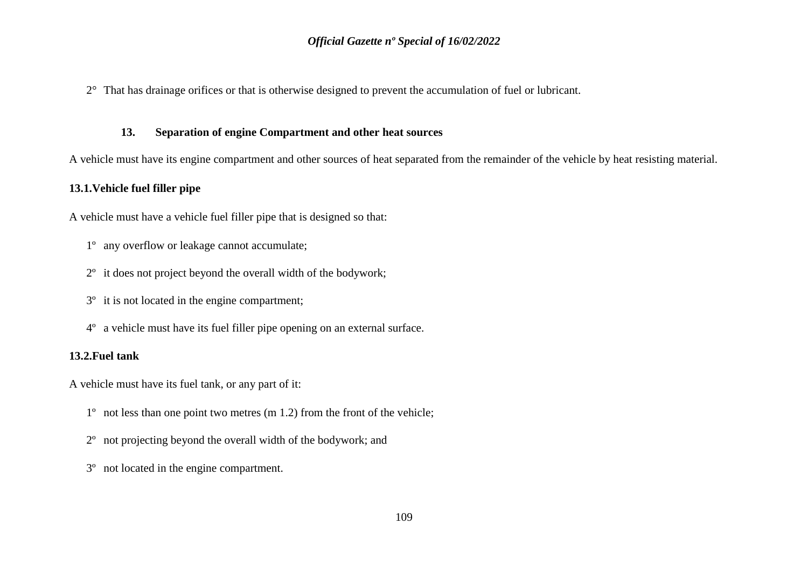2° That has drainage orifices or that is otherwise designed to prevent the accumulation of fuel or lubricant.

#### **13. Separation of engine Compartment and other heat sources**

A vehicle must have its engine compartment and other sources of heat separated from the remainder of the vehicle by heat resisting material.

#### **13.1.Vehicle fuel filler pipe**

A vehicle must have a vehicle fuel filler pipe that is designed so that:

- 1º any overflow or leakage cannot accumulate;
- 2º it does not project beyond the overall width of the bodywork;
- 3º it is not located in the engine compartment;
- 4º a vehicle must have its fuel filler pipe opening on an external surface.

### **13.2.Fuel tank**

A vehicle must have its fuel tank, or any part of it:

- 1º not less than one point two metres (m 1.2) from the front of the vehicle;
- 2º not projecting beyond the overall width of the bodywork; and
- 3º not located in the engine compartment.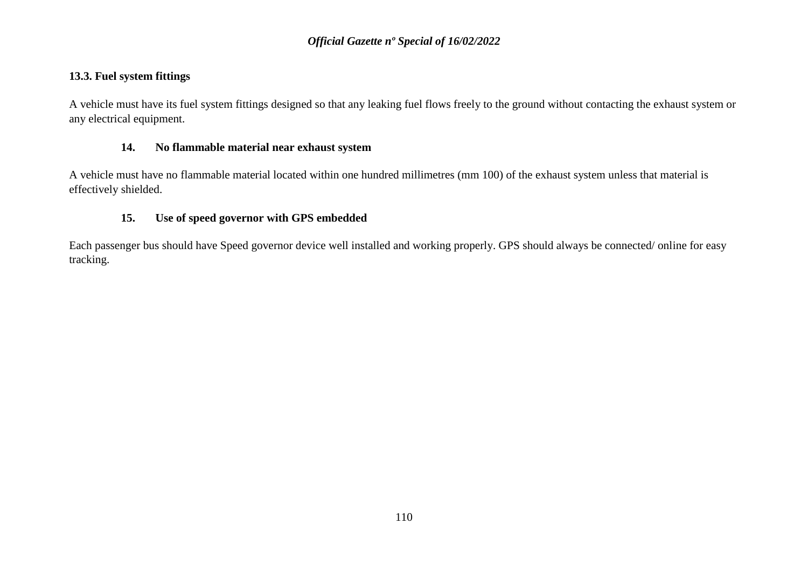### **13.3. Fuel system fittings**

A vehicle must have its fuel system fittings designed so that any leaking fuel flows freely to the ground without contacting the exhaust system or any electrical equipment.

### **14. No flammable material near exhaust system**

A vehicle must have no flammable material located within one hundred millimetres (mm 100) of the exhaust system unless that material is effectively shielded.

### **15. Use of speed governor with GPS embedded**

Each passenger bus should have Speed governor device well installed and working properly. GPS should always be connected/ online for easy tracking.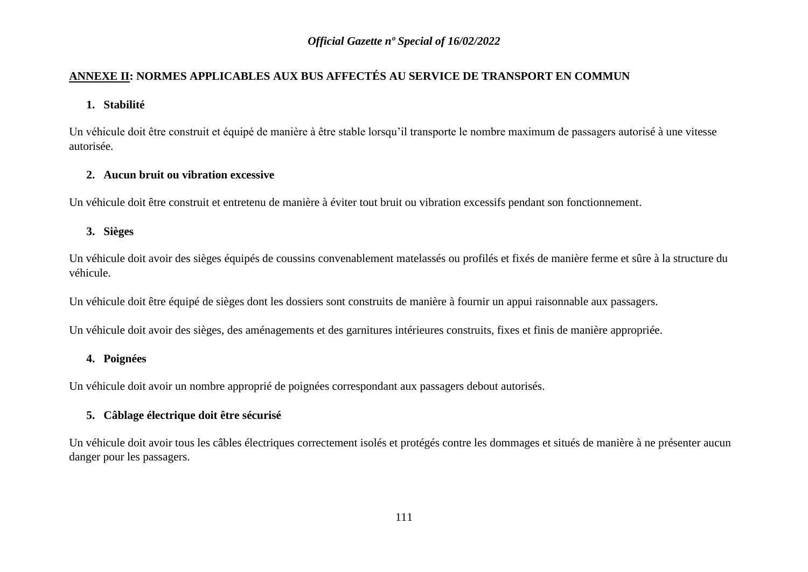### **ANNEXE II: NORMES APPLICABLES AUX BUS AFFECTÉS AU SERVICE DE TRANSPORT EN COMMUN**

### **1. Stabilité**

Un véhicule doit être construit et équipé de manière à être stable lorsqu'il transporte le nombre maximum de passagers autorisé à une vitesse autorisée.

### **2. Aucun bruit ou vibration excessive**

Un véhicule doit être construit et entretenu de manière à éviter tout bruit ou vibration excessifs pendant son fonctionnement.

### **3. Sièges**

Un véhicule doit avoir des sièges équipés de coussins convenablement matelassés ou profilés et fixés de manière ferme et sûre à la structure du véhicule.

Un véhicule doit être équipé de sièges dont les dossiers sont construits de manière à fournir un appui raisonnable aux passagers.

Un véhicule doit avoir des sièges, des aménagements et des garnitures intérieures construits, fixes et finis de manière appropriée.

### **4. Poignées**

Un véhicule doit avoir un nombre approprié de poignées correspondant aux passagers debout autorisés.

### **5. Câblage électrique doit être sécurisé**

Un véhicule doit avoir tous les câbles électriques correctement isolés et protégés contre les dommages et situés de manière à ne présenter aucun danger pour les passagers.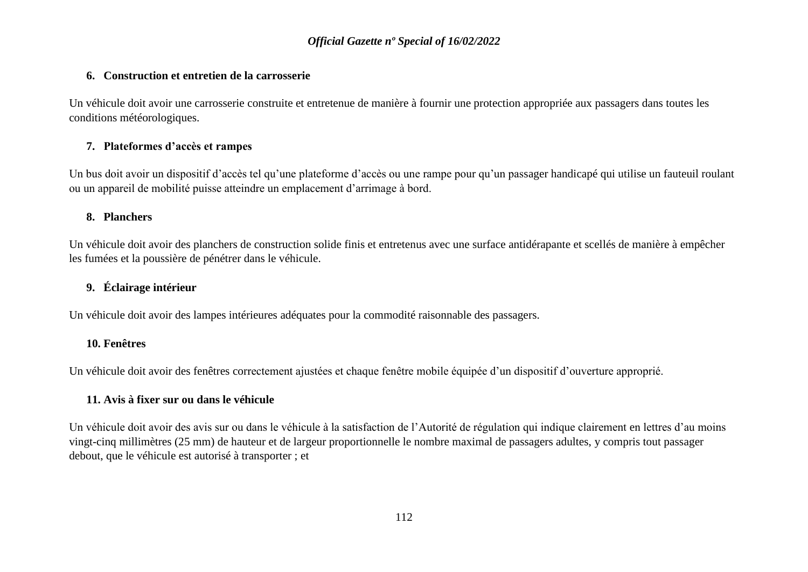#### **6. Construction et entretien de la carrosserie**

Un véhicule doit avoir une carrosserie construite et entretenue de manière à fournir une protection appropriée aux passagers dans toutes les conditions météorologiques.

### **7. Plateformes d'accès et rampes**

Un bus doit avoir un dispositif d'accès tel qu'une plateforme d'accès ou une rampe pour qu'un passager handicapé qui utilise un fauteuil roulant ou un appareil de mobilité puisse atteindre un emplacement d'arrimage à bord.

### **8. Planchers**

Un véhicule doit avoir des planchers de construction solide finis et entretenus avec une surface antidérapante et scellés de manière à empêcher les fumées et la poussière de pénétrer dans le véhicule.

### **9. Éclairage intérieur**

Un véhicule doit avoir des lampes intérieures adéquates pour la commodité raisonnable des passagers.

### **10. Fenêtres**

Un véhicule doit avoir des fenêtres correctement ajustées et chaque fenêtre mobile équipée d'un dispositif d'ouverture approprié.

### **11. Avis à fixer sur ou dans le véhicule**

Un véhicule doit avoir des avis sur ou dans le véhicule à la satisfaction de l'Autorité de régulation qui indique clairement en lettres d'au moins vingt-cinq millimètres (25 mm) de hauteur et de largeur proportionnelle le nombre maximal de passagers adultes, y compris tout passager debout, que le véhicule est autorisé à transporter ; et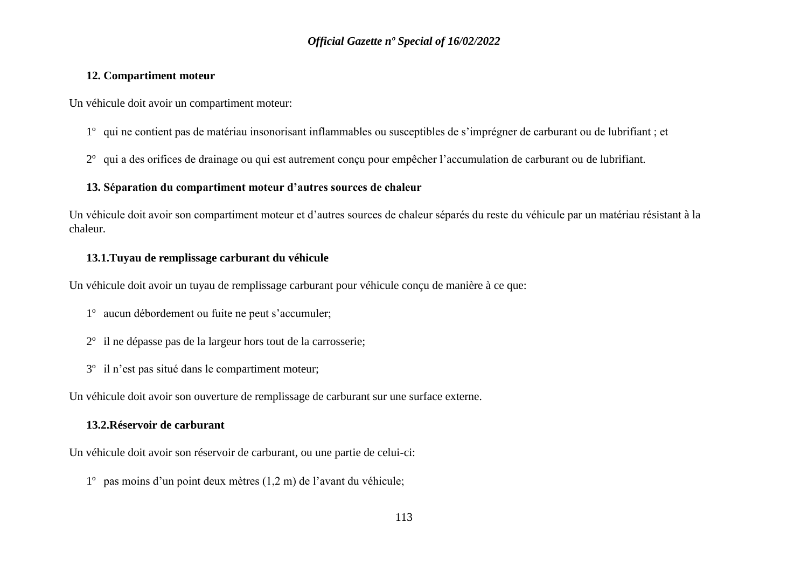#### **12. Compartiment moteur**

Un véhicule doit avoir un compartiment moteur:

- 1º qui ne contient pas de matériau insonorisant inflammables ou susceptibles de s'imprégner de carburant ou de lubrifiant ; et
- 2º qui a des orifices de drainage ou qui est autrement conçu pour empêcher l'accumulation de carburant ou de lubrifiant.

#### **13. Séparation du compartiment moteur d'autres sources de chaleur**

Un véhicule doit avoir son compartiment moteur et d'autres sources de chaleur séparés du reste du véhicule par un matériau résistant à la chaleur.

#### **13.1.Tuyau de remplissage carburant du véhicule**

Un véhicule doit avoir un tuyau de remplissage carburant pour véhicule conçu de manière à ce que:

- 1º aucun débordement ou fuite ne peut s'accumuler;
- 2º il ne dépasse pas de la largeur hors tout de la carrosserie;
- 3º il n'est pas situé dans le compartiment moteur;

Un véhicule doit avoir son ouverture de remplissage de carburant sur une surface externe.

### **13.2.Réservoir de carburant**

Un véhicule doit avoir son réservoir de carburant, ou une partie de celui-ci:

1º pas moins d'un point deux mètres (1,2 m) de l'avant du véhicule;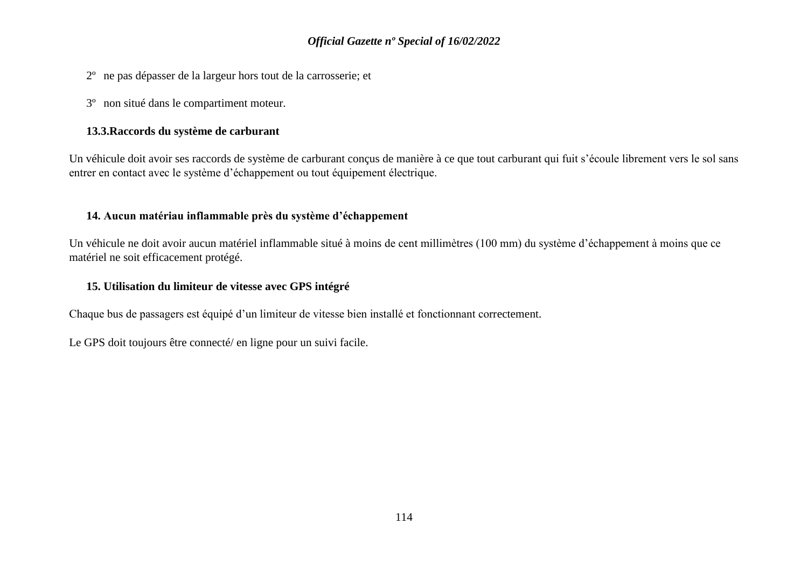- 2º ne pas dépasser de la largeur hors tout de la carrosserie; et
- 3º non situé dans le compartiment moteur.

#### **13.3.Raccords du système de carburant**

Un véhicule doit avoir ses raccords de système de carburant conçus de manière à ce que tout carburant qui fuit s'écoule librement vers le sol sans entrer en contact avec le système d'échappement ou tout équipement électrique.

#### **14. Aucun matériau inflammable près du système d'échappement**

Un véhicule ne doit avoir aucun matériel inflammable situé à moins de cent millimètres (100 mm) du système d'échappement à moins que ce matériel ne soit efficacement protégé.

#### **15. Utilisation du limiteur de vitesse avec GPS intégré**

Chaque bus de passagers est équipé d'un limiteur de vitesse bien installé et fonctionnant correctement.

Le GPS doit toujours être connecté/ en ligne pour un suivi facile.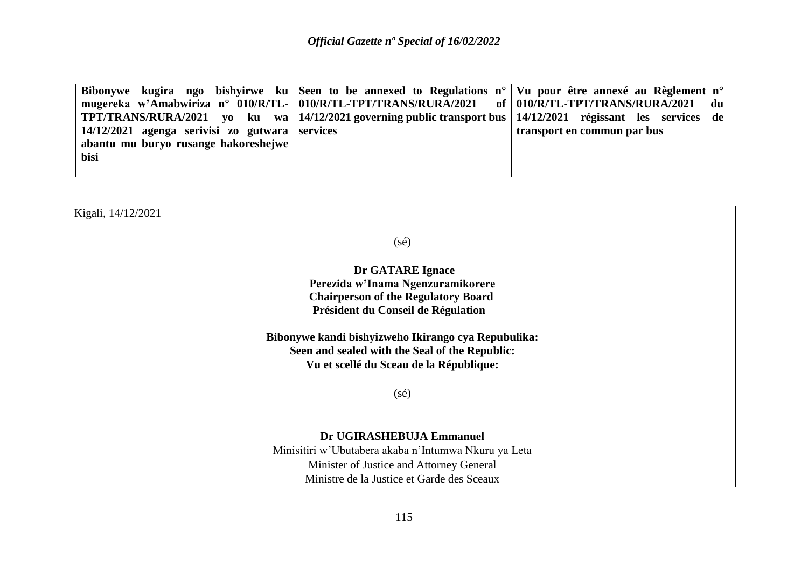|                                                                 | Bibonywe kugira ngo bishyirwe ku Seen to be annexed to Regulations n°   Vu pour être annexé au Règlement n°     |                                            |
|-----------------------------------------------------------------|-----------------------------------------------------------------------------------------------------------------|--------------------------------------------|
| mugereka w'Amabwiriza n° 010/R/TL- 010/R/TL-TPT/TRANS/RURA/2021 |                                                                                                                 | of $\vert$ 010/R/TL-TPT/TRANS/RURA/2021 du |
|                                                                 | TPT/TRANS/RURA/2021 yo ku wa   14/12/2021 governing public transport bus   14/12/2021 régissant les services de |                                            |
| $14/12/2021$ agenga serivisi zo gutwara services                |                                                                                                                 | transport en commun par bus                |
| abantu mu buryo rusange hakoreshejwe                            |                                                                                                                 |                                            |
| bisi                                                            |                                                                                                                 |                                            |
|                                                                 |                                                                                                                 |                                            |

| Kigali, 14/12/2021                                   |  |
|------------------------------------------------------|--|
| $(s\acute{e})$                                       |  |
| Dr GATARE Ignace                                     |  |
| Perezida w'Inama Ngenzuramikorere                    |  |
| <b>Chairperson of the Regulatory Board</b>           |  |
| Président du Conseil de Régulation                   |  |
| Bibonywe kandi bishyizweho Ikirango cya Repubulika:  |  |
| Seen and sealed with the Seal of the Republic:       |  |
| Vu et scellé du Sceau de la République:              |  |
| $(s\acute{e})$                                       |  |
|                                                      |  |
|                                                      |  |
| Dr UGIRASHEBUJA Emmanuel                             |  |
| Minisitiri w'Ubutabera akaba n'Intumwa Nkuru ya Leta |  |
| Minister of Justice and Attorney General             |  |
| Ministre de la Justice et Garde des Sceaux           |  |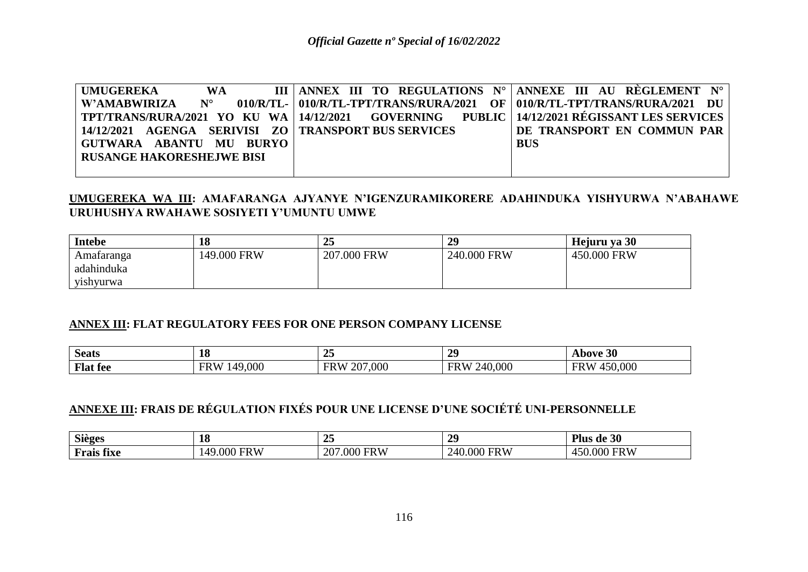| UMUGEREKA                                                                                             | <b>WA</b> |  |  |  |  | III   ANNEX III TO REGULATIONS $N^{\circ}$   ANNEXE III AU RÈGLEMENT $N^{\circ}$      |  |  |  |
|-------------------------------------------------------------------------------------------------------|-----------|--|--|--|--|---------------------------------------------------------------------------------------|--|--|--|
| W'AMABWIRIZA N°                                                                                       |           |  |  |  |  | $\sim 010$ /R/TL-   010/R/TL-TPT/TRANS/RURA/2021 OF   010/R/TL-TPT/TRANS/RURA/2021 DU |  |  |  |
| TPT/TRANS/RURA/2021 YO KU WA   14/12/2021    GOVERNING     PUBLIC   14/12/2021 RÉGISSANT LES SERVICES |           |  |  |  |  |                                                                                       |  |  |  |
| 14/12/2021 AGENGA SERIVISI ZO   TRANSPORT BUS SERVICES                                                |           |  |  |  |  | DE TRANSPORT EN COMMUN PAR                                                            |  |  |  |
| GUTWARA ABANTU MU BURYO                                                                               |           |  |  |  |  | <b>BUS</b>                                                                            |  |  |  |
| <b>RUSANGE HAKORESHEJWE BISI</b>                                                                      |           |  |  |  |  |                                                                                       |  |  |  |
|                                                                                                       |           |  |  |  |  |                                                                                       |  |  |  |

### **UMUGEREKA WA III: AMAFARANGA AJYANYE N'IGENZURAMIKORERE ADAHINDUKA YISHYURWA N'ABAHAWE URUHUSHYA RWAHAWE SOSIYETI Y'UMUNTU UMWE**

| <b>Intebe</b> | 18          | $\gamma$ $\epsilon$<br>້⊿ | 29          | Hejuru ya 30 |
|---------------|-------------|---------------------------|-------------|--------------|
| Amataranga    | 149.000 FRW | 207.000 FRW               | 240.000 FRW | 450.000 FRW  |
| adahinduka    |             |                           |             |              |
| vishyurwa     |             |                           |             |              |

### **ANNEX III: FLAT REGULATORY FEES FOR ONE PERSON COMPANY LICENSE**

| $\sim$<br>Seats | 18              | $\sim$ $\sim$<br>∸         | 29                    | Above 30              |
|-----------------|-----------------|----------------------------|-----------------------|-----------------------|
| <b>Flat</b> fee | 149,000<br>FR W | 7,000<br>207<br><b>FRW</b> | 240,000<br><b>FRW</b> | 450,000<br><b>FRW</b> |

# **ANNEXE III: FRAIS DE RÉGULATION FIXÉS POUR UNE LICENSE D'UNE SOCIÉTÉ UNI-PERSONNELLE**

| $\sim$<br><b>Sieges</b>              | 18                      | $\sim$ $\sim$<br>້                   | 20<br>$\overline{\phantom{0}}$<br>_ | $\alpha$<br>ae su<br>шs                |
|--------------------------------------|-------------------------|--------------------------------------|-------------------------------------|----------------------------------------|
| <b>GO</b><br>tiva.<br>rais<br>- 11AC | <b>FRW</b><br>ЭOС<br>AC | <b>FRW</b><br>ററ<br>.000<br>$\Delta$ | <b>FRW</b><br>240<br>.000           | <b>FRW</b><br>000<br>4.51.<br><u>.</u> |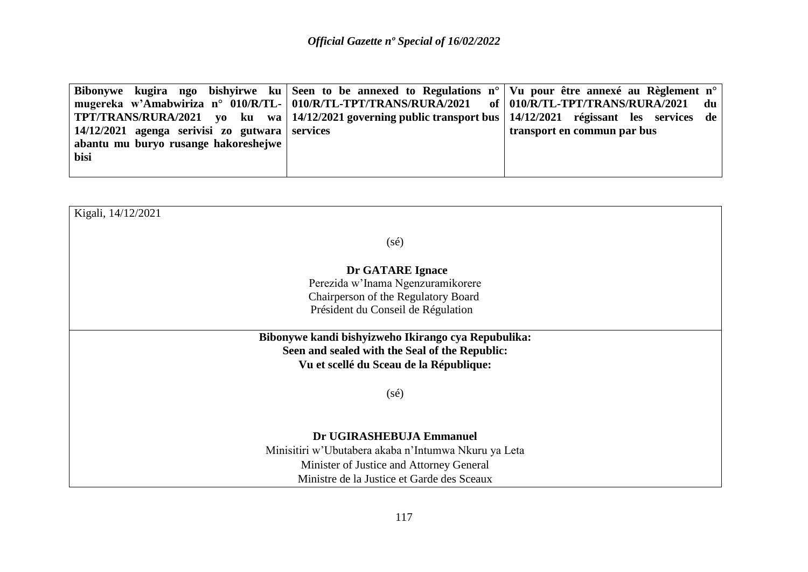|                                                  | Bibonywe kugira ngo bishyirwe ku Seen to be annexed to Regulations n°   Vu pour être annexé au Règlement n° |                             |
|--------------------------------------------------|-------------------------------------------------------------------------------------------------------------|-----------------------------|
|                                                  | mugereka w'Amabwiriza n° 010/R/TL-   010/R/TL-TPT/TRANS/RURA/2021 of   010/R/TL-TPT/TRANS/RURA/2021 du      |                             |
|                                                  | TPT/TRANS/RURA/2021 yo ku wa 14/12/2021 governing public transport bus 14/12/2021 régissant les services de |                             |
| $14/12/2021$ agenga serivisi zo gutwara services |                                                                                                             | transport en commun par bus |
| abantu mu buryo rusange hakoreshejwe             |                                                                                                             |                             |
| bisi                                             |                                                                                                             |                             |
|                                                  |                                                                                                             |                             |

| Kigali, 14/12/2021                                   |
|------------------------------------------------------|
|                                                      |
| $(s\acute{e})$                                       |
| Dr GATARE Ignace                                     |
| Perezida w'Inama Ngenzuramikorere                    |
| Chairperson of the Regulatory Board                  |
| Président du Conseil de Régulation                   |
| Bibonywe kandi bishyizweho Ikirango cya Repubulika:  |
| Seen and sealed with the Seal of the Republic:       |
| Vu et scellé du Sceau de la République:              |
| $(s\acute{e})$                                       |
|                                                      |
| Dr UGIRASHEBUJA Emmanuel                             |
| Minisitiri w'Ubutabera akaba n'Intumwa Nkuru ya Leta |
| Minister of Justice and Attorney General             |
| Ministre de la Justice et Garde des Sceaux           |
|                                                      |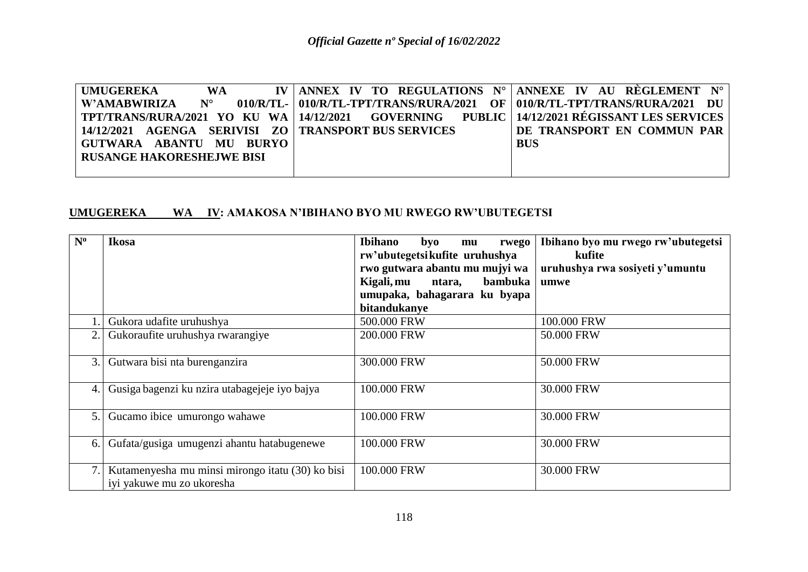| UMUGEREKA                                                                                          | <b>WA</b> |  |  |  | IV   ANNEX IV TO REGULATIONS $N^{\circ}$   ANNEXE IV AU RÈGLEMENT $N^{\circ}$      |  |  |
|----------------------------------------------------------------------------------------------------|-----------|--|--|--|------------------------------------------------------------------------------------|--|--|
| W'AMABWIRIZA N°                                                                                    |           |  |  |  | $010/R/T$ L- $010/R/T$ L-TPT/TRANS/RURA/2021 OF $010/R/T$ L-TPT/TRANS/RURA/2021 DU |  |  |
| TPT/TRANS/RURA/2021 YO KU WA   14/12/2021   GOVERNING   PUBLIC   14/12/2021 RÉGISSANT LES SERVICES |           |  |  |  |                                                                                    |  |  |
| 14/12/2021   AGENGA   SERIVISI   ZO   TRANSPORT BUS SERVICES                                       |           |  |  |  | DE TRANSPORT EN COMMUN PAR                                                         |  |  |
| GUTWARA ABANTU MU BURYO                                                                            |           |  |  |  | <b>BUS</b>                                                                         |  |  |
| <b>RUSANGE HAKORESHEJWE BISI</b>                                                                   |           |  |  |  |                                                                                    |  |  |
|                                                                                                    |           |  |  |  |                                                                                    |  |  |

### **UMUGEREKA WA IV: AMAKOSA N'IBIHANO BYO MU RWEGO RW'UBUTEGETSI**

| $N^{\rm o}$ | Ikosa                                                                         | <b>Ibihano</b><br>byo<br>rwego<br>mu<br>rw'ubutegetsikufite uruhushya<br>rwo gutwara abantu mu mujyi wa<br>Kigali, mu<br>bambuka<br>ntara,<br>umupaka, bahagarara ku byapa<br>bitandukanye | Ibihano byo mu rwego rw'ubutegetsi<br>kufite<br>uruhushya rwa sosiyeti y'umuntu<br>umwe |
|-------------|-------------------------------------------------------------------------------|--------------------------------------------------------------------------------------------------------------------------------------------------------------------------------------------|-----------------------------------------------------------------------------------------|
|             | Gukora udafite uruhushya                                                      | 500.000 FRW                                                                                                                                                                                | 100.000 FRW                                                                             |
| 2.          | Gukoraufite uruhushya rwarangiye                                              | 200.000 FRW                                                                                                                                                                                | 50.000 FRW                                                                              |
| 3.1         | Gutwara bisi nta burenganzira                                                 | 300.000 FRW                                                                                                                                                                                | 50.000 FRW                                                                              |
| 4.1         | Gusiga bagenzi ku nzira utabagejeje iyo bajya                                 | 100.000 FRW                                                                                                                                                                                | 30.000 FRW                                                                              |
| 5.1         | Gucamo ibice umurongo wahawe                                                  | 100.000 FRW                                                                                                                                                                                | 30.000 FRW                                                                              |
| 6.          | Gufata/gusiga umugenzi ahantu hatabugenewe                                    | 100.000 FRW                                                                                                                                                                                | 30.000 FRW                                                                              |
|             | Kutamenyesha mu minsi mirongo itatu (30) ko bisi<br>iyi yakuwe mu zo ukoresha | 100.000 FRW                                                                                                                                                                                | 30.000 FRW                                                                              |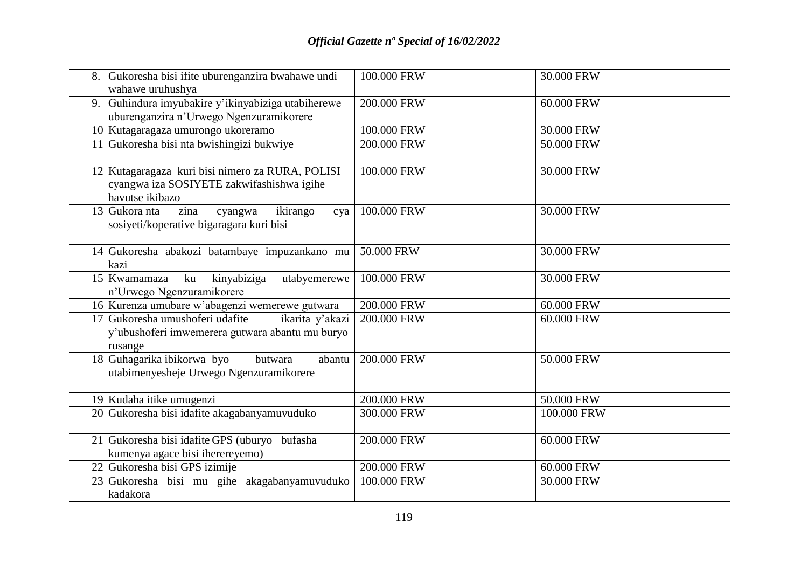| 8. | Gukoresha bisi ifite uburenganzira bwahawe undi<br>wahawe uruhushya                                              | 100.000 FRW | 30.000 FRW  |
|----|------------------------------------------------------------------------------------------------------------------|-------------|-------------|
| 9. | Guhindura imyubakire y'ikinyabiziga utabiherewe<br>uburenganzira n'Urwego Ngenzuramikorere                       | 200.000 FRW | 60.000 FRW  |
|    | 10 Kutagaragaza umurongo ukoreramo                                                                               | 100.000 FRW | 30.000 FRW  |
|    | 11 Gukoresha bisi nta bwishingizi bukwiye                                                                        | 200.000 FRW | 50.000 FRW  |
|    | 12 Kutagaragaza kuri bisi nimero za RURA, POLISI<br>cyangwa iza SOSIYETE zakwifashishwa igihe<br>havutse ikibazo | 100.000 FRW | 30.000 FRW  |
|    | 13 Gukora nta<br>zina<br>ikirango<br>cyangwa<br>cya<br>sosiyeti/koperative bigaragara kuri bisi                  | 100.000 FRW | 30.000 FRW  |
|    | 14 Gukoresha abakozi batambaye impuzankano mu<br>kazi                                                            | 50.000 FRW  | 30.000 FRW  |
|    | kinyabiziga<br>15 Kwamamaza<br>ku<br>utabyemerewe<br>n'Urwego Ngenzuramikorere                                   | 100.000 FRW | 30.000 FRW  |
|    | 16 Kurenza umubare w'abagenzi wemerewe gutwara                                                                   | 200.000 FRW | 60.000 FRW  |
|    | Gukoresha umushoferi udafite<br>ikarita y'akazi<br>y'ubushoferi imwemerera gutwara abantu mu buryo<br>rusange    | 200.000 FRW | 60.000 FRW  |
|    | 18 Guhagarika ibikorwa byo<br>butwara<br>abantu<br>utabimenyesheje Urwego Ngenzuramikorere                       | 200.000 FRW | 50.000 FRW  |
|    | 19 Kudaha itike umugenzi                                                                                         | 200.000 FRW | 50.000 FRW  |
|    | 20 Gukoresha bisi idafite akagabanyamuvuduko                                                                     | 300.000 FRW | 100.000 FRW |
|    | 21 Gukoresha bisi idafite GPS (uburyo bufasha<br>kumenya agace bisi iherereyemo)                                 | 200.000 FRW | 60.000 FRW  |
|    | 22 Gukoresha bisi GPS izimije                                                                                    | 200.000 FRW | 60.000 FRW  |
| 23 | Gukoresha bisi mu gihe akagabanyamuvuduko<br>kadakora                                                            | 100.000 FRW | 30.000 FRW  |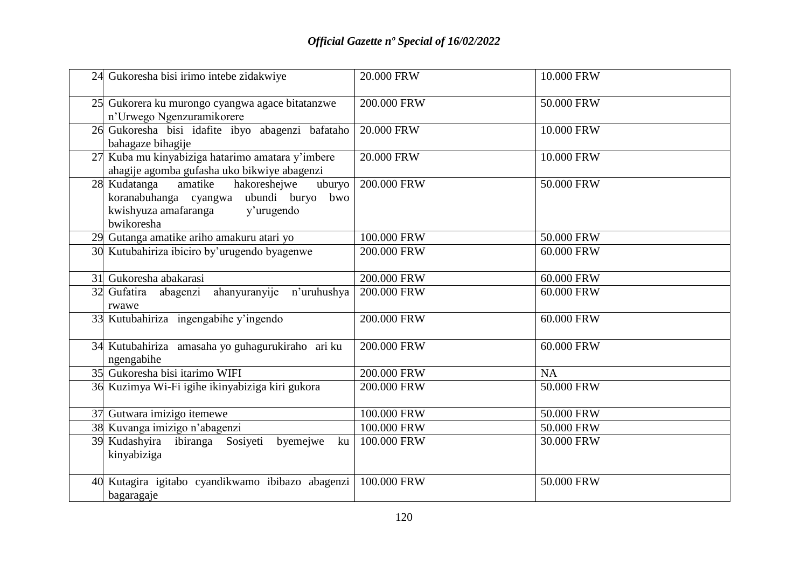|    | 24 Gukoresha bisi irimo intebe zidakwiye                                                                                                        | 20.000 FRW  | 10.000 FRW |
|----|-------------------------------------------------------------------------------------------------------------------------------------------------|-------------|------------|
|    | 25 Gukorera ku murongo cyangwa agace bitatanzwe<br>n'Urwego Ngenzuramikorere                                                                    | 200.000 FRW | 50.000 FRW |
|    | 26 Gukoresha bisi idafite ibyo abagenzi bafataho<br>bahagaze bihagije                                                                           | 20.000 FRW  | 10.000 FRW |
| 27 | Kuba mu kinyabiziga hatarimo amatara y'imbere<br>ahagije agomba gufasha uko bikwiye abagenzi                                                    | 20.000 FRW  | 10.000 FRW |
|    | 28 Kudatanga<br>hakoreshejwe<br>amatike<br>uburyo<br>koranabuhanga cyangwa ubundi buryo bwo<br>kwishyuza amafaranga<br>y'urugendo<br>bwikoresha | 200.000 FRW | 50.000 FRW |
|    | 29 Gutanga amatike ariho amakuru atari yo                                                                                                       | 100.000 FRW | 50.000 FRW |
|    | 30 Kutubahiriza ibiciro by'urugendo byagenwe                                                                                                    | 200.000 FRW | 60.000 FRW |
|    | 31 Gukoresha abakarasi                                                                                                                          | 200.000 FRW | 60.000 FRW |
|    | 32 Gufatira abagenzi<br>ahanyuranyije<br>n'uruhushya<br>rwawe                                                                                   | 200.000 FRW | 60.000 FRW |
|    | 33 Kutubahiriza ingengabihe y'ingendo                                                                                                           | 200.000 FRW | 60.000 FRW |
|    | 34 Kutubahiriza amasaha yo guhagurukiraho ari ku<br>ngengabihe                                                                                  | 200.000 FRW | 60.000 FRW |
|    | 35 Gukoresha bisi itarimo WIFI                                                                                                                  | 200.000 FRW | <b>NA</b>  |
|    | 36 Kuzimya Wi-Fi igihe ikinyabiziga kiri gukora                                                                                                 | 200.000 FRW | 50.000 FRW |
|    | 37 Gutwara imizigo itemewe                                                                                                                      | 100.000 FRW | 50.000 FRW |
|    | 38 Kuvanga imizigo n'abagenzi                                                                                                                   | 100.000 FRW | 50.000 FRW |
| 39 | Kudashyira ibiranga Sosiyeti<br>byemejwe<br>ku<br>kinyabiziga                                                                                   | 100.000 FRW | 30.000 FRW |
|    | 40 Kutagira igitabo cyandikwamo ibibazo abagenzi<br>bagaragaje                                                                                  | 100.000 FRW | 50.000 FRW |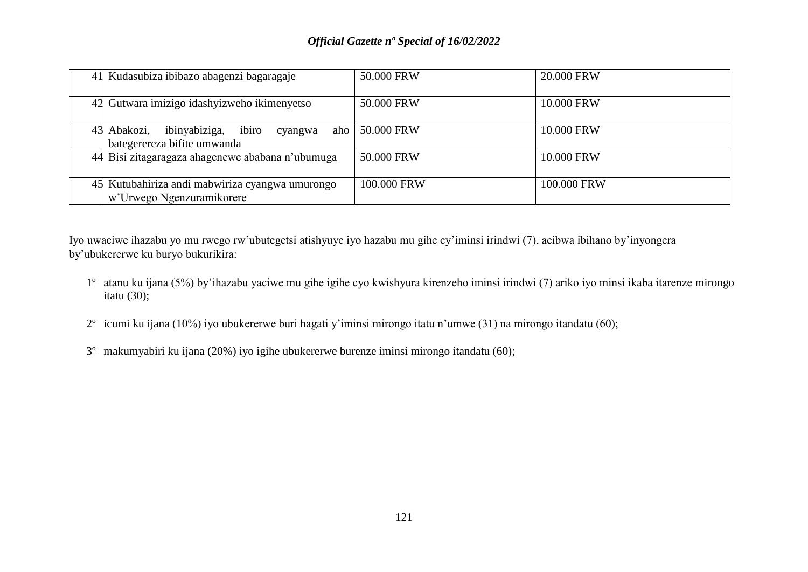| 41 Kudasubiza ibibazo abagenzi bagaragaje                                              | 50.000 FRW  | 20.000 FRW  |
|----------------------------------------------------------------------------------------|-------------|-------------|
| 42 Gutwara imizigo idashyizweho ikimenyetso                                            | 50.000 FRW  | 10.000 FRW  |
| ibinyabiziga,<br>43 Abakozi,<br>ibiro<br>aho<br>cyangwa<br>bategerereza bifite umwanda | 50.000 FRW  | 10.000 FRW  |
| 44 Bisi zitagaragaza ahagenewe ababana n'ubumuga                                       | 50.000 FRW  | 10.000 FRW  |
| 45 Kutubahiriza andi mabwiriza cyangwa umurongo<br>w'Urwego Ngenzuramikorere           | 100.000 FRW | 100,000 FRW |

Iyo uwaciwe ihazabu yo mu rwego rw'ubutegetsi atishyuye iyo hazabu mu gihe cy'iminsi irindwi (7), acibwa ibihano by'inyongera by'ubukererwe ku buryo bukurikira:

- 1º atanu ku ijana (5%) by'ihazabu yaciwe mu gihe igihe cyo kwishyura kirenzeho iminsi irindwi (7) ariko iyo minsi ikaba itarenze mirongo itatu (30);
- 2º icumi ku ijana (10%) iyo ubukererwe buri hagati y'iminsi mirongo itatu n'umwe (31) na mirongo itandatu (60);
- 3º makumyabiri ku ijana (20%) iyo igihe ubukererwe burenze iminsi mirongo itandatu (60);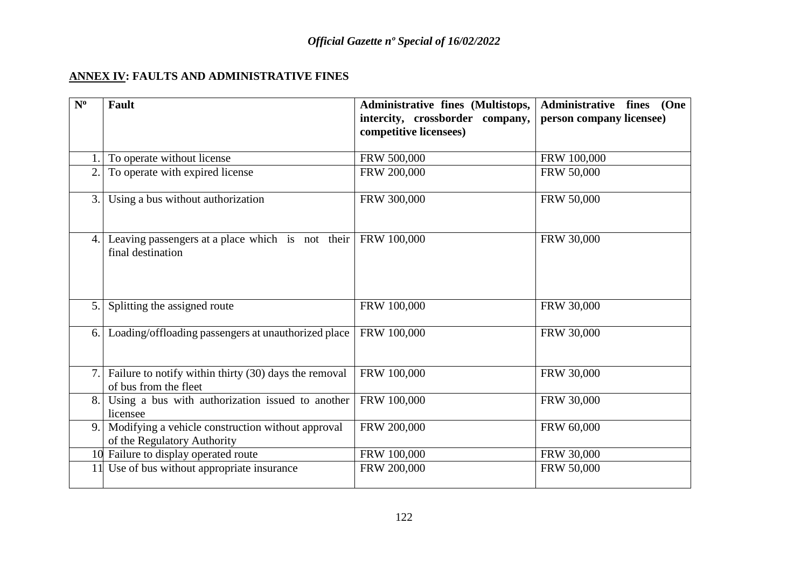## **ANNEX IV: FAULTS AND ADMINISTRATIVE FINES**

| $N^{\rm o}$ | <b>Fault</b>                                                                     | Administrative fines (Multistops,<br>intercity, crossborder company,<br>competitive licensees) | Administrative fines (One<br>person company licensee) |
|-------------|----------------------------------------------------------------------------------|------------------------------------------------------------------------------------------------|-------------------------------------------------------|
|             | To operate without license                                                       | FRW 500,000                                                                                    | FRW 100,000                                           |
| 2.          | To operate with expired license                                                  | FRW 200,000                                                                                    | FRW 50,000                                            |
| 3.          | Using a bus without authorization                                                | FRW 300,000                                                                                    | FRW 50,000                                            |
| 4.1         | Leaving passengers at a place which is not their<br>final destination            | FRW 100,000                                                                                    | FRW 30,000                                            |
| 5.          | Splitting the assigned route                                                     | FRW 100,000                                                                                    | FRW 30,000                                            |
| 6.          | Loading/offloading passengers at unauthorized place                              | FRW 100,000                                                                                    | FRW 30,000                                            |
| 7.          | Failure to notify within thirty (30) days the removal<br>of bus from the fleet   | FRW 100,000                                                                                    | FRW 30,000                                            |
| 8.          | Using a bus with authorization issued to another<br>licensee                     | FRW 100,000                                                                                    | FRW 30,000                                            |
| 9.          | Modifying a vehicle construction without approval<br>of the Regulatory Authority | FRW 200,000                                                                                    | FRW 60,000                                            |
|             | 10 Failure to display operated route                                             | FRW 100,000                                                                                    | FRW 30,000                                            |
| 11          | Use of bus without appropriate insurance                                         | FRW 200,000                                                                                    | FRW 50,000                                            |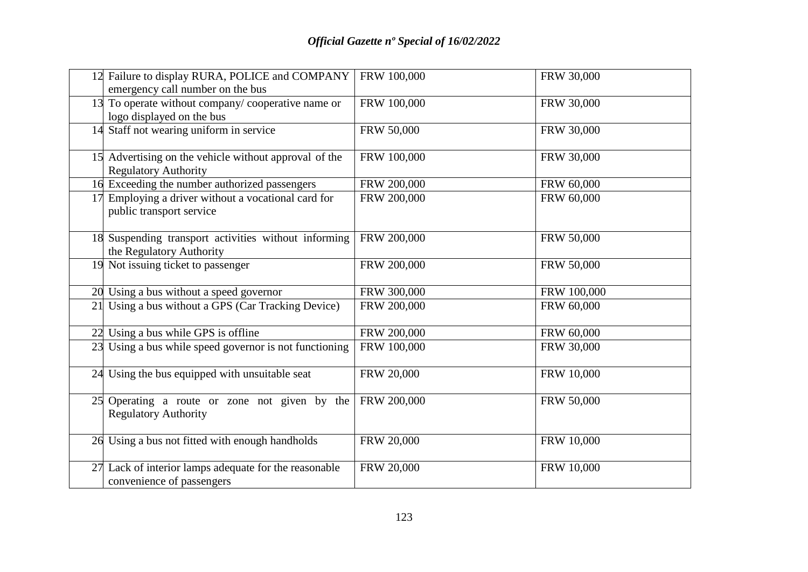|    | 12 Failure to display RURA, POLICE and COMPANY<br>emergency call number on the bus   | FRW 100,000 | FRW 30,000        |
|----|--------------------------------------------------------------------------------------|-------------|-------------------|
|    | 13 To operate without company/cooperative name or<br>logo displayed on the bus       | FRW 100,000 | FRW 30,000        |
|    | 14 Staff not wearing uniform in service                                              | FRW 50,000  | FRW 30,000        |
|    | 15 Advertising on the vehicle without approval of the<br><b>Regulatory Authority</b> | FRW 100,000 | FRW 30,000        |
|    | 16 Exceeding the number authorized passengers                                        | FRW 200,000 | FRW 60,000        |
|    | 17 Employing a driver without a vocational card for<br>public transport service      | FRW 200,000 | FRW 60,000        |
|    | 18 Suspending transport activities without informing<br>the Regulatory Authority     | FRW 200,000 | FRW 50,000        |
|    | 19 Not issuing ticket to passenger                                                   | FRW 200,000 | FRW 50,000        |
|    | 20 Using a bus without a speed governor                                              | FRW 300,000 | FRW 100,000       |
| 21 | Using a bus without a GPS (Car Tracking Device)                                      | FRW 200,000 | FRW 60,000        |
|    | 22 Using a bus while GPS is offline                                                  | FRW 200,000 | FRW 60,000        |
|    | 23 Using a bus while speed governor is not functioning                               | FRW 100,000 | FRW 30,000        |
|    | 24 Using the bus equipped with unsuitable seat                                       | FRW 20,000  | FRW 10,000        |
|    | 25 Operating a route or zone not given by the<br><b>Regulatory Authority</b>         | FRW 200,000 | FRW 50,000        |
|    | 26 Using a bus not fitted with enough handholds                                      | FRW 20,000  | <b>FRW 10,000</b> |
| 27 | Lack of interior lamps adequate for the reasonable<br>convenience of passengers      | FRW 20,000  | FRW 10,000        |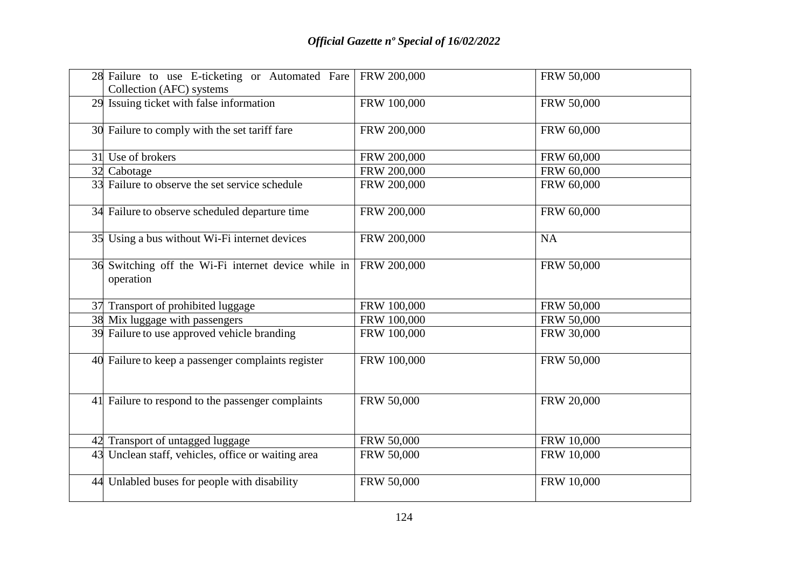|    | 28 Failure to use E-ticketing or Automated Fare<br>Collection (AFC) systems | FRW 200,000 | FRW 50,000 |
|----|-----------------------------------------------------------------------------|-------------|------------|
|    | 29 Issuing ticket with false information                                    | FRW 100,000 | FRW 50,000 |
|    | 30 Failure to comply with the set tariff fare                               | FRW 200,000 | FRW 60,000 |
|    | 31 Use of brokers                                                           | FRW 200,000 | FRW 60,000 |
|    | 32 Cabotage                                                                 | FRW 200,000 | FRW 60,000 |
|    | 33 Failure to observe the set service schedule                              | FRW 200,000 | FRW 60,000 |
|    | 34 Failure to observe scheduled departure time                              | FRW 200,000 | FRW 60,000 |
| 35 | Using a bus without Wi-Fi internet devices                                  | FRW 200,000 | <b>NA</b>  |
|    | 36 Switching off the Wi-Fi internet device while in<br>operation            | FRW 200,000 | FRW 50,000 |
|    | 37 Transport of prohibited luggage                                          | FRW 100,000 | FRW 50,000 |
|    | 38 Mix luggage with passengers                                              | FRW 100,000 | FRW 50,000 |
|    | 39 Failure to use approved vehicle branding                                 | FRW 100,000 | FRW 30,000 |
|    | 40 Failure to keep a passenger complaints register                          | FRW 100,000 | FRW 50,000 |
|    | 41 Failure to respond to the passenger complaints                           | FRW 50,000  | FRW 20,000 |
|    | 42 Transport of untagged luggage                                            | FRW 50,000  | FRW 10,000 |
| 43 | Unclean staff, vehicles, office or waiting area                             | FRW 50,000  | FRW 10,000 |
|    | 44 Unlabled buses for people with disability                                | FRW 50,000  | FRW 10,000 |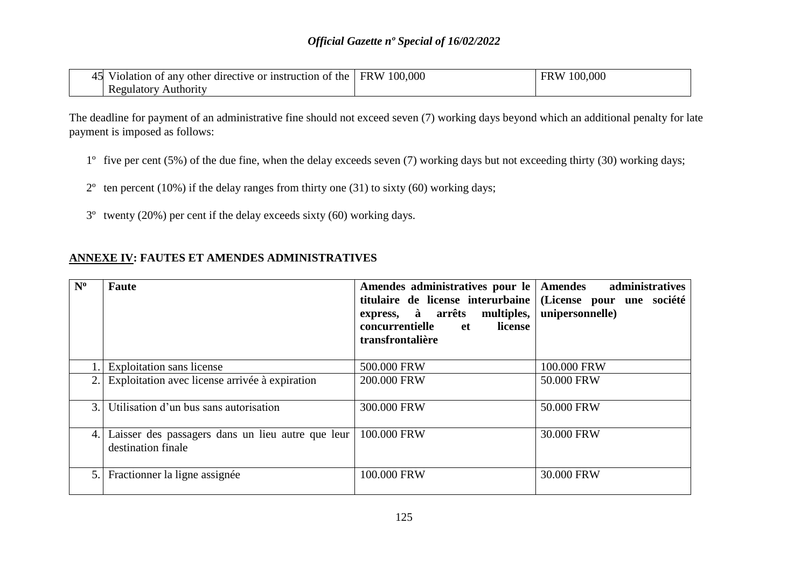## *Official Gazette nº Special of 16/02/2022*

| 45 Violation of any other directive or instruction of the FRW 100,000 | FRW 100,000 |
|-----------------------------------------------------------------------|-------------|
| <b>Regulatory Authority</b>                                           |             |

The deadline for payment of an administrative fine should not exceed seven (7) working days beyond which an additional penalty for late payment is imposed as follows:

- 1º five per cent (5%) of the due fine, when the delay exceeds seven (7) working days but not exceeding thirty (30) working days;
- $2^{\circ}$  ten percent (10%) if the delay ranges from thirty one (31) to sixty (60) working days;
- 3º twenty (20%) per cent if the delay exceeds sixty (60) working days.

| $N^{\rm o}$ | Faute                                                                   | Amendes administratives pour le Amendes<br>titulaire de license interurbaine<br>express, à arrêts multiples,<br>concurrentielle<br>license<br>et<br>transfrontalière | administratives<br>(License pour une société<br>unipersonnelle) |
|-------------|-------------------------------------------------------------------------|----------------------------------------------------------------------------------------------------------------------------------------------------------------------|-----------------------------------------------------------------|
|             | <b>Exploitation</b> sans license                                        | 500.000 FRW                                                                                                                                                          | 100.000 FRW                                                     |
| 2.          | Exploitation avec license arrivée à expiration                          | 200.000 FRW                                                                                                                                                          | 50.000 FRW                                                      |
| 3.          | Utilisation d'un bus sans autorisation                                  | 300.000 FRW                                                                                                                                                          | 50.000 FRW                                                      |
| 4.          | Laisser des passagers dans un lieu autre que leur<br>destination finale | 100.000 FRW                                                                                                                                                          | 30.000 FRW                                                      |
| 5.          | Fractionner la ligne assignée                                           | 100.000 FRW                                                                                                                                                          | 30.000 FRW                                                      |

## **ANNEXE IV: FAUTES ET AMENDES ADMINISTRATIVES**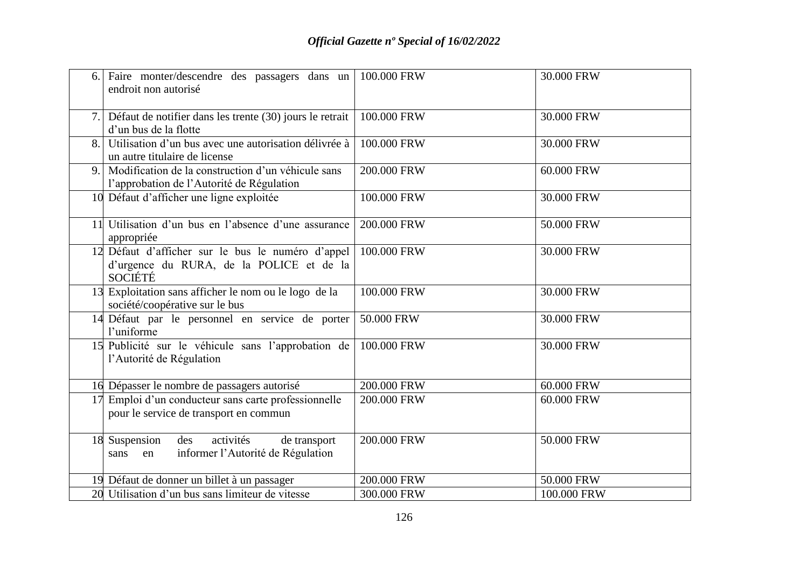| 6. | Faire monter/descendre des passagers dans un<br>endroit non autorisé                                            | 100.000 FRW | 30.000 FRW  |
|----|-----------------------------------------------------------------------------------------------------------------|-------------|-------------|
| 7. | Défaut de notifier dans les trente (30) jours le retrait<br>d'un bus de la flotte                               | 100.000 FRW | 30.000 FRW  |
| 8. | Utilisation d'un bus avec une autorisation délivrée à<br>un autre titulaire de license                          | 100.000 FRW | 30.000 FRW  |
| 9. | Modification de la construction d'un véhicule sans<br>l'approbation de l'Autorité de Régulation                 | 200.000 FRW | 60.000 FRW  |
|    | 10 Défaut d'afficher une ligne exploitée                                                                        | 100.000 FRW | 30.000 FRW  |
|    | Utilisation d'un bus en l'absence d'une assurance<br>appropriée                                                 | 200.000 FRW | 50.000 FRW  |
|    | 12 Défaut d'afficher sur le bus le numéro d'appel<br>d'urgence du RURA, de la POLICE et de la<br><b>SOCIÉTÉ</b> | 100.000 FRW | 30.000 FRW  |
| 13 | Exploitation sans afficher le nom ou le logo de la<br>société/coopérative sur le bus                            | 100.000 FRW | 30.000 FRW  |
| 14 | Défaut par le personnel en service de porter<br>l'uniforme                                                      | 50.000 FRW  | 30.000 FRW  |
|    | 15 Publicité sur le véhicule sans l'approbation de<br>l'Autorité de Régulation                                  | 100.000 FRW | 30.000 FRW  |
|    | 16 Dépasser le nombre de passagers autorisé                                                                     | 200.000 FRW | 60.000 FRW  |
|    | Emploi d'un conducteur sans carte professionnelle<br>pour le service de transport en commun                     | 200.000 FRW | 60.000 FRW  |
|    | activités<br>18 Suspension des<br>de transport<br>informer l'Autorité de Régulation<br>en<br>sans               | 200.000 FRW | 50.000 FRW  |
|    | 19 Défaut de donner un billet à un passager                                                                     | 200.000 FRW | 50.000 FRW  |
|    | 20 Utilisation d'un bus sans limiteur de vitesse                                                                | 300.000 FRW | 100.000 FRW |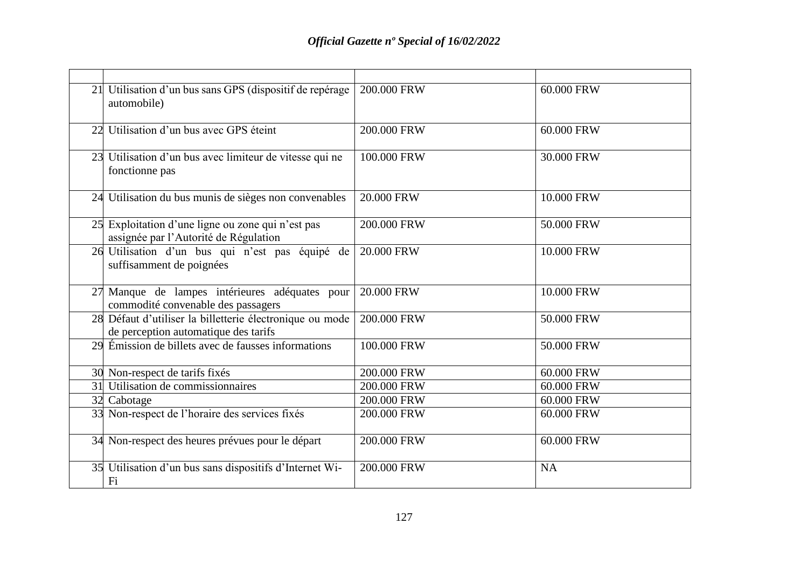| 21 Utilisation d'un bus sans GPS (dispositif de repérage<br>automobile)                          | 200.000 FRW | 60.000 FRW |
|--------------------------------------------------------------------------------------------------|-------------|------------|
| 22 Utilisation d'un bus avec GPS éteint                                                          | 200.000 FRW | 60.000 FRW |
| 23 Utilisation d'un bus avec limiteur de vitesse qui ne<br>fonctionne pas                        | 100,000 FRW | 30.000 FRW |
| 24 Utilisation du bus munis de sièges non convenables                                            | 20.000 FRW  | 10.000 FRW |
| 25 Exploitation d'une ligne ou zone qui n'est pas<br>assignée par l'Autorité de Régulation       | 200.000 FRW | 50.000 FRW |
| 26 Utilisation d'un bus qui n'est pas équipé de<br>suffisamment de poignées                      | 20.000 FRW  | 10.000 FRW |
| 27 Manque de lampes intérieures adéquates pour<br>commodité convenable des passagers             | 20.000 FRW  | 10.000 FRW |
| 28 Défaut d'utiliser la billetterie électronique ou mode<br>de perception automatique des tarifs | 200.000 FRW | 50.000 FRW |
| 29 Émission de billets avec de fausses informations                                              | 100,000 FRW | 50.000 FRW |
| 30 Non-respect de tarifs fixés                                                                   | 200.000 FRW | 60.000 FRW |
| 31 Utilisation de commissionnaires                                                               | 200.000 FRW | 60.000 FRW |
| 32 Cabotage                                                                                      | 200.000 FRW | 60.000 FRW |
| 33 Non-respect de l'horaire des services fixés                                                   | 200.000 FRW | 60.000 FRW |
| 34 Non-respect des heures prévues pour le départ                                                 | 200.000 FRW | 60.000 FRW |
| 35 Utilisation d'un bus sans dispositifs d'Internet Wi-<br>Fi                                    | 200.000 FRW | <b>NA</b>  |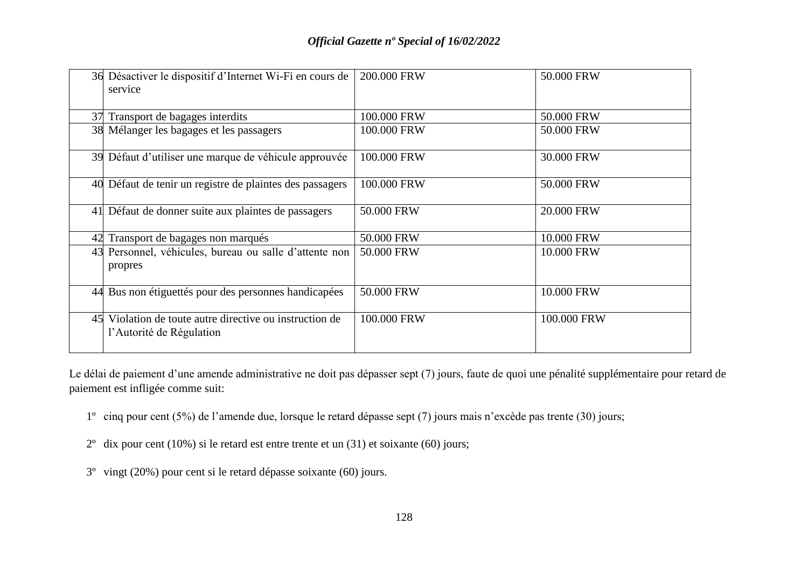| 36 Désactiver le dispositif d'Internet Wi-Fi en cours de<br>service                 | 200.000 FRW | 50.000 FRW  |
|-------------------------------------------------------------------------------------|-------------|-------------|
| 37 Transport de bagages interdits                                                   | 100.000 FRW | 50.000 FRW  |
| 38 Mélanger les bagages et les passagers                                            | 100.000 FRW | 50.000 FRW  |
| 39 Défaut d'utiliser une marque de véhicule approuvée                               | 100.000 FRW | 30.000 FRW  |
| 40 Défaut de tenir un registre de plaintes des passagers                            | 100.000 FRW | 50.000 FRW  |
| 41 Défaut de donner suite aux plaintes de passagers                                 | 50.000 FRW  | 20.000 FRW  |
| 42 Transport de bagages non marqués                                                 | 50.000 FRW  | 10.000 FRW  |
| 43 Personnel, véhicules, bureau ou salle d'attente non<br>propres                   | 50.000 FRW  | 10.000 FRW  |
| 44 Bus non étiguettés pour des personnes handicapées                                | 50.000 FRW  | 10.000 FRW  |
| 45 Violation de toute autre directive ou instruction de<br>l'Autorité de Régulation | 100.000 FRW | 100.000 FRW |

Le délai de paiement d'une amende administrative ne doit pas dépasser sept (7) jours, faute de quoi une pénalité supplémentaire pour retard de paiement est infligée comme suit:

- 1º cinq pour cent (5%) de l'amende due, lorsque le retard dépasse sept (7) jours mais n'excède pas trente (30) jours;
- 2º dix pour cent (10%) si le retard est entre trente et un (31) et soixante (60) jours;
- 3º vingt (20%) pour cent si le retard dépasse soixante (60) jours.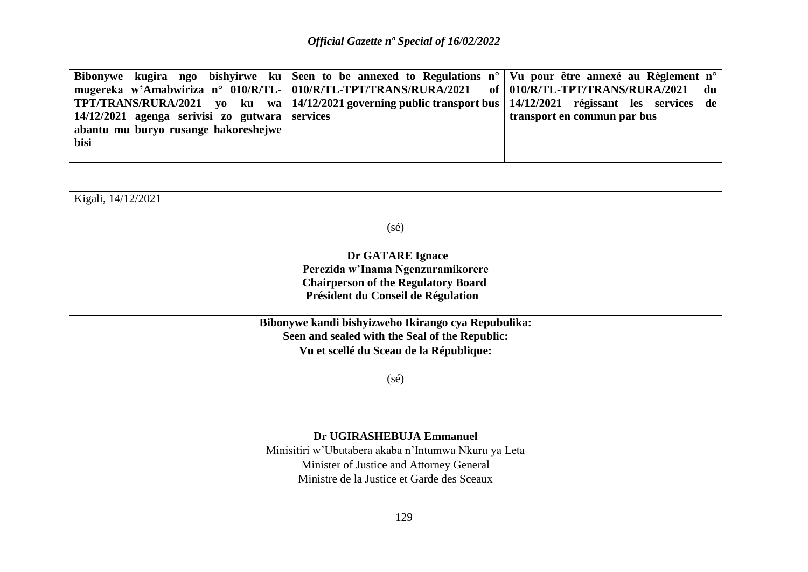|                                                                 | Bibonywe kugira ngo bishyirwe ku Seen to be annexed to Regulations $n^{\circ}$ Vu pour être annexé au Règlement n <sup>o</sup> |
|-----------------------------------------------------------------|--------------------------------------------------------------------------------------------------------------------------------|
| mugereka w'Amabwiriza n° 010/R/TL- 010/R/TL-TPT/TRANS/RURA/2021 | of   010/R/TL-TPT/TRANS/RURA/2021<br>du                                                                                        |
|                                                                 | TPT/TRANS/RURA/2021 vo ku wa   14/12/2021 governing public transport bus   14/12/2021 régissant les services de                |
| $14/12/2021$ agenga serivisi zo gutwara services                | transport en commun par bus                                                                                                    |
| abantu mu buryo rusange hakoreshejwe                            |                                                                                                                                |
| bisi                                                            |                                                                                                                                |
|                                                                 |                                                                                                                                |

| Kigali, 14/12/2021                                                                                                                               |  |  |
|--------------------------------------------------------------------------------------------------------------------------------------------------|--|--|
| $(s\acute{e})$                                                                                                                                   |  |  |
| Dr GATARE Ignace<br>Perezida w'Inama Ngenzuramikorere<br><b>Chairperson of the Regulatory Board</b><br>Président du Conseil de Régulation        |  |  |
| Bibonywe kandi bishyizweho Ikirango cya Repubulika:<br>Seen and sealed with the Seal of the Republic:<br>Vu et scellé du Sceau de la République: |  |  |
| $(s\acute{e})$                                                                                                                                   |  |  |
| Dr UGIRASHEBUJA Emmanuel<br>Minisitiri w'Ubutabera akaba n'Intumwa Nkuru ya Leta<br>Minister of Justice and Attorney General                     |  |  |
| Ministre de la Justice et Garde des Sceaux                                                                                                       |  |  |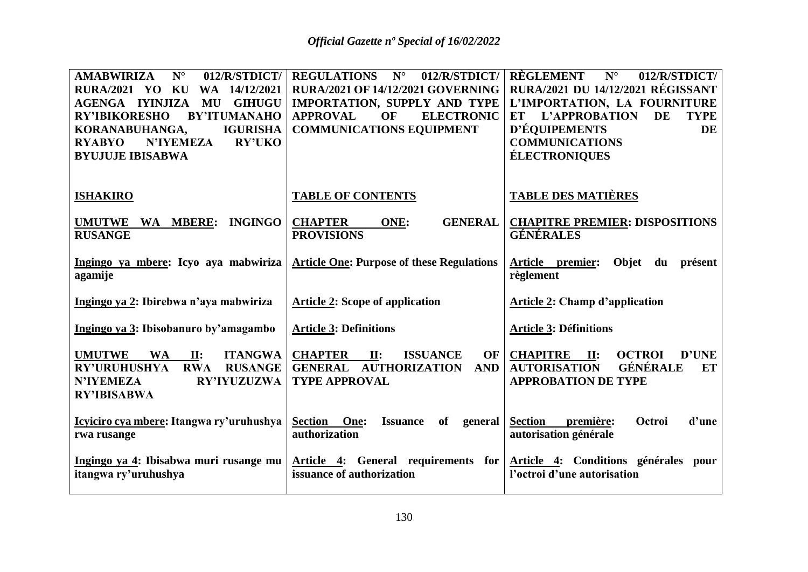| ${\bf N}^{\circ}$<br>012/R/STDICT/<br><b>AMABWIRIZA</b><br><b>RURA/2021 YO KU</b><br>WA 14/12/2021<br><b>AGENGA IYINJIZA</b><br>MU<br><b>GIHUGU</b><br><b>BY'ITUMANAHO</b><br><b>RY'IBIKORESHO</b><br>KORANABUHANGA,<br><b>IGURISHA</b><br><b>RYABYO</b><br><b>N'IYEMEZA</b><br><b>RY'UKO</b><br><b>BYUJUJE IBISABWA</b> | <b>REGULATIONS</b><br>$N^{\circ}$<br>012/R/STDICT/<br><b>RURA/2021 OF 14/12/2021 GOVERNING</b><br>IMPORTATION, SUPPLY AND TYPE<br>OF<br><b>ELECTRONIC</b><br><b>APPROVAL</b><br><b>COMMUNICATIONS EQUIPMENT</b> | <b>RÈGLEMENT</b><br>$N^{\circ}$<br>012/R/STDICT/<br><b>RURA/2021 DU 14/12/2021 RÉGISSANT</b><br>L'IMPORTATION, LA FOURNITURE<br>L'APPROBATION<br>DE<br><b>TYPE</b><br>ET<br>D'ÉQUIPEMENTS<br><b>DE</b><br><b>COMMUNICATIONS</b><br><b>ÉLECTRONIQUES</b> |
|--------------------------------------------------------------------------------------------------------------------------------------------------------------------------------------------------------------------------------------------------------------------------------------------------------------------------|-----------------------------------------------------------------------------------------------------------------------------------------------------------------------------------------------------------------|---------------------------------------------------------------------------------------------------------------------------------------------------------------------------------------------------------------------------------------------------------|
| <b>ISHAKIRO</b>                                                                                                                                                                                                                                                                                                          | <b>TABLE OF CONTENTS</b>                                                                                                                                                                                        | <b>TABLE DES MATIÈRES</b>                                                                                                                                                                                                                               |
| WA MBERE:<br><b>INGINGO</b><br><b>UMUTWE</b><br><b>RUSANGE</b>                                                                                                                                                                                                                                                           | <b>CHAPTER</b><br><b>GENERAL</b><br>ONE:<br><b>PROVISIONS</b>                                                                                                                                                   | <b>CHAPITRE PREMIER: DISPOSITIONS</b><br><b>GÉNÉRALES</b>                                                                                                                                                                                               |
| Ingingo ya mbere: Icyo aya mabwiriza<br>agamije                                                                                                                                                                                                                                                                          | <b>Article One: Purpose of these Regulations</b>                                                                                                                                                                | Objet du présent<br>Article premier:<br>règlement                                                                                                                                                                                                       |
| Ingingo ya 2: Ibirebwa n'aya mabwiriza                                                                                                                                                                                                                                                                                   | <b>Article 2: Scope of application</b>                                                                                                                                                                          | <b>Article 2: Champ d'application</b>                                                                                                                                                                                                                   |
| Ingingo ya 3: Ibisobanuro by'amagambo                                                                                                                                                                                                                                                                                    | <b>Article 3: Definitions</b>                                                                                                                                                                                   | <b>Article 3: Définitions</b>                                                                                                                                                                                                                           |
| <b>UMUTWE</b><br><b>WA</b><br><b>ITANGWA</b><br>II:<br><b>RY'URUHUSHYA</b><br><b>RWA</b><br><b>RUSANGE</b><br><b>N'IYEMEZA</b><br><b>RY'IYUZUZWA</b><br><b>RY'IBISABWA</b>                                                                                                                                               | <b>CHAPTER</b><br><b>ISSUANCE</b><br>OF<br>II:<br><b>GENERAL AUTHORIZATION</b><br><b>AND</b><br><b>TYPE APPROVAL</b>                                                                                            | <b>CHAPITRE</b><br><b>OCTROI</b><br>D'UNE<br>II:<br>GÉNÉRALE<br><b>AUTORISATION</b><br>ET<br><b>APPROBATION DE TYPE</b>                                                                                                                                 |
| Icyiciro cya mbere: Itangwa ry'uruhushya<br>rwa rusange                                                                                                                                                                                                                                                                  | Section<br>One:<br>of<br><b>Issuance</b><br>general<br>authorization                                                                                                                                            | <b>Section</b><br>Octroi<br>d'une<br>première:<br>autorisation générale                                                                                                                                                                                 |
| Ingingo ya 4: Ibisabwa muri rusange mu<br>itangwa ry'uruhushya                                                                                                                                                                                                                                                           | Article 4: General requirements for<br>issuance of authorization                                                                                                                                                | Article 4: Conditions générales pour<br>l'octroi d'une autorisation                                                                                                                                                                                     |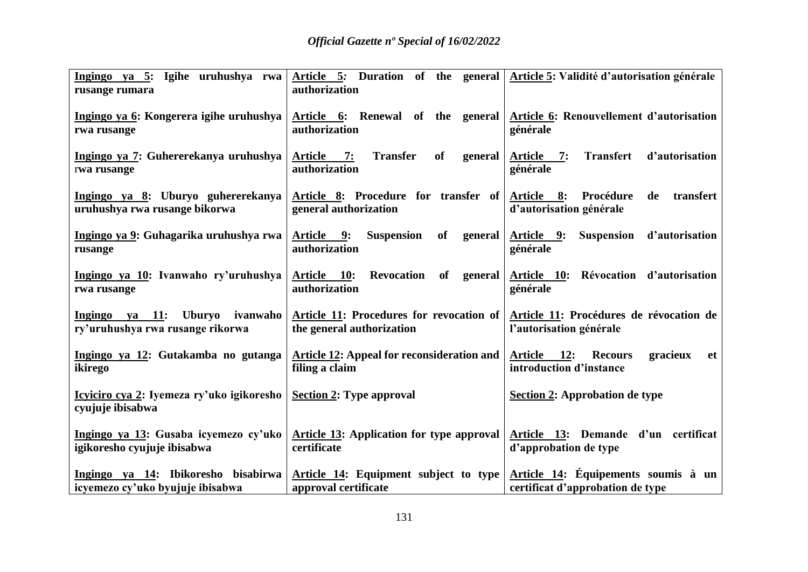| <u>Ingingo ya 5</u> : Igihe uruhushya rwa <br>rusange rumara            | Article 5: Duration of the general   Article 5: Validité d'autorisation générale<br>authorization |                                                                                   |
|-------------------------------------------------------------------------|---------------------------------------------------------------------------------------------------|-----------------------------------------------------------------------------------|
| Ingingo ya 6: Kongerera igihe uruhushya<br>rwa rusange                  | Article 6: Renewal of the general<br>authorization                                                | Article 6: Renouvellement d'autorisation<br>générale                              |
| Ingingo ya 7: Guhererekanya uruhushya<br>rwa rusange                    | of<br>Article 7:<br><b>Transfer</b><br>general<br>authorization                                   | <b>Transfert</b><br>d'autorisation<br><u>Article 7:</u><br>générale               |
| Ingingo ya 8: Uburyo guhererekanya<br>uruhushya rwa rusange bikorwa     | Article 8: Procedure for transfer of<br>general authorization                                     | Procédure<br>Article 8:<br>transfert<br>de<br>d'autorisation générale             |
| Ingingo ya 9: Guhagarika uruhushya rwa<br>rusange                       | of<br><u>Article 9:</u><br><b>Suspension</b><br>general<br>authorization                          | Suspension d'autorisation<br><u>Article 9:</u><br>générale                        |
| Ingingo ya 10: Ivanwaho ry'uruhushya<br>rwa rusange                     | <b>Revocation</b><br><u>Article 10:</u><br>of general<br>authorization                            | Révocation d'autorisation<br><u>Article 10:</u><br>générale                       |
| Ingingo ya 11: Uburyo<br>ivanwaho  <br>ry'uruhushya rwa rusange rikorwa | Article 11: Procedures for revocation of<br>the general authorization                             | Article 11: Procédures de révocation de<br>l'autorisation générale                |
| Ingingo ya 12: Gutakamba no gutanga<br>ikirego                          | <b>Article 12:</b> Appeal for reconsideration and<br>filing a claim                               | Article 12:<br>gracieux<br><b>Recours</b><br><b>et</b><br>introduction d'instance |
| Icyiciro cya 2: Iyemeza ry'uko igikoresho<br>cvujuje ibisabwa           | <b>Section 2: Type approval</b>                                                                   | Section 2: Approbation de type                                                    |
| Ingingo ya 13: Gusaba icyemezo cy'uko<br>igikoresho cyujuje ibisabwa    | Article 13: Application for type approval<br>certificate                                          | Article 13: Demande d'un certificat<br>d'approbation de type                      |
| Ingingo ya 14: Ibikoresho bisabirwa<br>icyemezo cy'uko byujuje ibisabwa | Article 14: Equipment subject to type<br>approval certificate                                     | Article 14: Équipements soumis à un<br>certificat d'approbation de type           |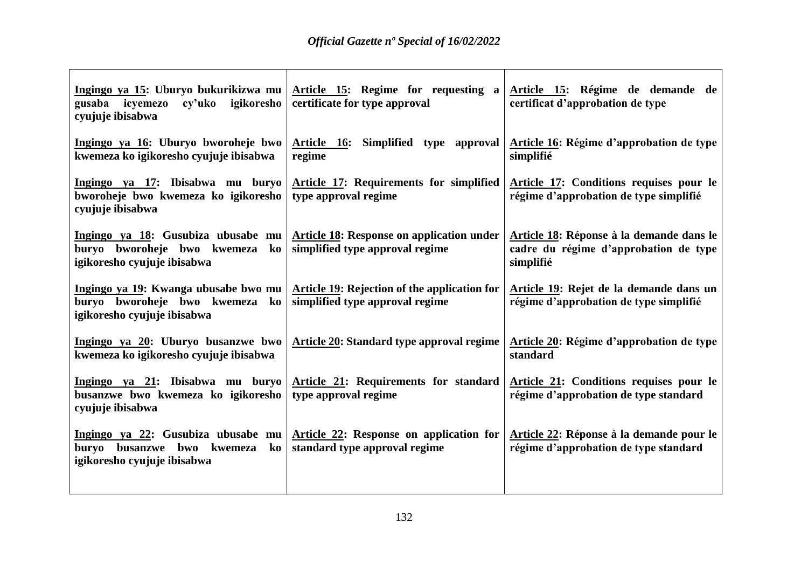| Ingingo ya 15: Uburyo bukurikizwa mu<br>igikoresho<br>gusaba icyemezo<br>cy'uko<br>cyujuje ibisabwa      | Article 15: Regime for requesting a<br>certificate for type approval                   | Article 15: Régime de demande de<br>certificat d'approbation de type                           |
|----------------------------------------------------------------------------------------------------------|----------------------------------------------------------------------------------------|------------------------------------------------------------------------------------------------|
| Ingingo ya 16: Uburyo bworoheje bwo<br>kwemeza ko igikoresho cyujuje ibisabwa                            | Article 16: Simplified type approval<br>regime                                         | Article 16: Régime d'approbation de type<br>simplifié                                          |
| Ingingo ya 17: Ibisabwa mu buryo<br>bworoheje bwo kwemeza ko igikoresho<br>cyujuje ibisabwa              | Article 17: Requirements for simplified<br>type approval regime                        | Article 17: Conditions requises pour le<br>régime d'approbation de type simplifié              |
| Ingingo ya 18: Gusubiza ubusabe mu<br>buryo bworoheje bwo kwemeza<br>ko<br>igikoresho cyujuje ibisabwa   | <b>Article 18: Response on application under</b><br>simplified type approval regime    | Article 18: Réponse à la demande dans le<br>cadre du régime d'approbation de type<br>simplifié |
| Ingingo ya 19: Kwanga ubusabe bwo mu<br>buryo bworoheje bwo kwemeza<br>ko<br>igikoresho cyujuje ibisabwa | <b>Article 19: Rejection of the application for</b><br>simplified type approval regime | Article 19: Rejet de la demande dans un<br>régime d'approbation de type simplifié              |
| Ingingo ya 20: Uburyo busanzwe bwo<br>kwemeza ko igikoresho cyujuje ibisabwa                             | <b>Article 20: Standard type approval regime</b>                                       | Article 20: Régime d'approbation de type<br>standard                                           |
| Ingingo ya 21: Ibisabwa mu buryo<br>busanzwe bwo kwemeza ko igikoresho<br>cyujuje ibisabwa               | <b>Article 21: Requirements for standard</b><br>type approval regime                   | Article 21: Conditions requises pour le<br>régime d'approbation de type standard               |
| Ingingo ya 22: Gusubiza ubusabe mu<br>buryo busanzwe bwo kwemeza<br>ko<br>igikoresho cyujuje ibisabwa    | Article 22: Response on application for<br>standard type approval regime               | Article 22: Réponse à la demande pour le<br>régime d'approbation de type standard              |
|                                                                                                          |                                                                                        |                                                                                                |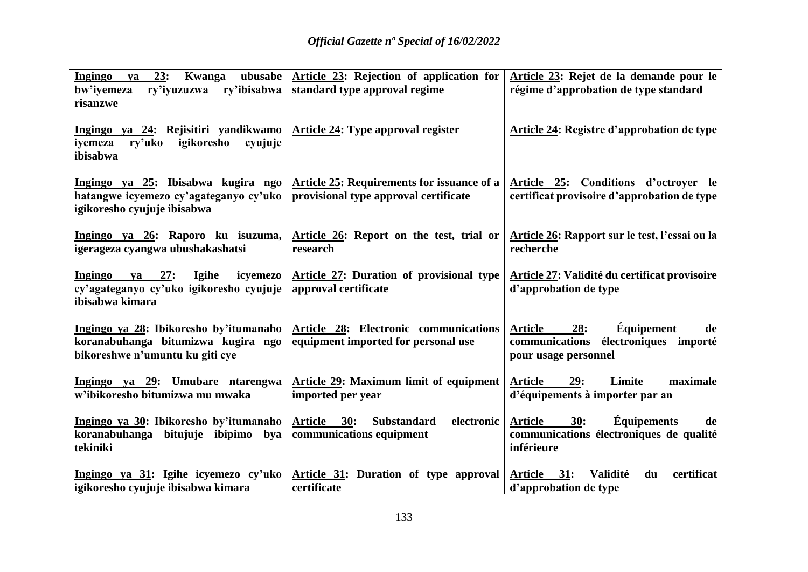| <b>Ingingo</b><br>ubusabe<br>23:<br>Kwanga<br>va<br>ry'ibisabwa<br>bw'iyemeza<br>ry'iyuzuzwa<br>risanzwe                            | Article 23: Rejection of application for<br>standard type approval regime           | Article 23: Rejet de la demande pour le<br>régime d'approbation de type standard                                           |
|-------------------------------------------------------------------------------------------------------------------------------------|-------------------------------------------------------------------------------------|----------------------------------------------------------------------------------------------------------------------------|
| Ingingo ya 24: Rejisitiri yandikwamo   Article 24: Type approval register<br>igikoresho<br>ry'uko<br>cyujuje<br>iyemeza<br>ibisabwa |                                                                                     | <b>Article 24: Registre d'approbation de type</b>                                                                          |
| Ingingo ya 25: Ibisabwa kugira ngo<br>hatangwe icyemezo cy'agateganyo cy'uko<br>igikoresho cyujuje ibisabwa                         | Article 25: Requirements for issuance of a<br>provisional type approval certificate | Article 25: Conditions d'octroyer le<br>certificat provisoire d'approbation de type                                        |
| Ingingo ya 26: Raporo ku isuzuma,<br>igerageza cyangwa ubushakashatsi                                                               | Article 26: Report on the test, trial or<br>research                                | Article 26: Rapport sur le test, l'essai ou la<br>recherche                                                                |
| Igihe<br>icyemezo<br>Ingingo<br>ya 27:<br>cy'agateganyo cy'uko igikoresho cyujuje<br>ibisabwa kimara                                | <b>Article 27: Duration of provisional type</b><br>approval certificate             | Article 27: Validité du certificat provisoire<br>d'approbation de type                                                     |
| Ingingo ya 28: Ibikoresho by'itumanaho<br>koranabuhanga bitumizwa kugira ngo<br>bikoreshwe n'umuntu ku giti cye                     | Article 28: Electronic communications<br>equipment imported for personal use        | <b>Équipement</b><br><b>Article</b><br><b>28:</b><br>de<br>communications<br>électroniques importé<br>pour usage personnel |
| Ingingo ya 29: Umubare ntarengwa<br>w'ibikoresho bitumizwa mu mwaka                                                                 | Article 29: Maximum limit of equipment<br>imported per year                         | <b>Article</b><br>29:<br>Limite<br>maximale<br>d'équipements à importer par an                                             |
| Ingingo ya 30: Ibikoresho by'itumanaho<br>bitujuje ibipimo bya<br>koranabuhanga<br>tekiniki                                         | Article 30:<br><b>Substandard</b><br>electronic<br>communications equipment         | 30:<br><b>Équipements</b><br><b>Article</b><br>de<br>communications électroniques de qualité<br>inférieure                 |
| Ingingo ya 31: Igihe icyemezo cy'uko<br>igikoresho cyujuje ibisabwa kimara                                                          | Article 31: Duration of type approval<br>certificate                                | certificat<br>Validité<br>Article 31:<br>du<br>d'approbation de type                                                       |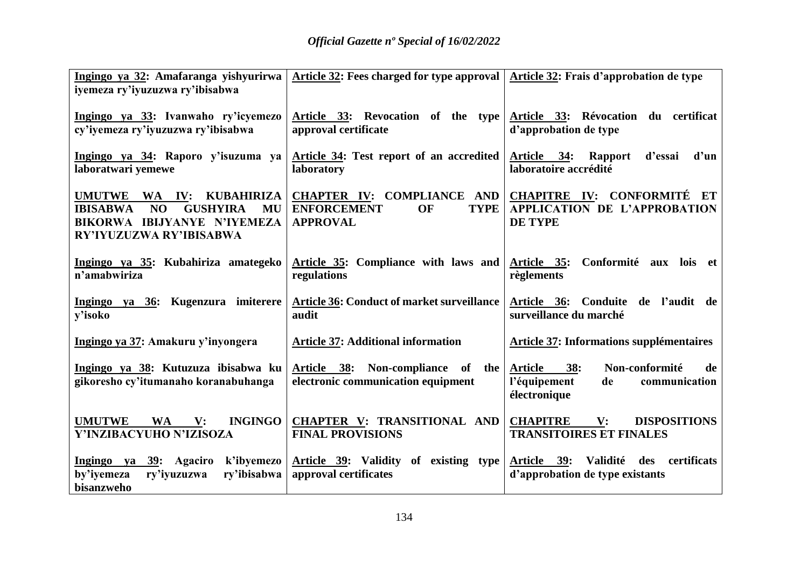| Ingingo ya 32: Amafaranga yishyurirwa<br>iyemeza ry'iyuzuzwa ry'ibisabwa                                                                       | Article 32: Fees charged for type approval   Article 32: Frais d'approbation de type |                                                                                                             |
|------------------------------------------------------------------------------------------------------------------------------------------------|--------------------------------------------------------------------------------------|-------------------------------------------------------------------------------------------------------------|
| Ingingo ya 33: Ivanwaho ry'icyemezo<br>cy'iyemeza ry'iyuzuzwa ry'ibisabwa                                                                      | Article 33: Revocation of the type<br>approval certificate                           | Article 33: Révocation du certificat<br>d'approbation de type                                               |
| Ingingo ya 34: Raporo y'isuzuma ya<br>laboratwari yemewe                                                                                       | Article 34: Test report of an accredited<br>laboratory                               | Article 34: Rapport<br>d'un<br>d'essai<br>laboratoire accrédité                                             |
| <b>KUBAHIRIZA</b><br>UMUTWE WA IV:<br>NO<br><b>GUSHYIRA</b><br><b>IBISABWA</b><br>MU<br>BIKORWA IBIJYANYE N'IYEMEZA<br>RY'IYUZUZWA RY'IBISABWA | <b>ENFORCEMENT</b><br>OF<br><b>TYPE</b><br><b>APPROVAL</b>                           | CHAPTER IV: COMPLIANCE AND CHAPITRE IV: CONFORMITÉ ET<br>APPLICATION DE L'APPROBATION<br><b>DE TYPE</b>     |
| Ingingo ya 35: Kubahiriza amategeko<br>n'amabwiriza                                                                                            | Article 35: Compliance with laws and<br>regulations                                  | Conformité aux lois et<br><u>Article 35:</u><br>règlements                                                  |
| Ingingo ya 36: Kugenzura imiterere<br>y'isoko                                                                                                  | <b>Article 36: Conduct of market surveillance</b><br>audit                           | Article 36: Conduite de l'audit de<br>surveillance du marché                                                |
| Ingingo ya 37: Amakuru y'inyongera                                                                                                             | <b>Article 37: Additional information</b>                                            | <b>Article 37: Informations supplémentaires</b>                                                             |
| Ingingo ya 38: Kutuzuza ibisabwa ku<br>gikoresho cy'itumanaho koranabuhanga                                                                    | Article 38: Non-compliance of the<br>electronic communication equipment              | Non-conformité<br><b>Article</b><br><b>38:</b><br>de<br>l'équipement<br>de<br>communication<br>électronique |
| <b>INGINGO</b><br><b>UMUTWE</b><br><b>WA</b><br>$\mathbf{V}$ :<br>Y'INZIBACYUHO N'IZISOZA                                                      | CHAPTER V: TRANSITIONAL AND<br><b>FINAL PROVISIONS</b>                               | <b>CHAPITRE</b><br>V:<br><b>DISPOSITIONS</b><br><b>TRANSITOIRES ET FINALES</b>                              |
| Ingingo ya 39: Agaciro<br>k'ibyemezo<br>ry'ibisabwa<br>by'iyemeza<br>ry'iyuzuzwa<br>bisanzweho                                                 | Article 39: Validity of existing type<br>approval certificates                       | Validité des certificats<br>Article 39:<br>d'approbation de type existants                                  |